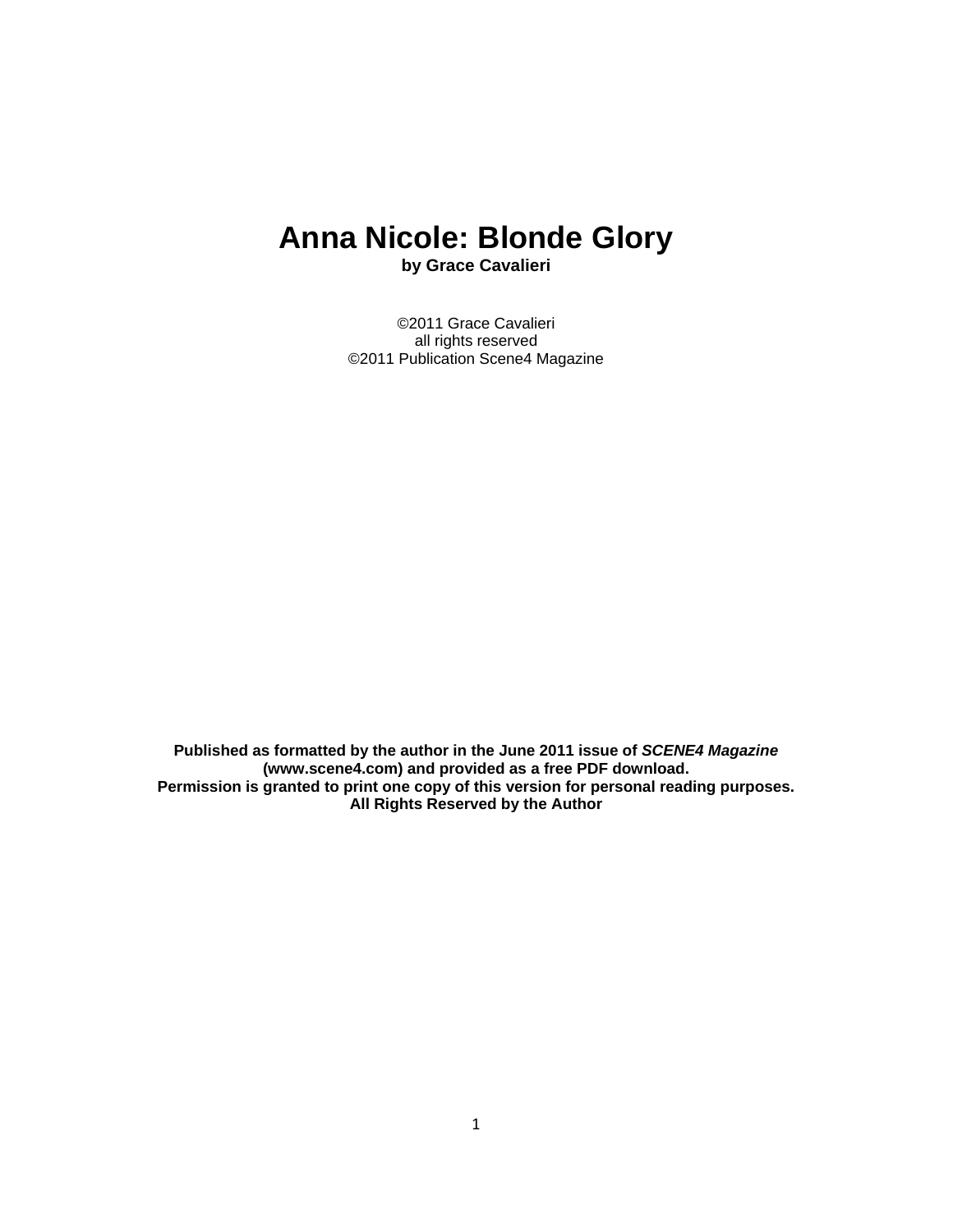# **Anna Nicole: Blonde Glory**

**by Grace Cavalieri** 

©2011 Grace Cavalieri all rights reserved ©2011 Publication Scene4 Magazine

**Published as formatted by the author in the June 2011 issue of** *SCENE4 Magazine* **(www.scene4.com) and provided as a free PDF download. Permission is granted to print one copy of this version for personal reading purposes. All Rights Reserved by the Author**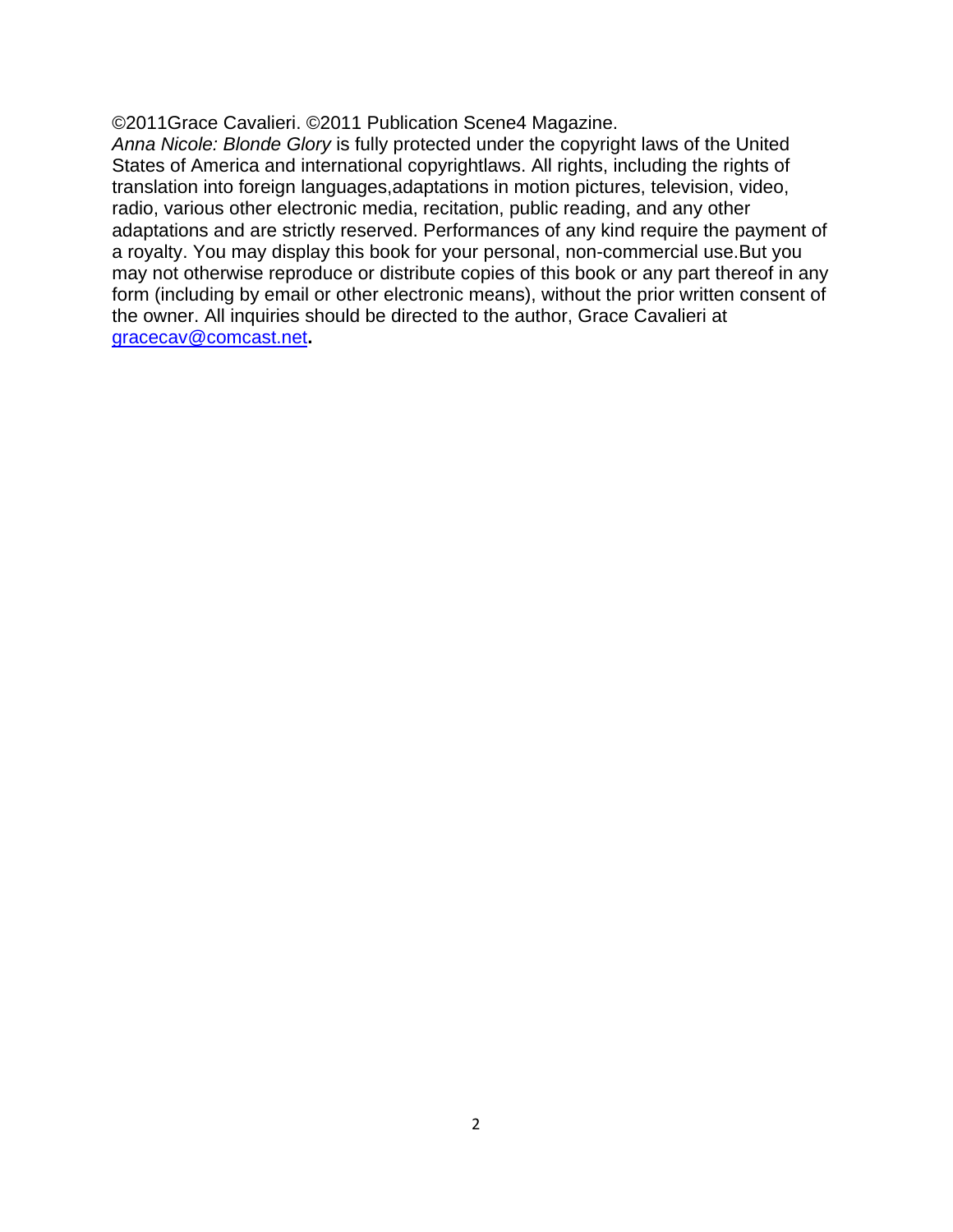©2011Grace Cavalieri. ©2011 Publication Scene4 Magazine.

*Anna Nicole: Blonde Glory* is fully protected under the copyright laws of the United States of America and international copyrightlaws. All rights, including the rights of translation into foreign languages,adaptations in motion pictures, television, video, radio, various other electronic media, recitation, public reading, and any other adaptations and are strictly reserved. Performances of any kind require the payment of a royalty. You may display this book for your personal, non-commercial use.But you may not otherwise reproduce or distribute copies of this book or any part thereof in any form (including by email or other electronic means), without the prior written consent of the owner. All inquiries should be directed to the author, Grace Cavalieri at [gracecav@comcast.net](mailto:gracecav@comcast.net)**.**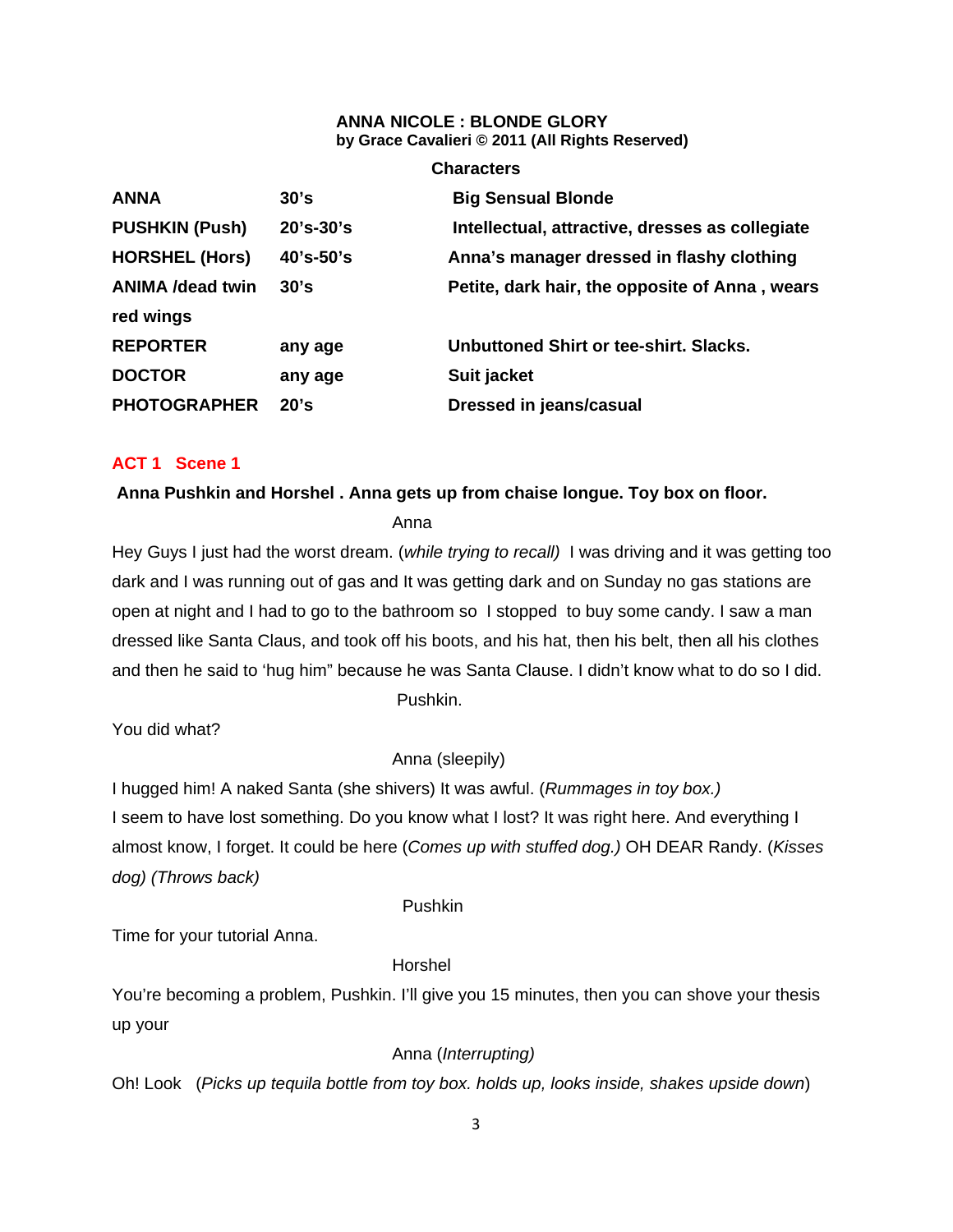#### **ANNA NICOLE : BLONDE GLORY by Grace Cavalieri © 2011 (All Rights Reserved)**

| <b>Characters</b>       |               |                                                 |
|-------------------------|---------------|-------------------------------------------------|
| <b>ANNA</b>             | 30's          | <b>Big Sensual Blonde</b>                       |
| <b>PUSHKIN (Push)</b>   | $20's - 30's$ | Intellectual, attractive, dresses as collegiate |
| <b>HORSHEL (Hors)</b>   | 40's-50's     | Anna's manager dressed in flashy clothing       |
| <b>ANIMA /dead twin</b> | 30's          | Petite, dark hair, the opposite of Anna, wears  |
| red wings               |               |                                                 |
| <b>REPORTER</b>         | any age       | Unbuttoned Shirt or tee-shirt, Slacks.          |
| <b>DOCTOR</b>           | any age       | Suit jacket                                     |
| <b>PHOTOGRAPHER</b>     | 20's          | Dressed in jeans/casual                         |

# **ACT 1 Scene 1**

#### **Anna Pushkin and Horshel . Anna gets up from chaise longue. Toy box on floor.**

Anna

Hey Guys I just had the worst dream. (*while trying to recall)* I was driving and it was getting too dark and I was running out of gas and It was getting dark and on Sunday no gas stations are open at night and I had to go to the bathroom so I stopped to buy some candy. I saw a man dressed like Santa Claus, and took off his boots, and his hat, then his belt, then all his clothes and then he said to 'hug him" because he was Santa Clause. I didn't know what to do so I did. Pushkin.

You did what?

Anna (sleepily)

I hugged him! A naked Santa (she shivers) It was awful. (*Rummages in toy box.)* I seem to have lost something. Do you know what I lost? It was right here. And everything I almost know, I forget. It could be here (*Comes up with stuffed dog.)* OH DEAR Randy. (*Kisses dog) (Throws back)*

Pushkin

Time for your tutorial Anna.

# Horshel

You're becoming a problem, Pushkin. I'll give you 15 minutes, then you can shove your thesis up your

# Anna (*Interrupting)*

Oh! Look (*Picks up tequila bottle from toy box. holds up, looks inside, shakes upside down*)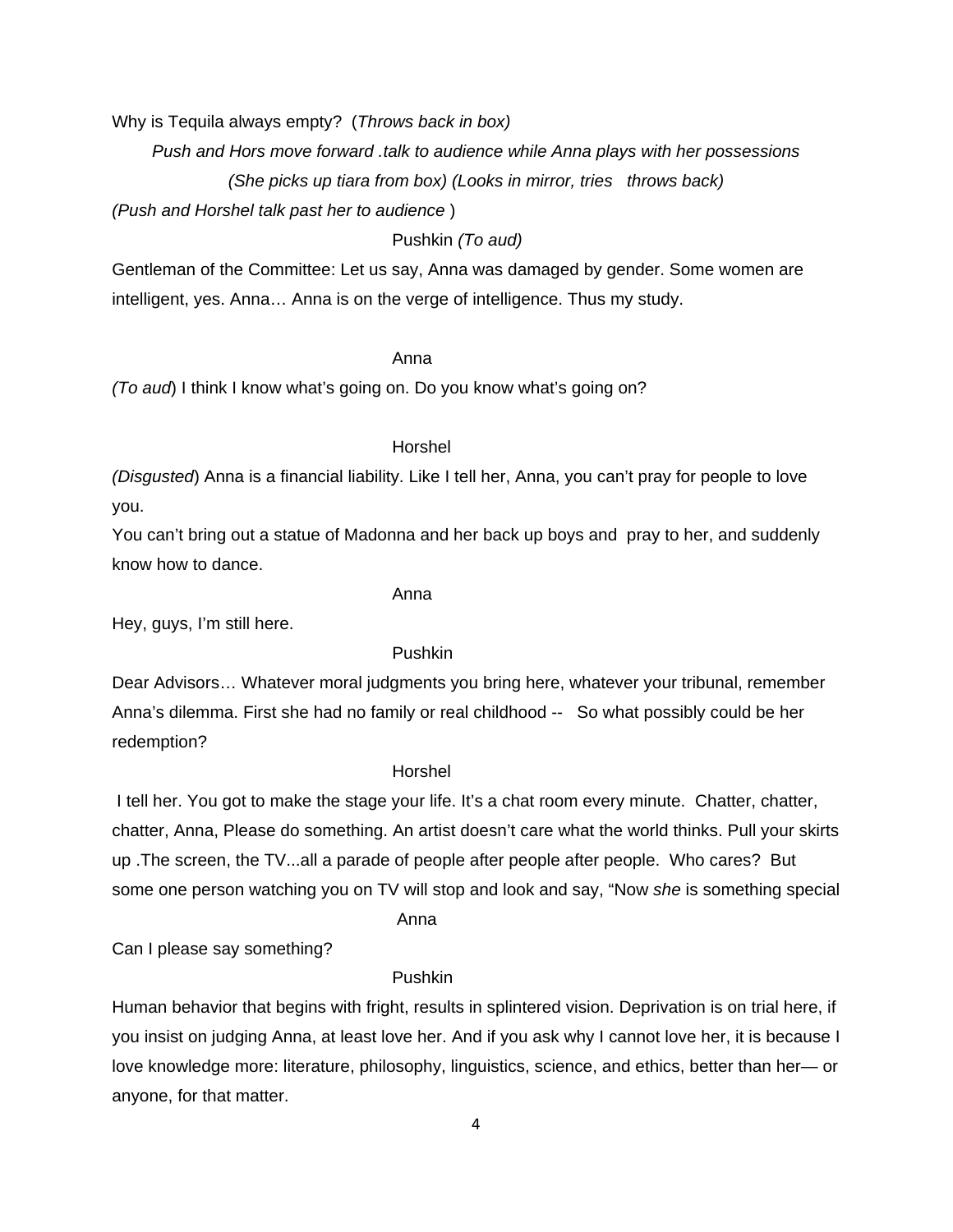Why is Tequila always empty? (*Throws back in box)*

*Push and Hors move forward .talk to audience while Anna plays with her possessions*

*(She picks up tiara from box) (Looks in mirror, tries throws back)* 

*(Push and Horshel talk past her to audience* )

# Pushkin *(To aud)*

Gentleman of the Committee: Let us say, Anna was damaged by gender. Some women are intelligent, yes. Anna… Anna is on the verge of intelligence. Thus my study.

# Anna

*(To aud*) I think I know what's going on. Do you know what's going on?

#### Horshel

*(Disgusted*) Anna is a financial liability. Like I tell her, Anna, you can't pray for people to love you.

You can't bring out a statue of Madonna and her back up boys and pray to her, and suddenly know how to dance.

#### Anna

Hey, guys, I'm still here.

#### Pushkin

Dear Advisors… Whatever moral judgments you bring here, whatever your tribunal, remember Anna's dilemma. First she had no family or real childhood -- So what possibly could be her redemption?

#### Horshel

 I tell her. You got to make the stage your life. It's a chat room every minute. Chatter, chatter, chatter, Anna, Please do something. An artist doesn't care what the world thinks. Pull your skirts up .The screen, the TV...all a parade of people after people after people. Who cares? But some one person watching you on TV will stop and look and say, "Now *she* is something special

#### Anna

Can I please say something?

#### Pushkin

Human behavior that begins with fright, results in splintered vision. Deprivation is on trial here, if you insist on judging Anna, at least love her. And if you ask why I cannot love her, it is because I love knowledge more: literature, philosophy, linguistics, science, and ethics, better than her— or anyone, for that matter.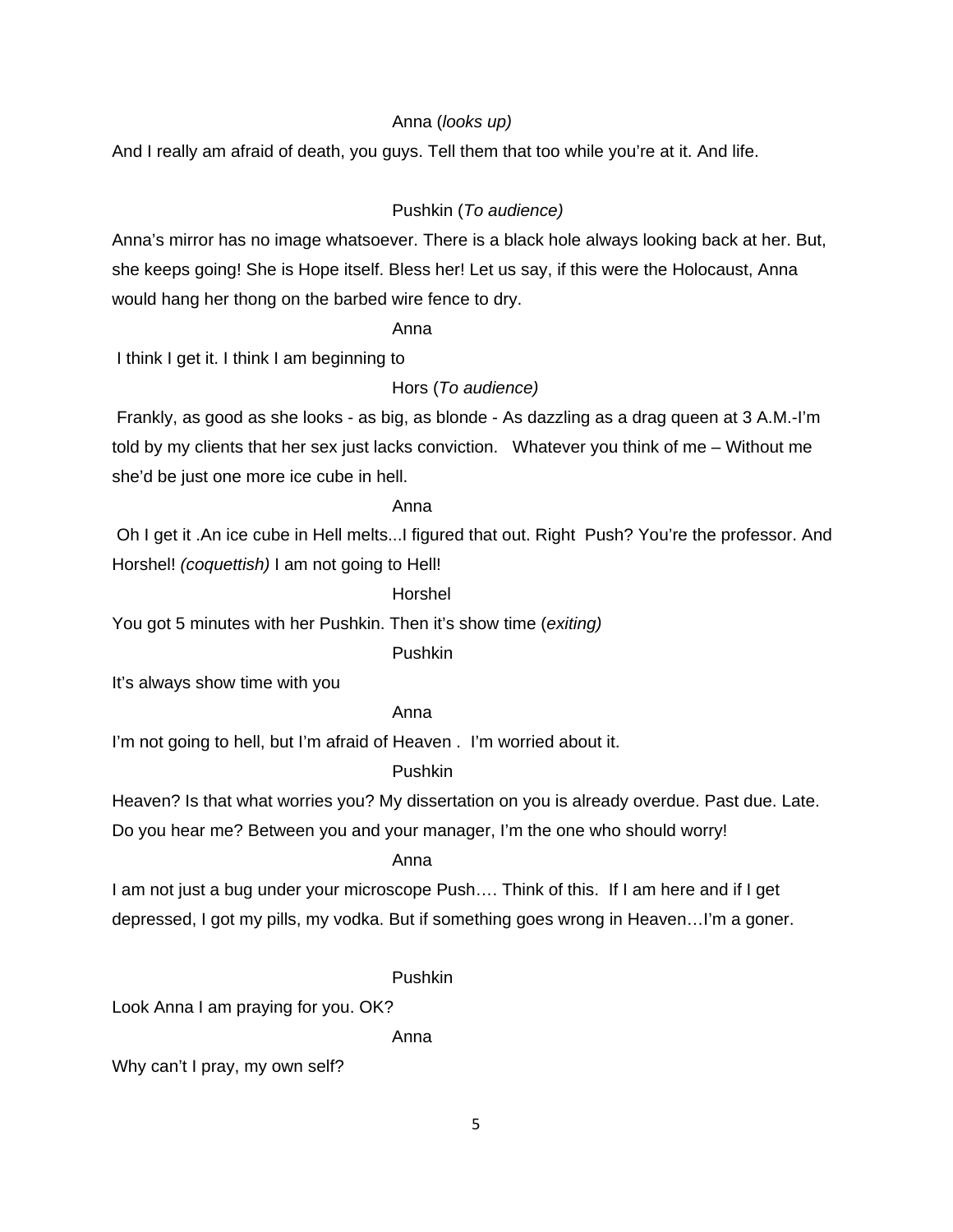# Anna (*looks up)*

And I really am afraid of death, you guys. Tell them that too while you're at it. And life.

# Pushkin (*To audience)*

Anna's mirror has no image whatsoever. There is a black hole always looking back at her. But, she keeps going! She is Hope itself. Bless her! Let us say, if this were the Holocaust, Anna would hang her thong on the barbed wire fence to dry.

#### Anna

I think I get it. I think I am beginning to

Hors (*To audience)* 

 Frankly, as good as she looks - as big, as blonde - As dazzling as a drag queen at 3 A.M.-I'm told by my clients that her sex just lacks conviction. Whatever you think of me – Without me she'd be just one more ice cube in hell.

#### Anna

 Oh I get it .An ice cube in Hell melts...I figured that out. Right Push? You're the professor. And Horshel! *(coquettish)* I am not going to Hell!

#### Horshel

You got 5 minutes with her Pushkin. Then it's show time (*exiting)* 

#### Pushkin

It's always show time with you

# Anna

I'm not going to hell, but I'm afraid of Heaven . I'm worried about it.

# Pushkin

Heaven? Is that what worries you? My dissertation on you is already overdue. Past due. Late.

Do you hear me? Between you and your manager, I'm the one who should worry!

#### Anna

I am not just a bug under your microscope Push.... Think of this. If I am here and if I get depressed, I got my pills, my vodka. But if something goes wrong in Heaven…I'm a goner.

#### Pushkin

Look Anna I am praying for you. OK?

Anna

Why can't I pray, my own self?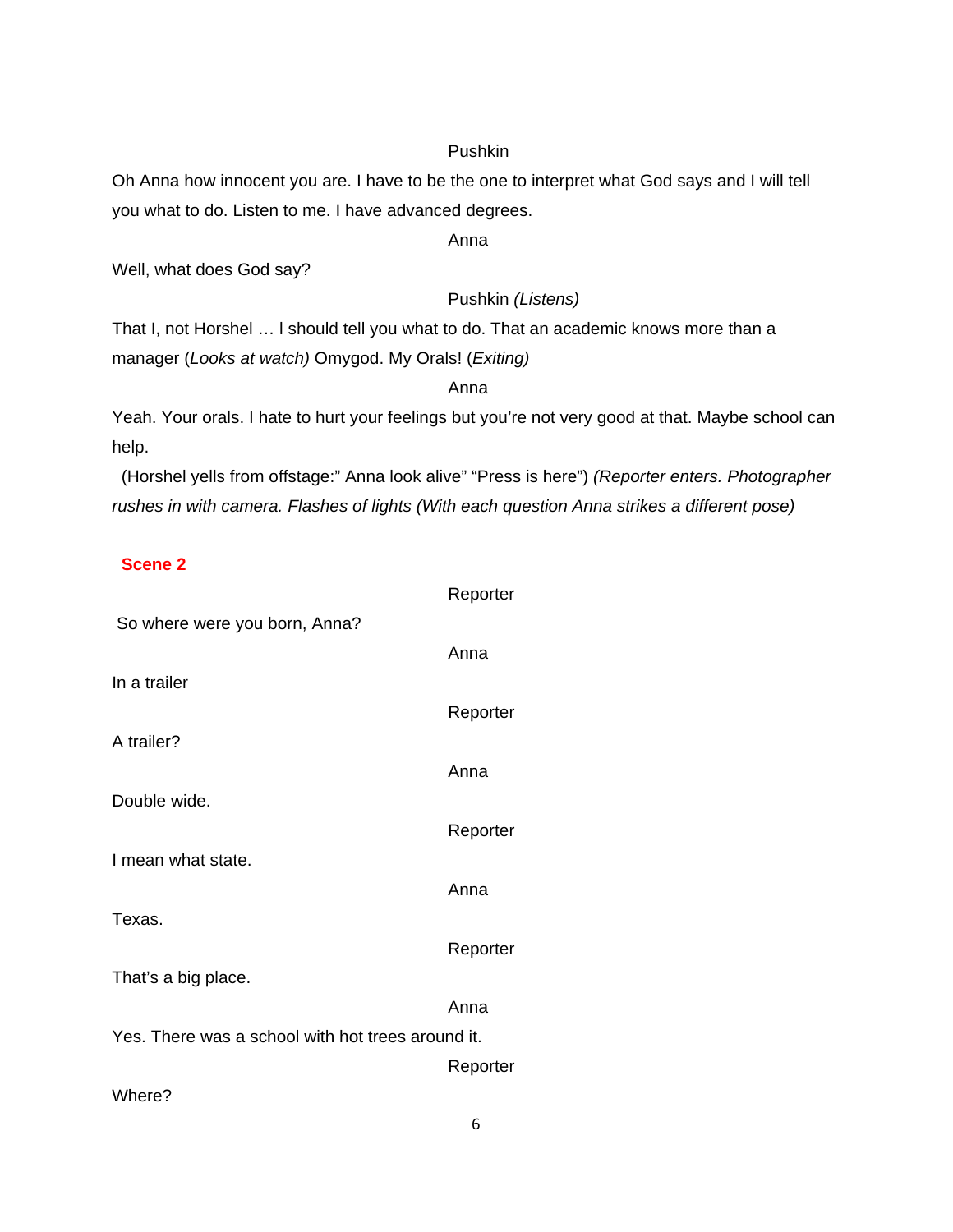#### Pushkin

Oh Anna how innocent you are. I have to be the one to interpret what God says and I will tell you what to do. Listen to me. I have advanced degrees.

Anna

Well, what does God say?

Pushkin *(Listens)*

That I, not Horshel … l should tell you what to do. That an academic knows more than a manager (*Looks at watch)* Omygod. My Orals! (*Exiting)*

anns an t-anns an t-anns an t-anns an t-anns an t-anns an t-anns an t-anns an t-anns an t-anns an t-anns an t-

Yeah. Your orals. I hate to hurt your feelings but you're not very good at that. Maybe school can help.

 (Horshel yells from offstage:" Anna look alive" "Press is here") *(Reporter enters. Photographer rushes in with camera. Flashes of lights (With each question Anna strikes a different pose)* 

# **Scene 2**

|                                                   | Reporter |
|---------------------------------------------------|----------|
| So where were you born, Anna?                     |          |
|                                                   | Anna     |
| In a trailer                                      |          |
|                                                   | Reporter |
| A trailer?                                        |          |
| Double wide.                                      | Anna     |
|                                                   | Reporter |
| I mean what state.                                |          |
|                                                   | Anna     |
| Texas.                                            |          |
|                                                   | Reporter |
| That's a big place.                               |          |
|                                                   | Anna     |
| Yes. There was a school with hot trees around it. |          |
|                                                   | Reporter |
| Where?                                            |          |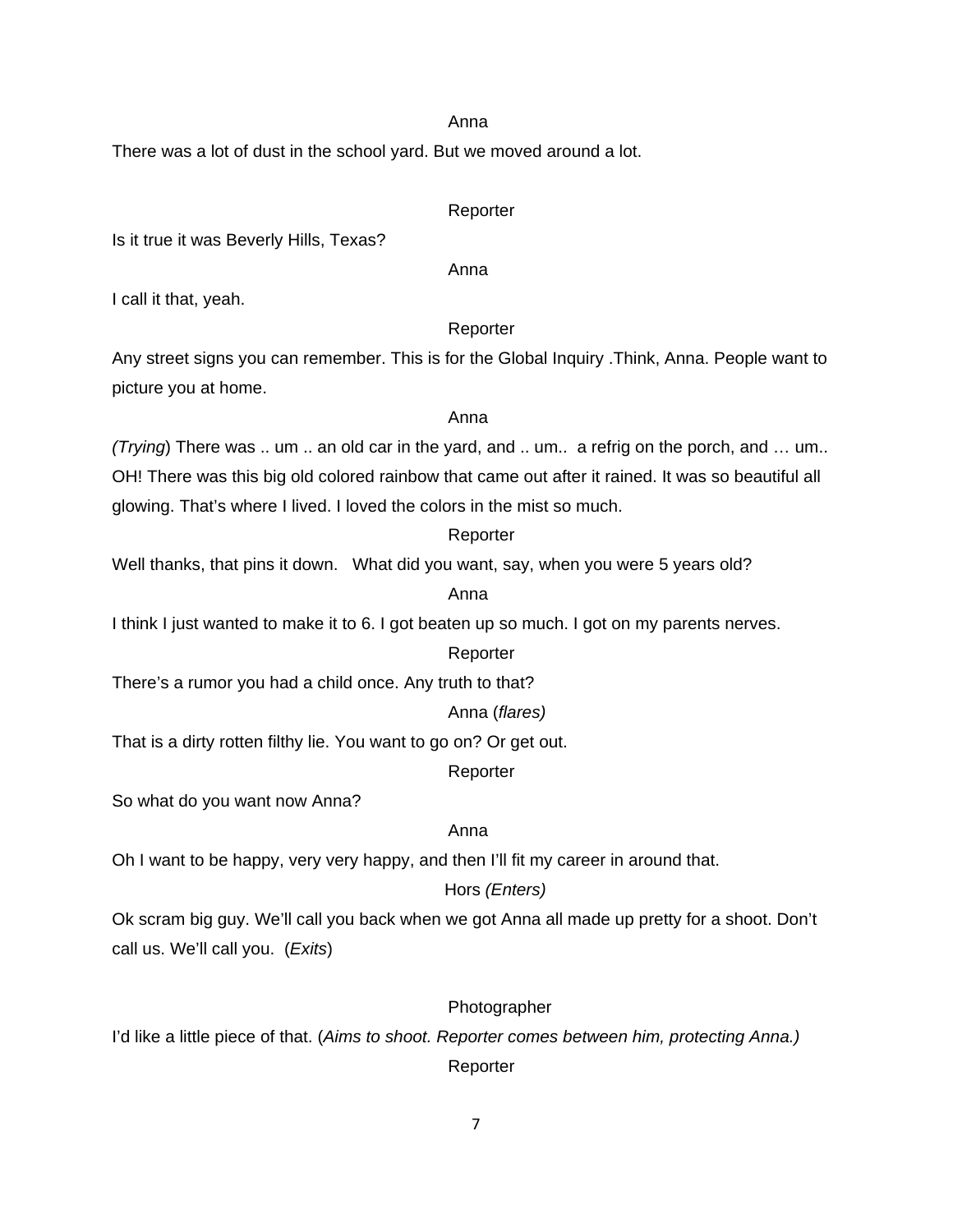#### anns an t-anns an t-anns an t-anns an t-anns an t-anns an t-anns an t-anns an t-anns an t-anns an t-anns an t-

There was a lot of dust in the school yard. But we moved around a lot.

#### Reporter

Is it true it was Beverly Hills, Texas?

#### anns an t-anns an t-anns an t-anns an t-anns an t-anns an t-anns an t-anns an t-anns an t-anns an t-anns an t-

I call it that, yeah.

#### Reporter

Any street signs you can remember. This is for the Global Inquiry .Think, Anna. People want to picture you at home.

#### anns an t-anns an t-anns an t-anns an t-anns an t-anns an t-anns an t-anns an t-anns an t-anns an t-anns an t-

*(Trying*) There was .. um .. an old car in the yard, and .. um.. a refrig on the porch, and … um.. OH! There was this big old colored rainbow that came out after it rained. It was so beautiful all glowing. That's where I lived. I loved the colors in the mist so much.

#### Reporter

Well thanks, that pins it down. What did you want, say, when you were 5 years old?

#### anns an t-anns an t-anns an t-anns an t-anns an t-anns an t-anns an t-anns an t-anns an t-anns an t-anns an t-

I think I just wanted to make it to 6. I got beaten up so much. I got on my parents nerves.

#### Reporter

There's a rumor you had a child once. Any truth to that?

#### Anna (*flares)*

That is a dirty rotten filthy lie. You want to go on? Or get out.

#### Reporter

So what do you want now Anna?

#### **Anna** Anna anns an t-Iomraid anns an t-Iomraid anns an t-Iomraid anns an t-Iomraid anns an t-Iomraid anns an t-

Oh I want to be happy, very very happy, and then I'll fit my career in around that.

# Hors *(Enters)*

Ok scram big guy. We'll call you back when we got Anna all made up pretty for a shoot. Don't call us. We'll call you. (*Exits*)

# Photographer

I'd like a little piece of that. (*Aims to shoot. Reporter comes between him, protecting Anna.)*

# Reporter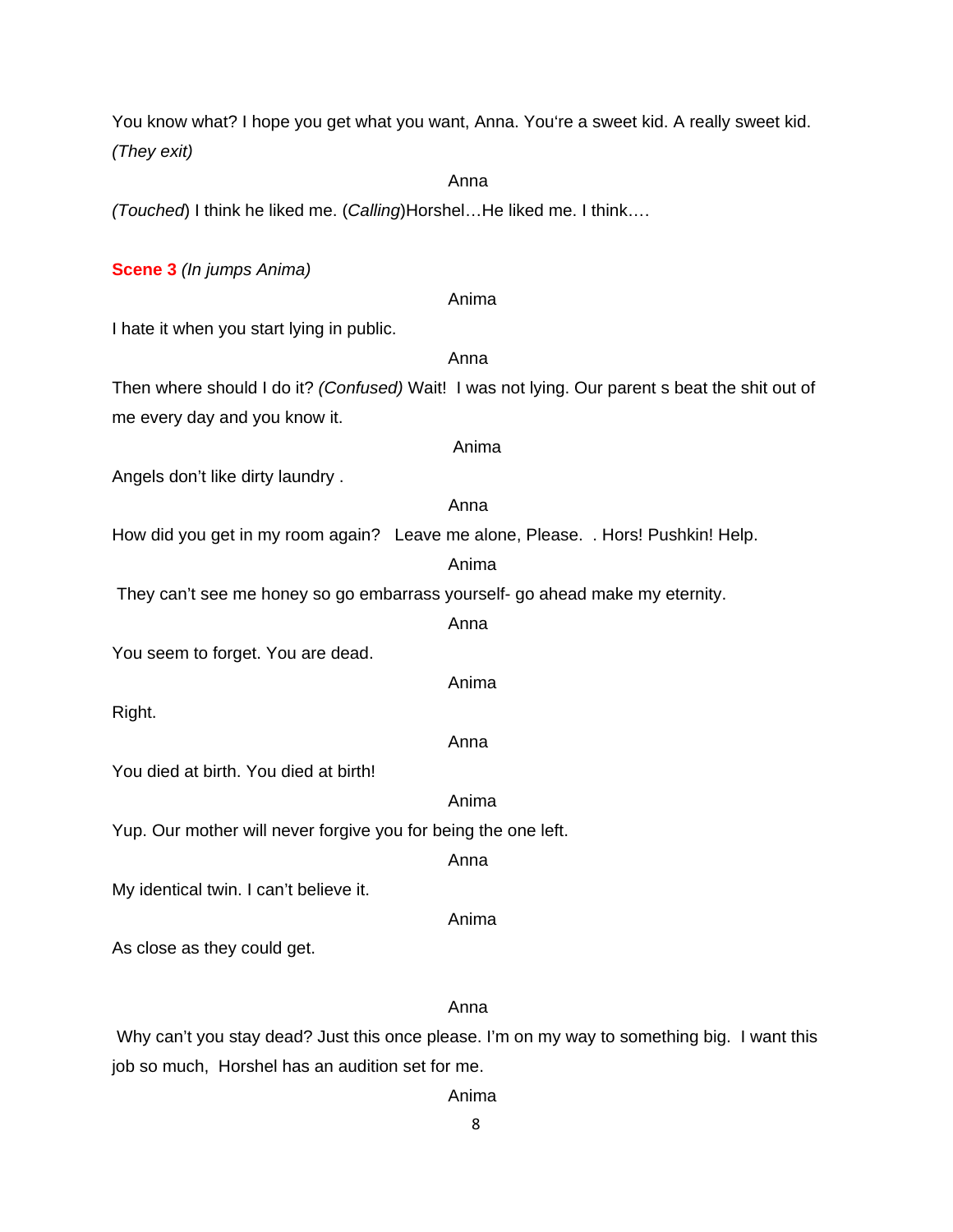You know what? I hope you get what you want, Anna. You're a sweet kid. A really sweet kid. *(They exit)*

#### **Anna** Anna anns an t-Iomraid anns an t-Iomraid anns an t-Iomraid anns an t-Iomraid anns an t-Iomraid anns an t-

*(Touched*) I think he liked me. (*Calling*)Horshel…He liked me. I think….

#### **Scene 3** *(In jumps Anima)*

Anima I hate it when you start lying in public. anns an t-anns an t-anns an t-anns an t-anns an t-anns an t-anns an t-anns an t-anns an t-anns an t-anns an t-Then where should I do it? *(Confused)* Wait! I was not lying. Our parent s beat the shit out of me every day and you know it. Anima Angels don't like dirty laundry . anns an t-anns an t-anns an t-anns an t-anns an t-anns an t-anns an t-anns an t-anns an t-anns an t-anns an t-How did you get in my room again? Leave me alone, Please. . Hors! Pushkin! Help. Anima They can't see me honey so go embarrass yourself- go ahead make my eternity. Anna You seem to forget. You are dead. Anima Right. anns an t-anns an t-anns an t-anns an t-anns an t-anns an t-anns an t-anns an t-anns an t-anns an t-anns an t-You died at birth. You died at birth! Anima Yup. Our mother will never forgive you for being the one left. anns an t-anns an t-anns an t-anns an t-anns an t-anns an t-anns an t-anns an t-anns an t-anns an t-anns an t-My identical twin. I can't believe it. Anima

As close as they could get.

#### Anna

 Why can't you stay dead? Just this once please. I'm on my way to something big. I want this job so much, Horshel has an audition set for me.

#### Anima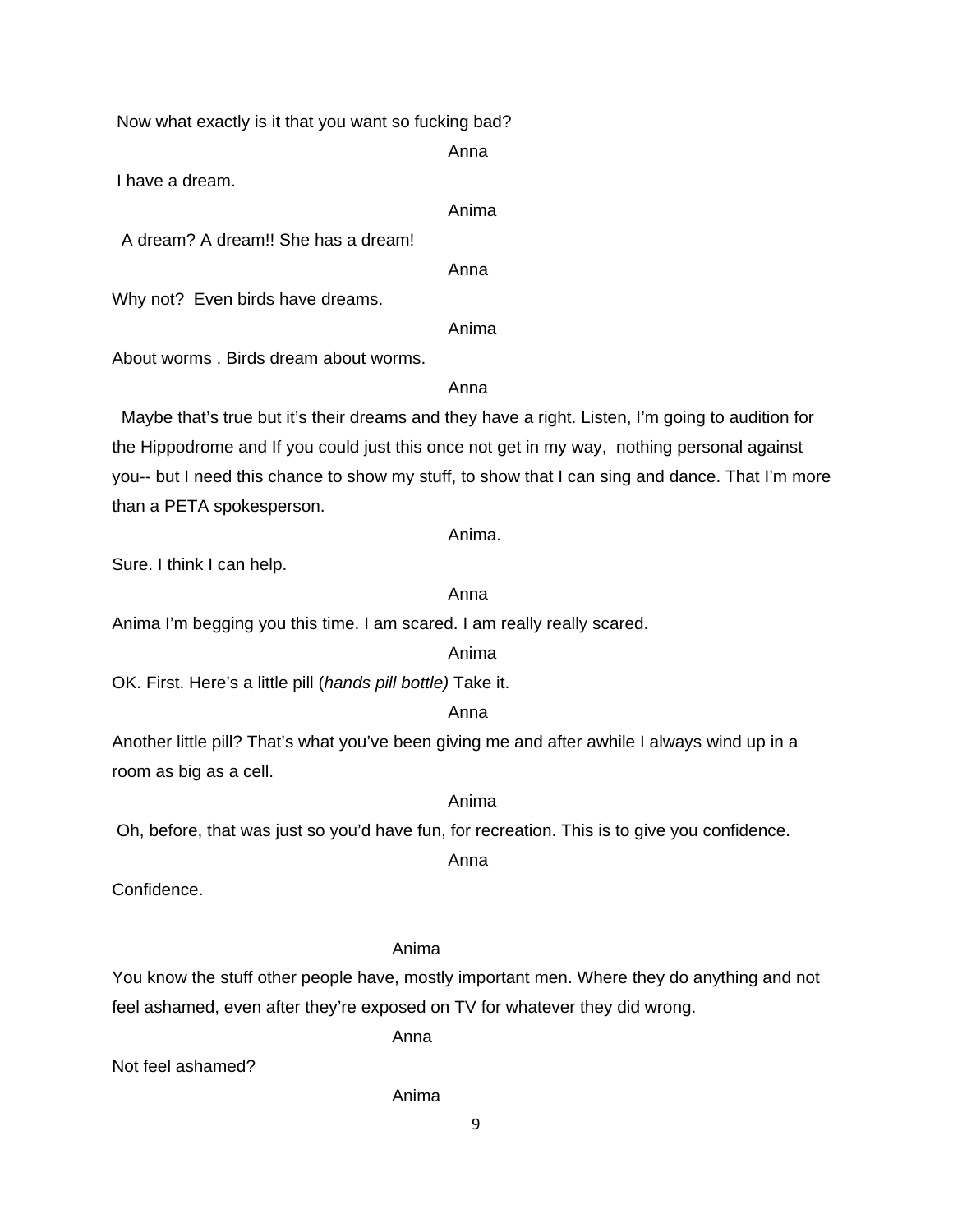Now what exactly is it that you want so fucking bad?

Anna

I have a dream.

Anima

A dream? A dream!! She has a dream!

anns an t-anns an t-anns an t-anns an t-anns an t-anns an t-anns an t-anns an t-anns an t-anns an t-anns an t-

Why not? Even birds have dreams.

Anima

About worms . Birds dream about worms.

Anna

 Maybe that's true but it's their dreams and they have a right. Listen, I'm going to audition for the Hippodrome and If you could just this once not get in my way, nothing personal against you-- but I need this chance to show my stuff, to show that I can sing and dance. That I'm more than a PETA spokesperson.

Anima.

Sure. I think I can help.

# Anna

Anima I'm begging you this time. I am scared. I am really really scared.

# Anima

OK. First. Here's a little pill (*hands pill bottle)* Take it.

# Anna

Another little pill? That's what you've been giving me and after awhile I always wind up in a room as big as a cell.

# Anima

Oh, before, that was just so you'd have fun, for recreation. This is to give you confidence.

# anns an t-anns an t-anns an t-anns an t-anns an t-anns an t-anns an t-anns an t-anns an t-anns an t-anns an t-

Confidence.

# Anima

You know the stuff other people have, mostly important men. Where they do anything and not feel ashamed, even after they're exposed on TV for whatever they did wrong.

Anna

Not feel ashamed?

# Anima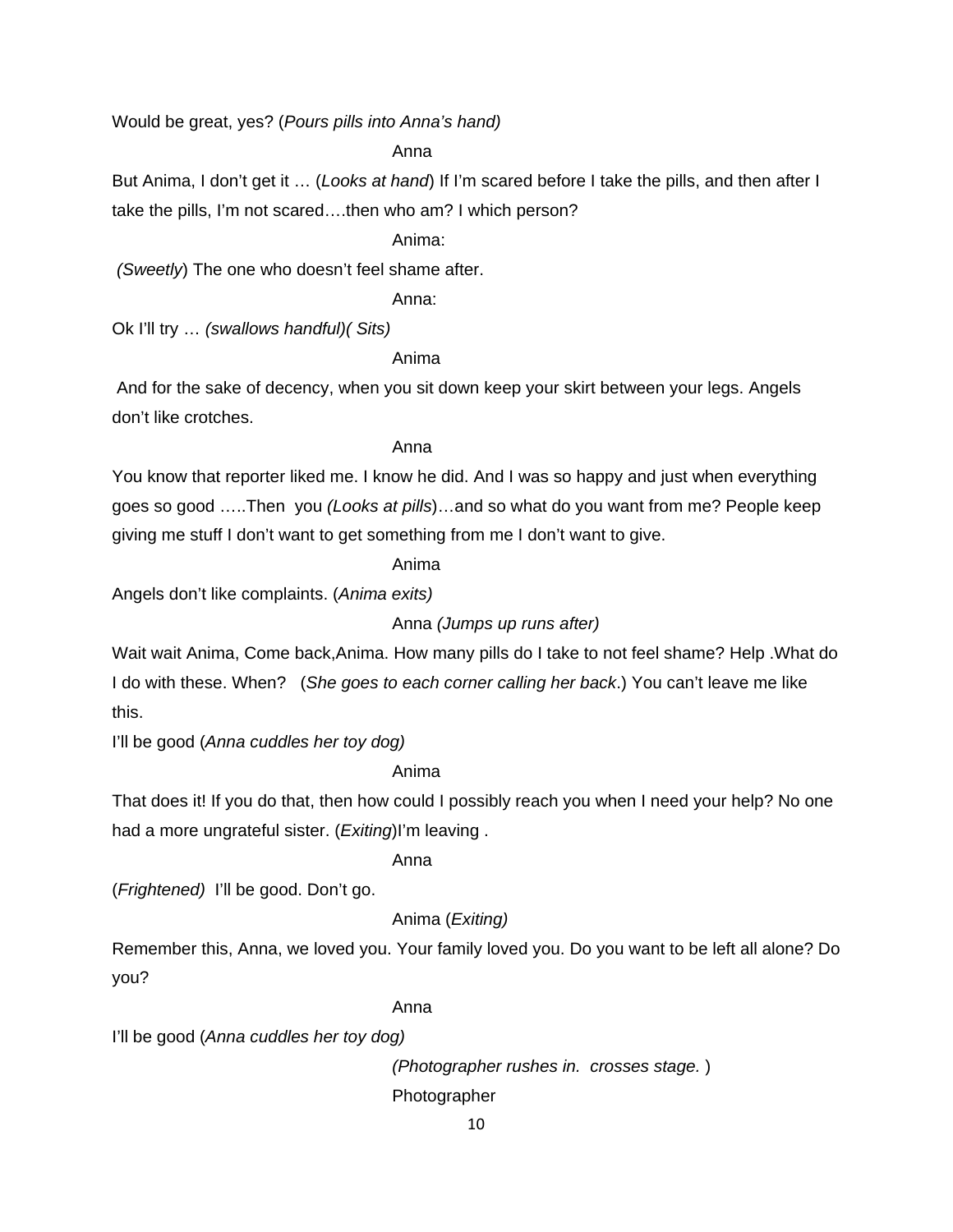Would be great, yes? (*Pours pills into Anna's hand)*

Anna

But Anima, I don't get it … (*Looks at hand*) If I'm scared before I take the pills, and then after I take the pills, I'm not scared….then who am? I which person?

Anima:

*(Sweetly*) The one who doesn't feel shame after.

Anna:

Ok I'll try … *(swallows handful)( Sits)*

Anima

 And for the sake of decency, when you sit down keep your skirt between your legs. Angels don't like crotches.

# Anna

You know that reporter liked me. I know he did. And I was so happy and just when everything goes so good …..Then you *(Looks at pills*)…and so what do you want from me? People keep giving me stuff I don't want to get something from me I don't want to give.

Anima

Angels don't like complaints. (*Anima exits)*

Anna *(Jumps up runs after)*

Wait wait Anima, Come back,Anima. How many pills do I take to not feel shame? Help .What do I do with these. When? (*She goes to each corner calling her back*.) You can't leave me like this.

I'll be good (*Anna cuddles her toy dog)*

Anima

That does it! If you do that, then how could I possibly reach you when I need your help? No one had a more ungrateful sister. (*Exiting*)I'm leaving .

Anna

(*Frightened)* I'll be good. Don't go.

# Anima (*Exiting)*

Remember this, Anna, we loved you. Your family loved you. Do you want to be left all alone? Do you?

Anna

I'll be good (*Anna cuddles her toy dog)* 

*(Photographer rushes in. crosses stage.* )

Photographer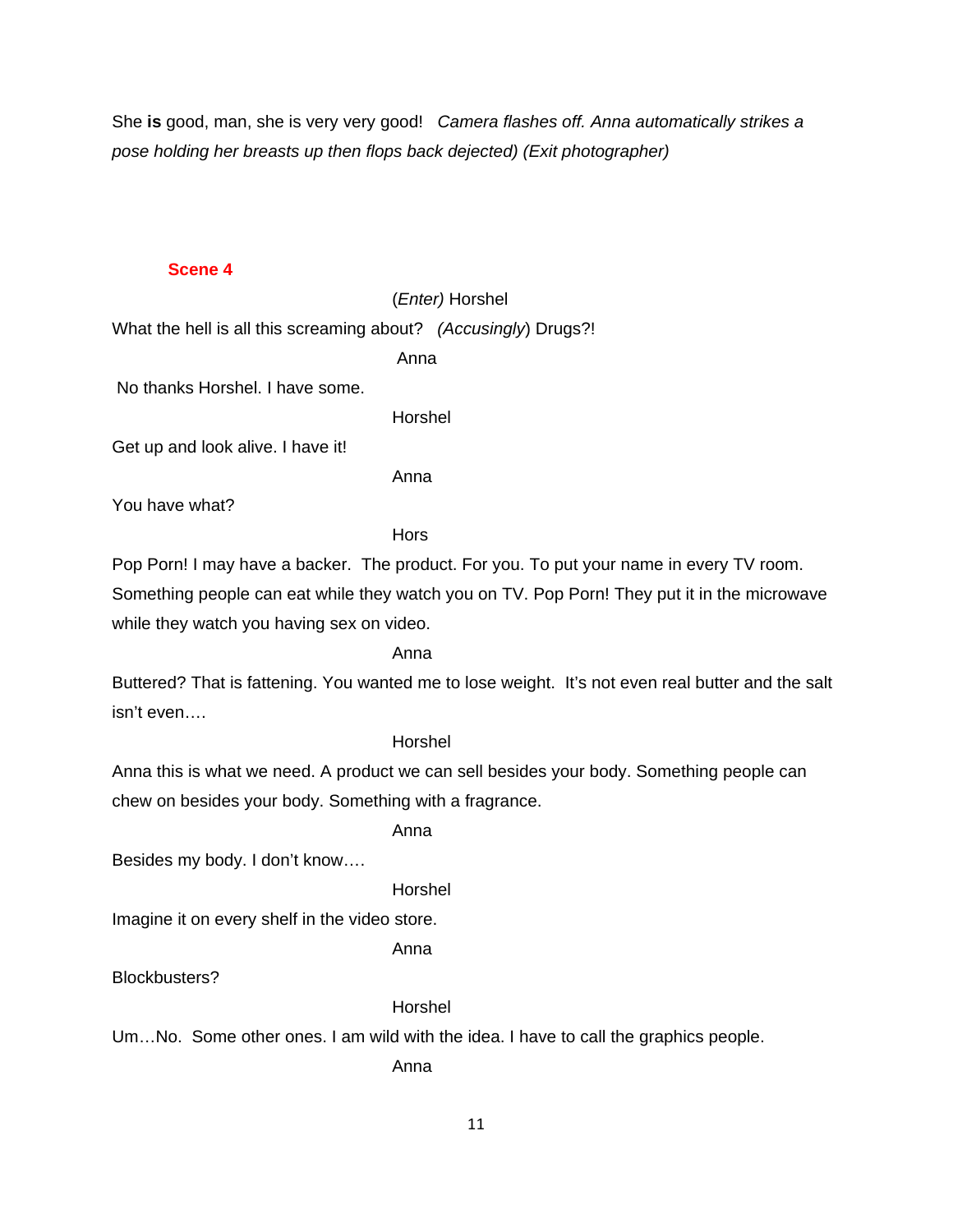She **is** good, man, she is very very good! *Camera flashes off. Anna automatically strikes a pose holding her breasts up then flops back dejected) (Exit photographer)* 

#### **Scene 4**

#### (*Enter)* Horshel

What the hell is all this screaming about? *(Accusingly*) Drugs?!

Anna

No thanks Horshel. I have some.

Horshel

Get up and look alive. I have it!

Anna

You have what?

**Hors** 

Pop Porn! I may have a backer. The product. For you. To put your name in every TV room.

Something people can eat while they watch you on TV. Pop Porn! They put it in the microwave while they watch you having sex on video.

Anna

Buttered? That is fattening. You wanted me to lose weight. It's not even real butter and the salt isn't even….

#### Horshel

Anna this is what we need. A product we can sell besides your body. Something people can chew on besides your body. Something with a fragrance.

Anna

Besides my body. I don't know….

Horshel

Imagine it on every shelf in the video store.

Anna

Blockbusters?

#### Horshel

Um…No. Some other ones. I am wild with the idea. I have to call the graphics people.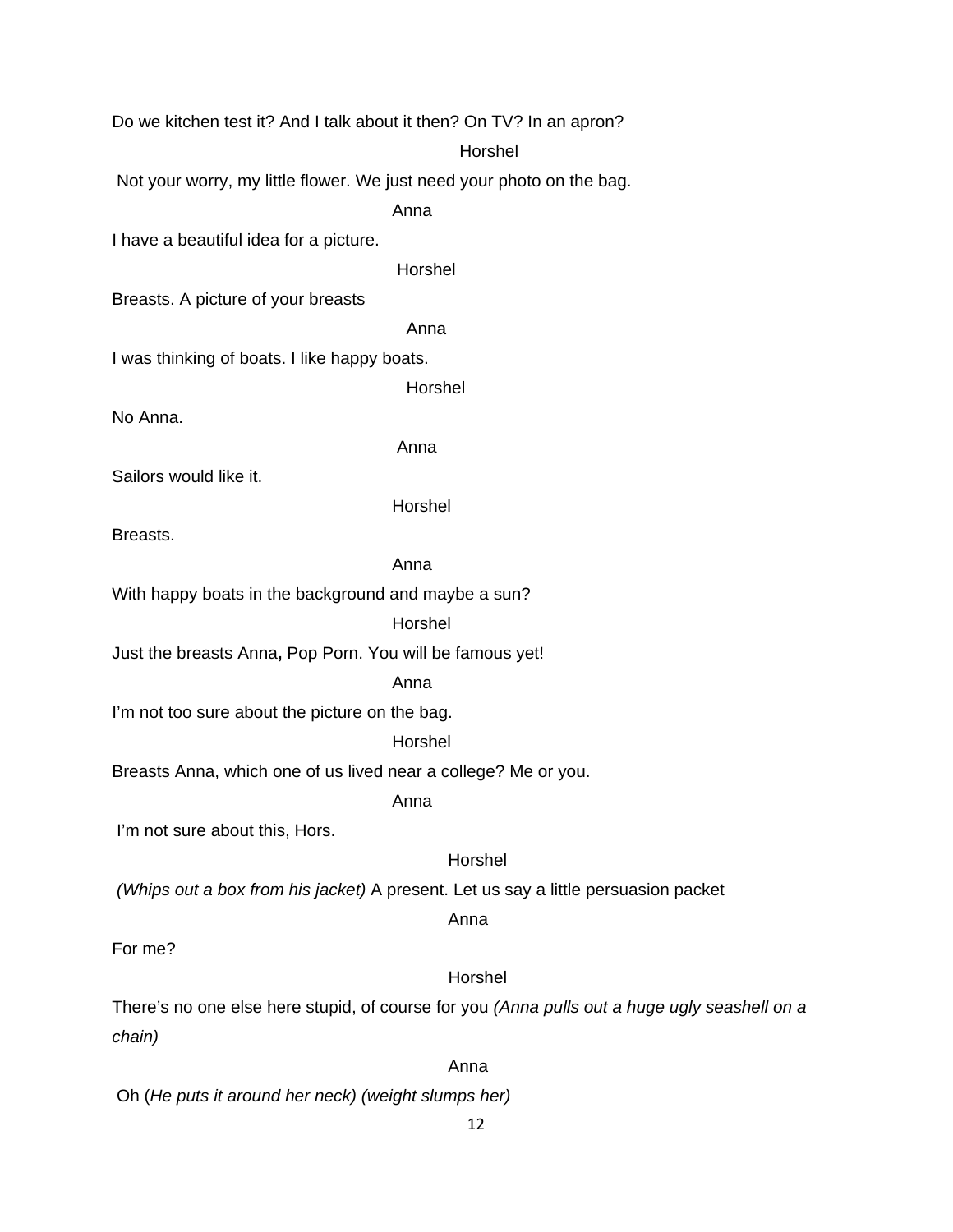Do we kitchen test it? And I talk about it then? On TV? In an apron? Horshel Not your worry, my little flower. We just need your photo on the bag. Anna I have a beautiful idea for a picture. Horshel Breasts. A picture of your breasts Anna I was thinking of boats. I like happy boats. Horshel No Anna. Anna Sailors would like it. Horshel Breasts. Anna With happy boats in the background and maybe a sun? Horshel Just the breasts Anna**,** Pop Porn. You will be famous yet! Anna I'm not too sure about the picture on the bag. Horshel Breasts Anna, which one of us lived near a college? Me or you. Anna I'm not sure about this, Hors. Horshel  *(Whips out a box from his jacket)* A present. Let us say a little persuasion packet Anna For me? Horshel There's no one else here stupid, of course for you *(Anna pulls out a huge ugly seashell on a chain)* 

**Anna Anna Anna** 

Oh (*He puts it around her neck) (weight slumps her)*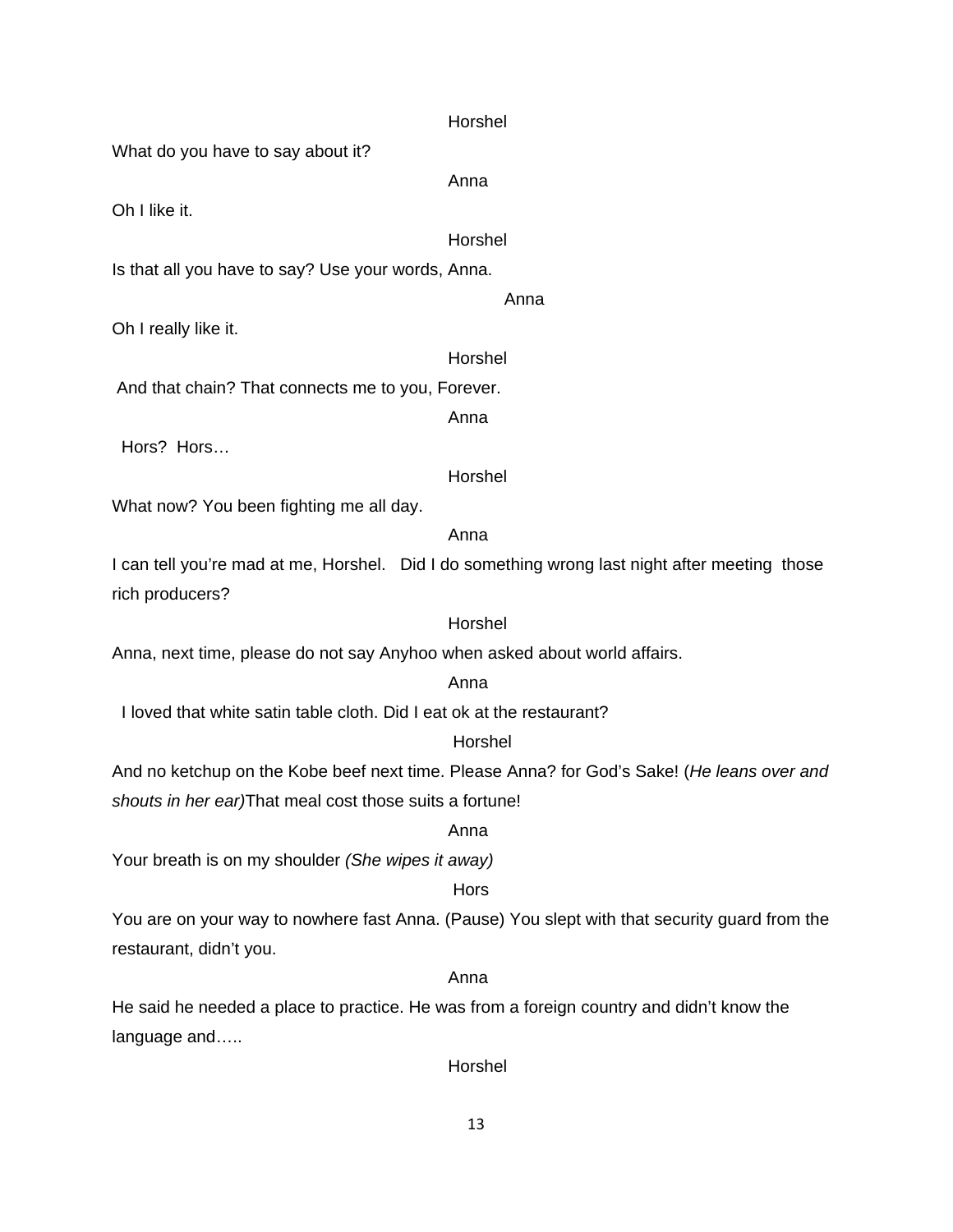| Horshel                                                                                       |  |
|-----------------------------------------------------------------------------------------------|--|
| What do you have to say about it?                                                             |  |
| Anna                                                                                          |  |
| Oh I like it.                                                                                 |  |
| Horshel                                                                                       |  |
| Is that all you have to say? Use your words, Anna.                                            |  |
| Anna                                                                                          |  |
| Oh I really like it.                                                                          |  |
| Horshel                                                                                       |  |
| And that chain? That connects me to you, Forever.                                             |  |
| Anna                                                                                          |  |
| Hors? Hors                                                                                    |  |
| Horshel                                                                                       |  |
| What now? You been fighting me all day.                                                       |  |
| Anna                                                                                          |  |
| I can tell you're mad at me, Horshel. Did I do something wrong last night after meeting those |  |
| rich producers?                                                                               |  |
| Horshel                                                                                       |  |
| Anna, next time, please do not say Anyhoo when asked about world affairs.                     |  |
| Anna                                                                                          |  |
| I loved that white satin table cloth. Did I eat ok at the restaurant?                         |  |
| Horshel                                                                                       |  |
| And no ketchup on the Kobe beef next time. Please Anna? for God's Sake! (He leans over and    |  |
| shouts in her ear)That meal cost those suits a fortune!                                       |  |
| Anna                                                                                          |  |
| Your breath is on my shoulder (She wipes it away)                                             |  |
| Hors                                                                                          |  |
| You are on your way to nowhere fast Anna. (Pause) You slept with that security guard from the |  |
| restaurant, didn't you.                                                                       |  |
| Anna                                                                                          |  |
| He said he needed a place to practice. He was from a foreign country and didn't know the      |  |
| language and                                                                                  |  |
| Horshel                                                                                       |  |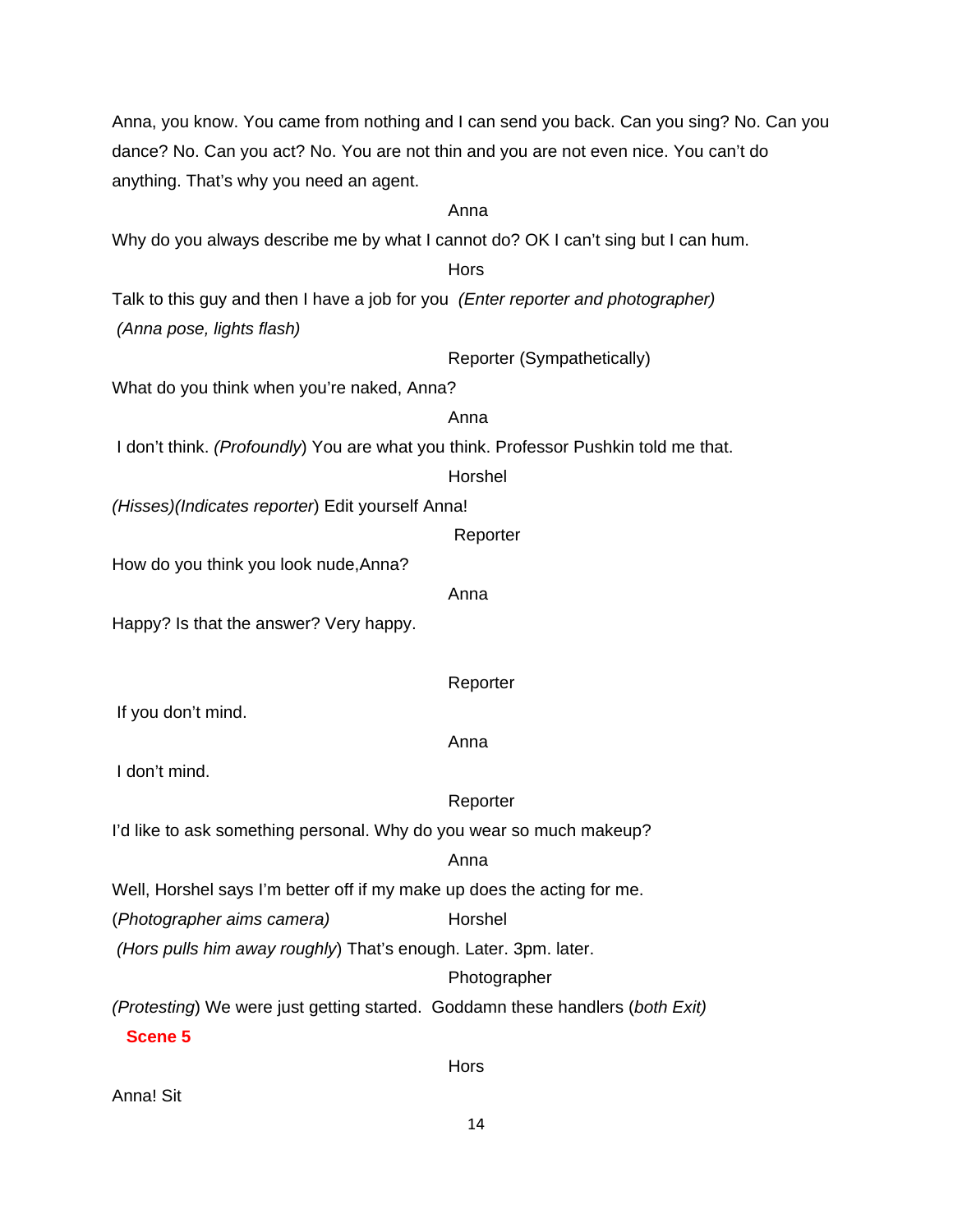Anna, you know. You came from nothing and I can send you back. Can you sing? No. Can you dance? No. Can you act? No. You are not thin and you are not even nice. You can't do anything. That's why you need an agent. Anna Why do you always describe me by what I cannot do? OK I can't sing but I can hum. Hors Talk to this guy and then I have a job for you *(Enter reporter and photographer) (Anna pose, lights flash)*  Reporter (Sympathetically) What do you think when you're naked, Anna? Anna I don't think. *(Profoundly*) You are what you think. Professor Pushkin told me that. Horshel *(Hisses)(Indicates reporter*) Edit yourself Anna! **Reporter** How do you think you look nude,Anna? Anna Happy? Is that the answer? Very happy. Reporter If you don't mind. Anna I don't mind. Reporter I'd like to ask something personal. Why do you wear so much makeup? Anna Well, Horshel says I'm better off if my make up does the acting for me. (*Photographer aims camera*) Horshel  *(Hors pulls him away roughly*) That's enough. Later. 3pm. later. Photographer *(Protesting*) We were just getting started. Goddamn these handlers (*both Exit)* **Scene 5 Horse Horse Hors** Anna! Sit

14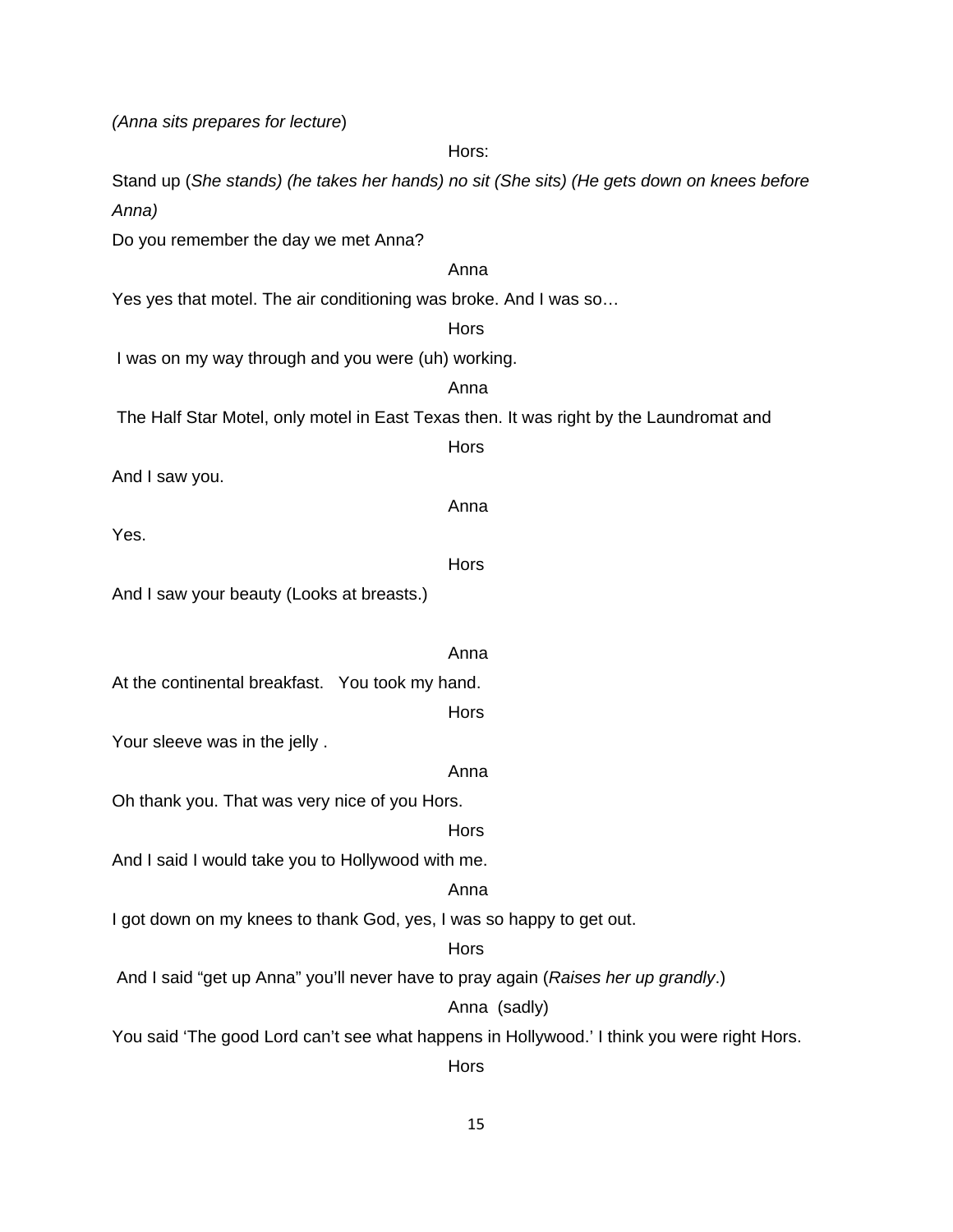*(Anna sits prepares for lecture*)

Hors: Stand up (*She stands) (he takes her hands) no sit (She sits) (He gets down on knees before Anna)* Do you remember the day we met Anna? Anna Yes yes that motel. The air conditioning was broke. And I was so… **Hors**  I was on my way through and you were (uh) working. Anna The Half Star Motel, only motel in East Texas then. It was right by the Laundromat and **Hors** And I saw you. Anna Yes. **Hors** And I saw your beauty (Looks at breasts.) Anna At the continental breakfast. You took my hand. **Hors** Your sleeve was in the jelly . Anna Oh thank you. That was very nice of you Hors. **Hors** And I said I would take you to Hollywood with me. Anna I got down on my knees to thank God, yes, I was so happy to get out. **Horse Horse Hors**  And I said "get up Anna" you'll never have to pray again (*Raises her up grandly*.) Anna (sadly) You said 'The good Lord can't see what happens in Hollywood.' I think you were right Hors. **Hors**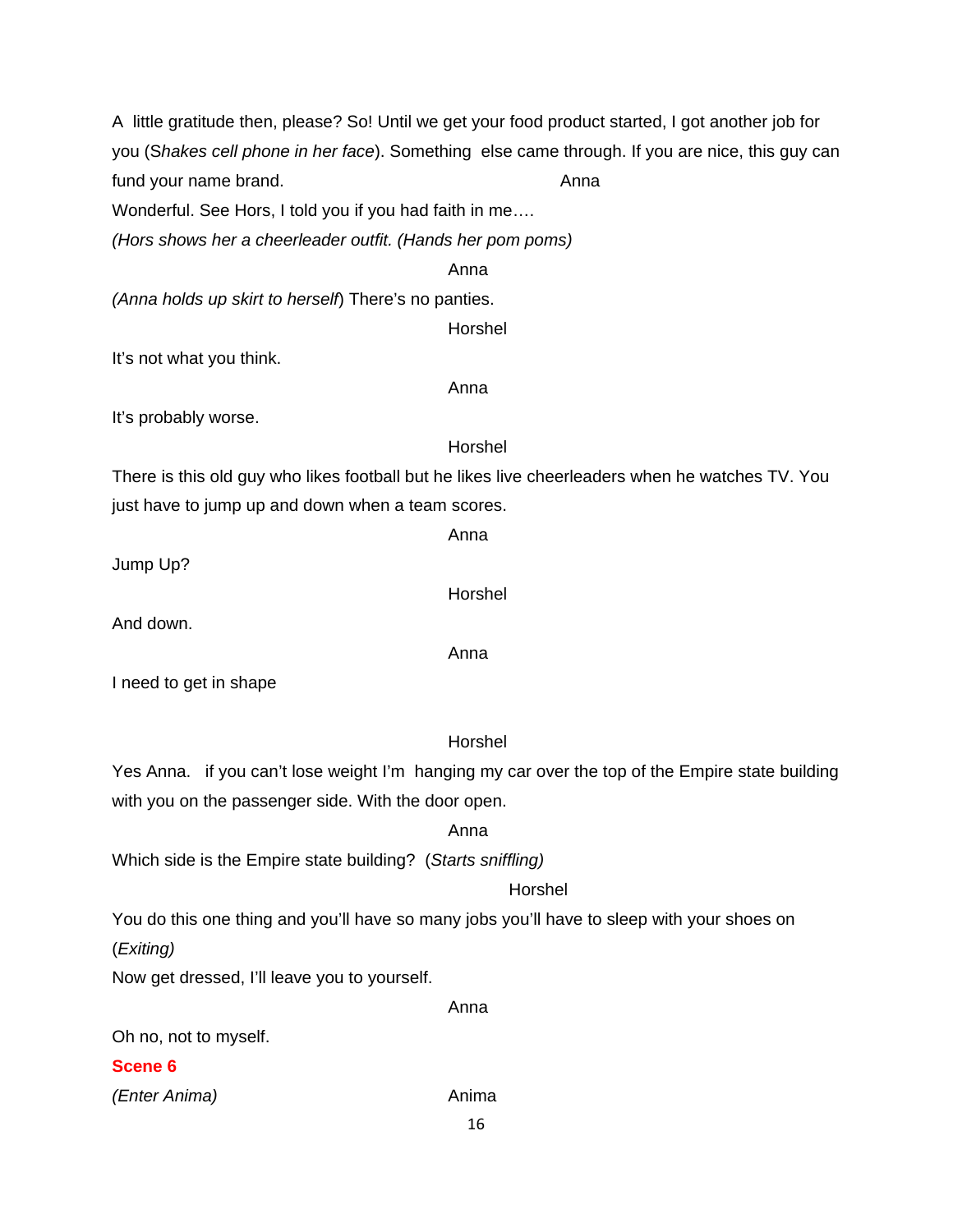16 A little gratitude then, please? So! Until we get your food product started, I got another job for you (S*hakes cell phone in her face*). Something else came through. If you are nice, this guy can fund your name brand. The same state of the state of the Anna Wonderful. See Hors, I told you if you had faith in me…. *(Hors shows her a cheerleader outfit. (Hands her pom poms)*  Anna *(Anna holds up skirt to herself*) There's no panties. Horshel It's not what you think. Anna It's probably worse. Horshel There is this old guy who likes football but he likes live cheerleaders when he watches TV. You just have to jump up and down when a team scores. Anna Jump Up? Horshel And down. Anna I need to get in shape Horshel Yes Anna. if you can't lose weight I'm hanging my car over the top of the Empire state building with you on the passenger side. With the door open. Anna Which side is the Empire state building? (*Starts sniffling)* Horshel You do this one thing and you'll have so many jobs you'll have to sleep with your shoes on (*Exiting)*  Now get dressed, I'll leave you to yourself. Anna Oh no, not to myself. **Scene 6** *(Enter Anima)* Anima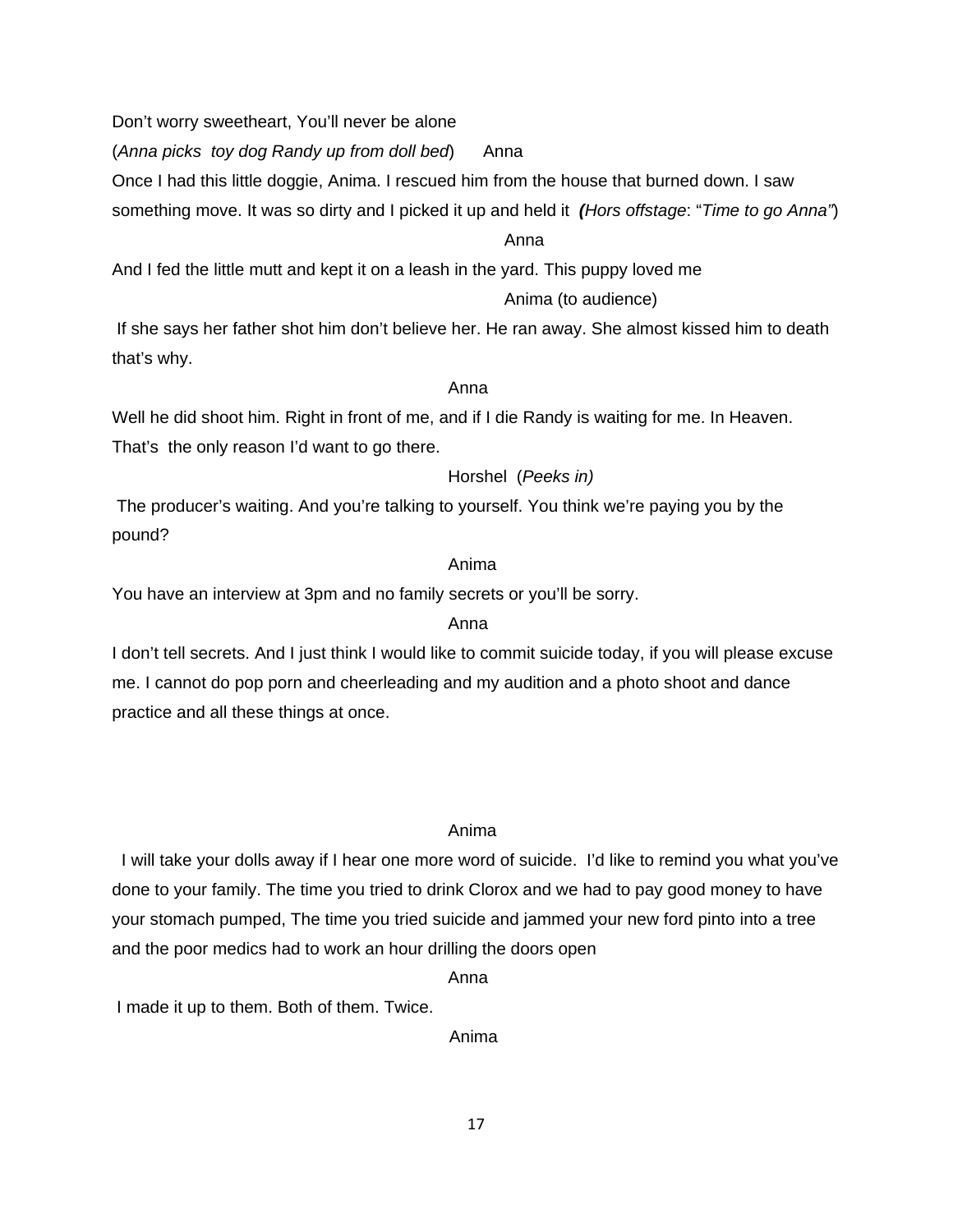Don't worry sweetheart, You'll never be alone

(*Anna picks toy dog Randy up from doll bed*) Anna

Once I had this little doggie, Anima. I rescued him from the house that burned down. I saw

something move. It was so dirty and I picked it up and held it *(Hors offstage*: "*Time to go Anna"*)

# Anna

And I fed the little mutt and kept it on a leash in the yard. This puppy loved me

# Anima (to audience)

 If she says her father shot him don't believe her. He ran away. She almost kissed him to death that's why.

# Anna

Well he did shoot him. Right in front of me, and if I die Randy is waiting for me. In Heaven. That's the only reason I'd want to go there.

# Horshel (*Peeks in)*

 The producer's waiting. And you're talking to yourself. You think we're paying you by the pound?

# Anima

You have an interview at 3pm and no family secrets or you'll be sorry.

# **Anna** Anna anns an t-Iomraid anns an t-Iomraid anns an t-Iomraid anns an t-Iomraid anns an t-Iomraid anns an t-

I don't tell secrets. And I just think I would like to commit suicide today, if you will please excuse me. I cannot do pop porn and cheerleading and my audition and a photo shoot and dance practice and all these things at once.

# Anima

 I will take your dolls away if I hear one more word of suicide. I'd like to remind you what you've done to your family. The time you tried to drink Clorox and we had to pay good money to have your stomach pumped, The time you tried suicide and jammed your new ford pinto into a tree and the poor medics had to work an hour drilling the doors open

**Anna** Anna anns an t-Iomraid anns an t-Iomraid anns an t-Iomraid anns an t-Iomraid anns an t-Iomraid anns an t-

I made it up to them. Both of them. Twice.

Anima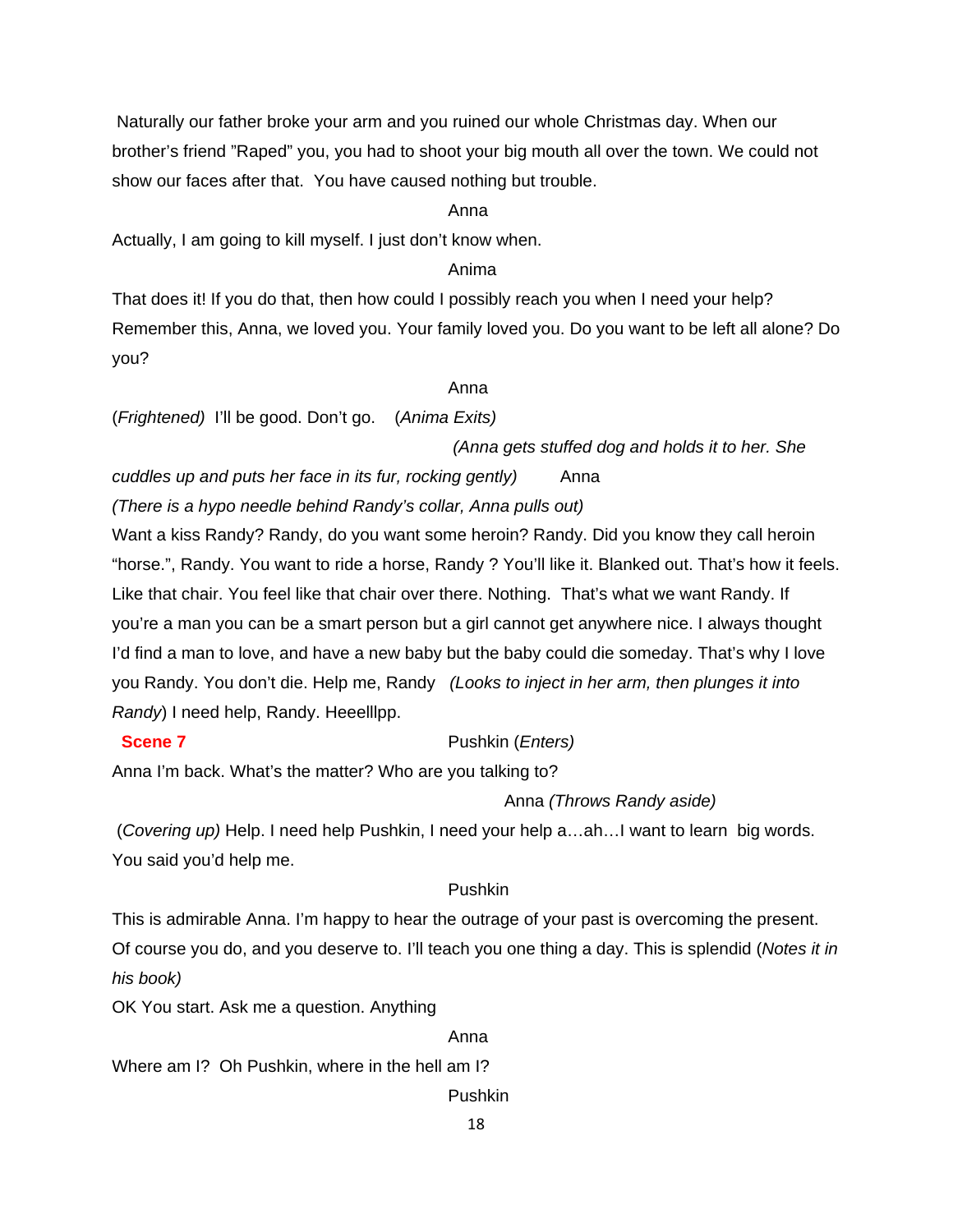Naturally our father broke your arm and you ruined our whole Christmas day. When our brother's friend "Raped" you, you had to shoot your big mouth all over the town. We could not show our faces after that. You have caused nothing but trouble.

#### anns an t-anns an t-anns an t-anns an t-anns an t-anns an t-anns an t-anns an t-anns an t-anns an t-anns an t-

Actually, I am going to kill myself. I just don't know when.

#### Anima

That does it! If you do that, then how could I possibly reach you when I need your help? Remember this, Anna, we loved you. Your family loved you. Do you want to be left all alone? Do you?

#### anns an t-anns an t-anns an t-anns an t-anns an t-anns an t-anns an t-anns an t-anns an t-anns an t-anns an t-

(*Frightened)* I'll be good. Don't go. (*Anima Exits)*

#### *(Anna gets stuffed dog and holds it to her. She*

*cuddles up and puts her face in its fur, rocking gently)* Anna *(There is a hypo needle behind Randy's collar, Anna pulls out)* 

Want a kiss Randy? Randy, do you want some heroin? Randy. Did you know they call heroin "horse.", Randy. You want to ride a horse, Randy ? You'll like it. Blanked out. That's how it feels. Like that chair. You feel like that chair over there. Nothing. That's what we want Randy. If you're a man you can be a smart person but a girl cannot get anywhere nice. I always thought I'd find a man to love, and have a new baby but the baby could die someday. That's why I love you Randy. You don't die. Help me, Randy *(Looks to inject in her arm, then plunges it into Randy*) I need help, Randy. Heeelllpp.

# **Scene 7** Pushkin (*Enters*)

Anna I'm back. What's the matter? Who are you talking to?

# Anna *(Throws Randy aside)*

 (*Covering up)* Help. I need help Pushkin, I need your help a…ah…I want to learn big words. You said you'd help me.

# Pushkin

This is admirable Anna. I'm happy to hear the outrage of your past is overcoming the present. Of course you do, and you deserve to. I'll teach you one thing a day. This is splendid (*Notes it in his book)*

OK You start. Ask me a question. Anything

#### anns an t-anns an t-anns an t-anns an t-anns an t-anns an t-anns an t-anns an t-anns an t-anns an t-anns an t-

Where am I? Oh Pushkin, where in the hell am I?

Pushkin

18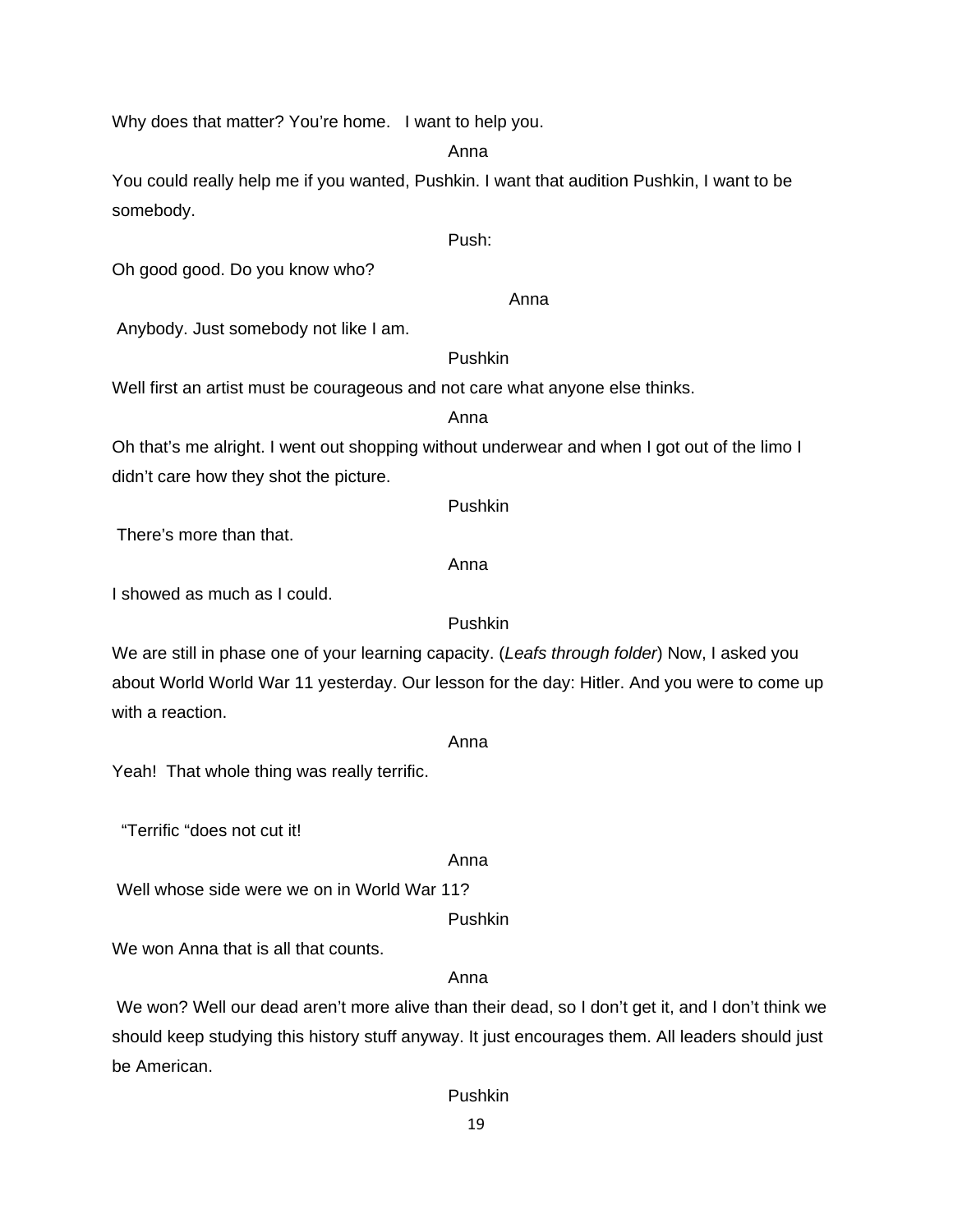Why does that matter? You're home. I want to help you.

Anna

You could really help me if you wanted, Pushkin. I want that audition Pushkin, I want to be somebody.

Push:

Oh good good. Do you know who?

Anna

Anybody. Just somebody not like I am.

#### Pushkin

Well first an artist must be courageous and not care what anyone else thinks.

#### Anna

Oh that's me alright. I went out shopping without underwear and when I got out of the limo I didn't care how they shot the picture.

Pushkin

There's more than that.

# Anna

I showed as much as I could.

# Pushkin

We are still in phase one of your learning capacity. (*Leafs through folder*) Now, I asked you about World World War 11 yesterday. Our lesson for the day: Hitler. And you were to come up with a reaction.

#### Anna

Yeah! That whole thing was really terrific.

"Terrific "does not cut it!

# Anna

Well whose side were we on in World War 11?

Pushkin

We won Anna that is all that counts.

# Anna

 We won? Well our dead aren't more alive than their dead, so I don't get it, and I don't think we should keep studying this history stuff anyway. It just encourages them. All leaders should just be American.

Pushkin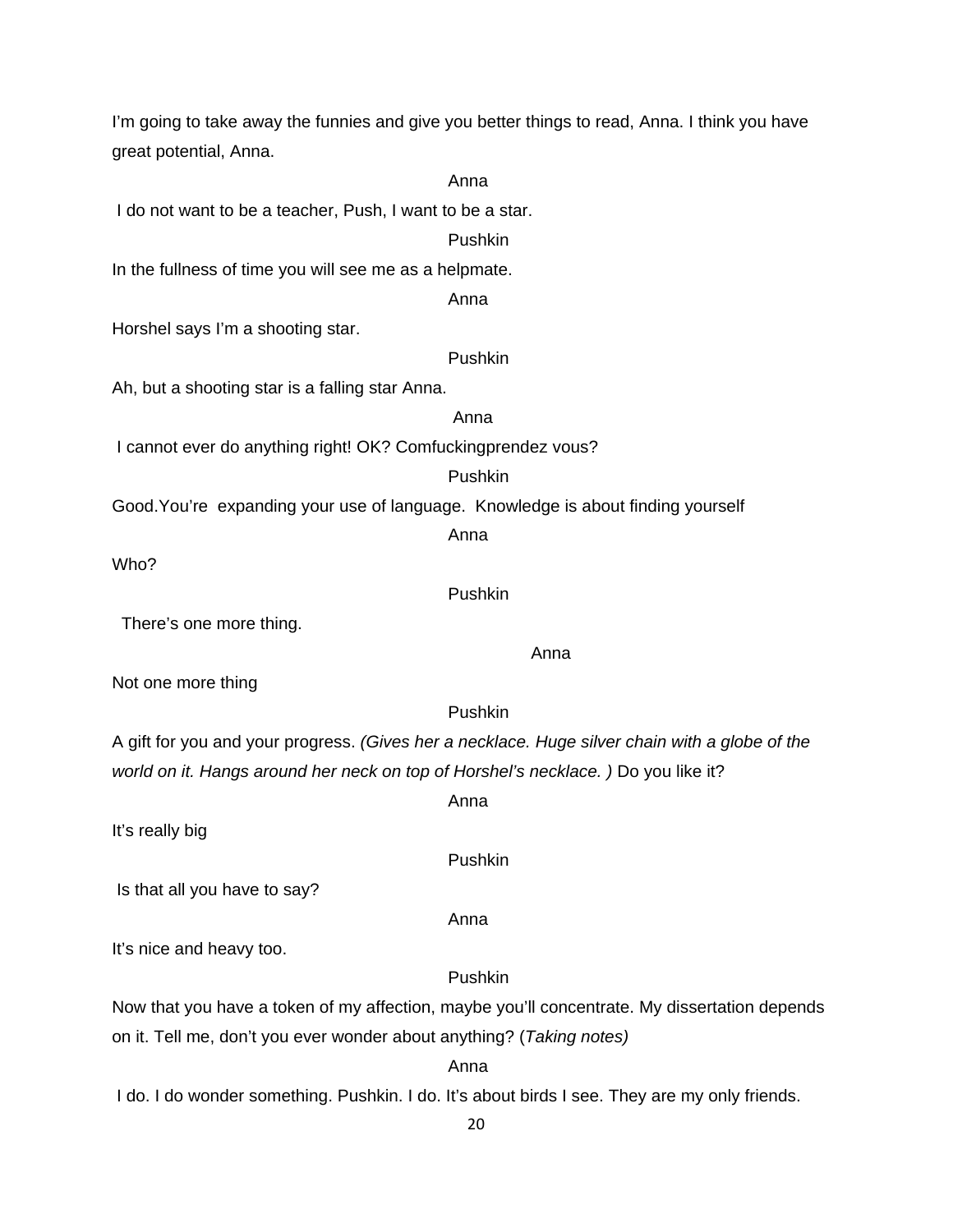20 I'm going to take away the funnies and give you better things to read, Anna. I think you have great potential, Anna. Anna I do not want to be a teacher, Push, I want to be a star. Pushkin In the fullness of time you will see me as a helpmate. Anna Horshel says I'm a shooting star. Pushkin Ah, but a shooting star is a falling star Anna. Anna I cannot ever do anything right! OK? Comfuckingprendez vous? Pushkin Good.You're expanding your use of language. Knowledge is about finding yourself Anna Who? Pushkin There's one more thing. anns an t-anns an t-anns an t-anns an t-anns an t-anns an t-anns an t-anns an t-anns an t-anns an t-anns an t-Not one more thing Pushkin A gift for you and your progress. *(Gives her a necklace. Huge silver chain with a globe of the world on it. Hangs around her neck on top of Horshel's necklace.* ) Do you like it? anns an t-anns an t-anns an t-anns an t-anns an t-anns an t-anns an t-anns an t-anns an t-anns an t-anns an t-It's really big Pushkin Is that all you have to say? **Anna** Anna anns an t-Iomraid anns an t-Iomraid anns an t-Iomraid anns an t-Iomraid anns an t-Iomraid anns an t-It's nice and heavy too. Pushkin Now that you have a token of my affection, maybe you'll concentrate. My dissertation depends on it. Tell me, don't you ever wonder about anything? (*Taking notes)* Anna I do. I do wonder something. Pushkin. I do. It's about birds I see. They are my only friends.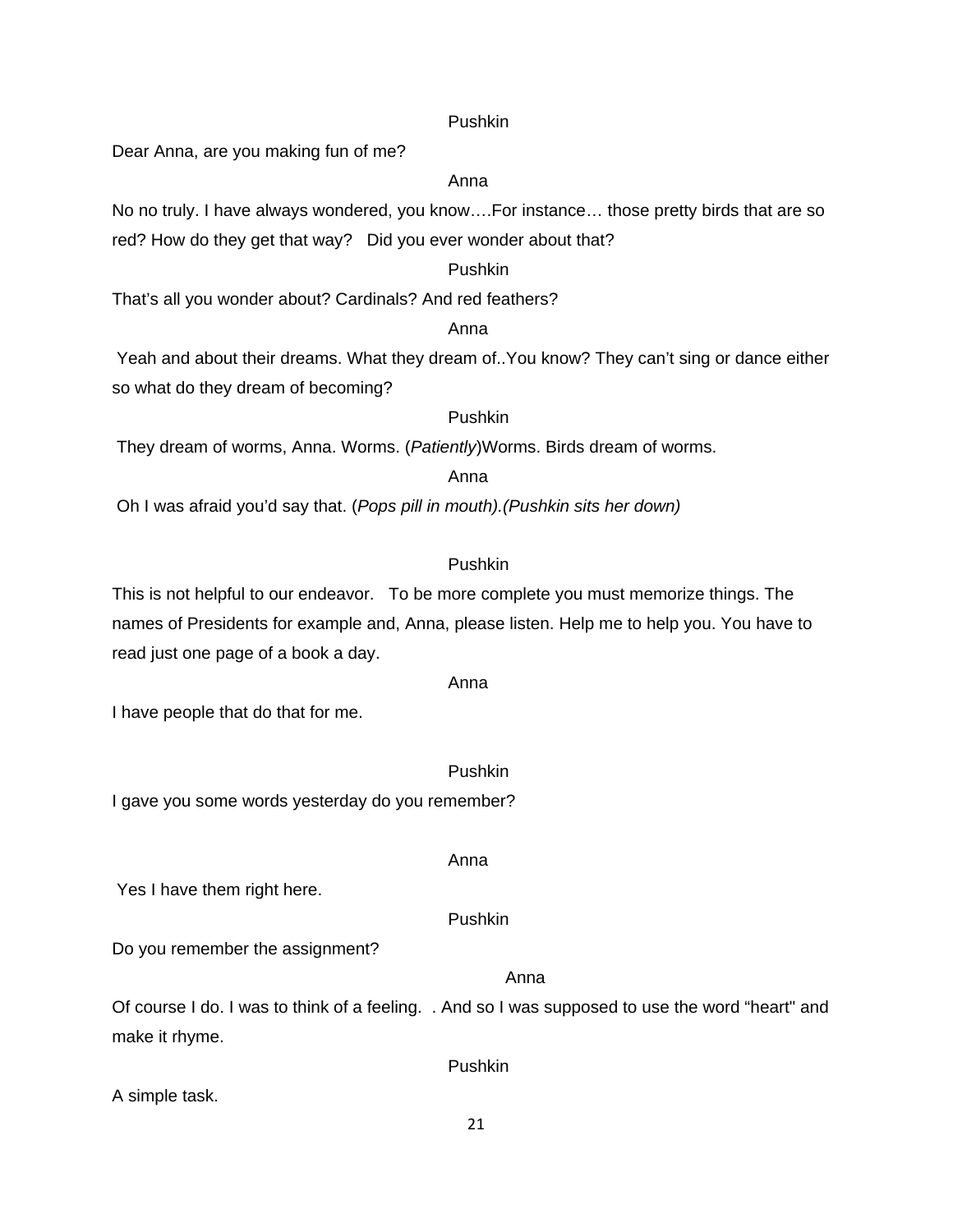#### Pushkin

Dear Anna, are you making fun of me?

#### Anna

No no truly. I have always wondered, you know….For instance… those pretty birds that are so red? How do they get that way? Did you ever wonder about that?

#### Pushkin

That's all you wonder about? Cardinals? And red feathers?

# **Anna** Anna anns an t-Iomraid anns an t-Iomraid anns an t-Iomraid anns an t-Iomraid anns an t-Iomraid anns an t-

 Yeah and about their dreams. What they dream of..You know? They can't sing or dance either so what do they dream of becoming?

# Pushkin

They dream of worms, Anna. Worms. (*Patiently*)Worms. Birds dream of worms.

#### Anna

Oh I was afraid you'd say that. (*Pops pill in mouth).(Pushkin sits her down)*

# Pushkin

This is not helpful to our endeavor. To be more complete you must memorize things. The names of Presidents for example and, Anna, please listen. Help me to help you. You have to read just one page of a book a day.

#### Anna

I have people that do that for me.

#### Pushkin

I gave you some words yesterday do you remember?

#### Yes I have them right here.

#### Pushkin

Anna

Do you remember the assignment?

#### Anna

Of course I do. I was to think of a feeling. . And so I was supposed to use the word "heart" and make it rhyme.

Pushkin

A simple task.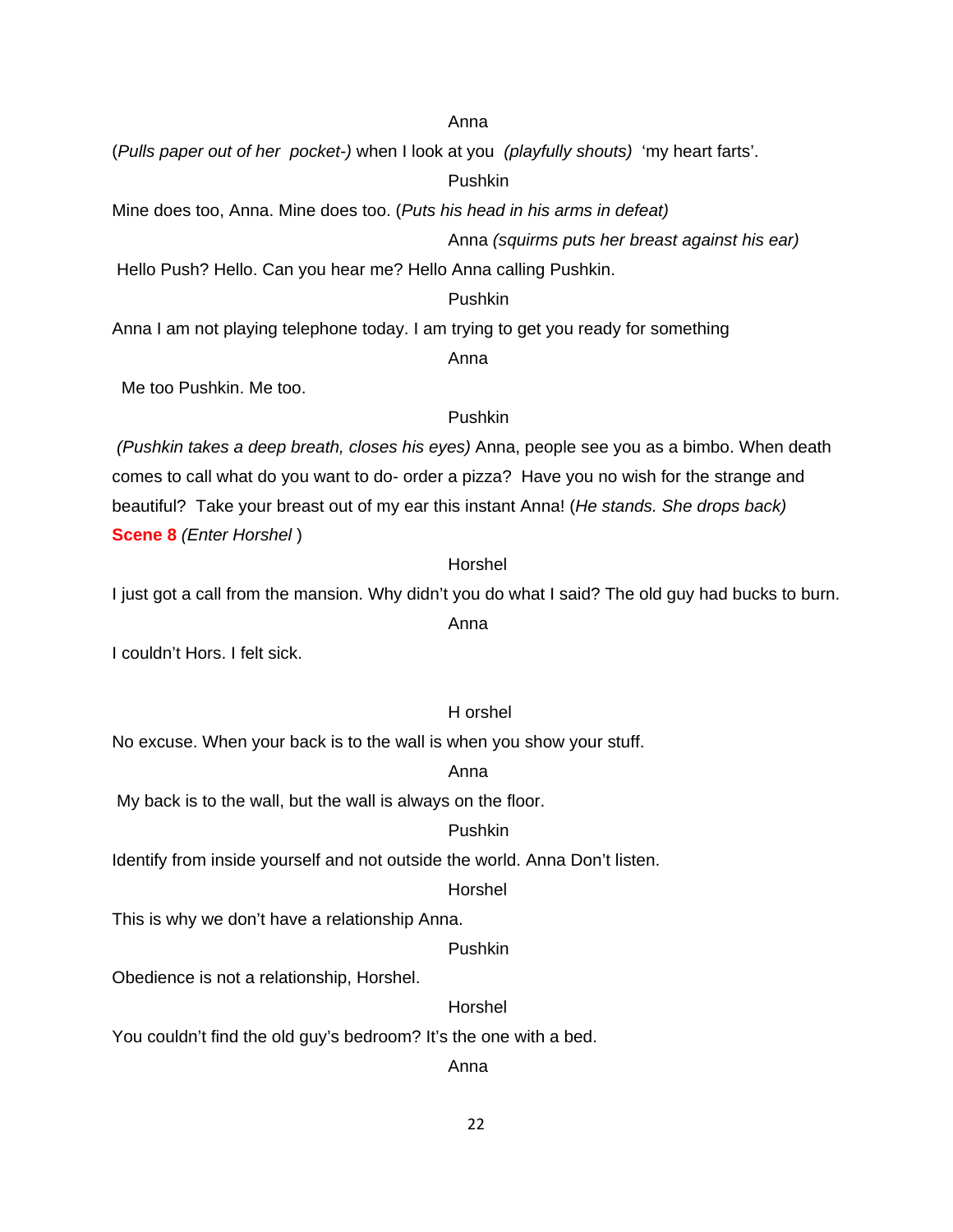#### Anna

(*Pulls paper out of her pocket-)* when I look at you *(playfully shouts)* 'my heart farts'.

Pushkin

Mine does too, Anna. Mine does too. (*Puts his head in his arms in defeat)*

Anna *(squirms puts her breast against his ear)* 

Hello Push? Hello. Can you hear me? Hello Anna calling Pushkin.

# Pushkin

Anna I am not playing telephone today. I am trying to get you ready for something

# Anna

Me too Pushkin. Me too.

#### Pushkin

 *(Pushkin takes a deep breath, closes his eyes)* Anna, people see you as a bimbo. When death comes to call what do you want to do- order a pizza? Have you no wish for the strange and beautiful? Take your breast out of my ear this instant Anna! (*He stands. She drops back)* **Scene 8** *(Enter Horshel* )

# Horshel

I just got a call from the mansion. Why didn't you do what I said? The old guy had bucks to burn.

# Anna

I couldn't Hors. I felt sick.

#### H orshel

No excuse. When your back is to the wall is when you show your stuff.

#### Anna

My back is to the wall, but the wall is always on the floor.

# Pushkin

Identify from inside yourself and not outside the world. Anna Don't listen.

#### Horshel

This is why we don't have a relationship Anna.

#### Pushkin

Obedience is not a relationship, Horshel.

#### Horshel

You couldn't find the old guy's bedroom? It's the one with a bed.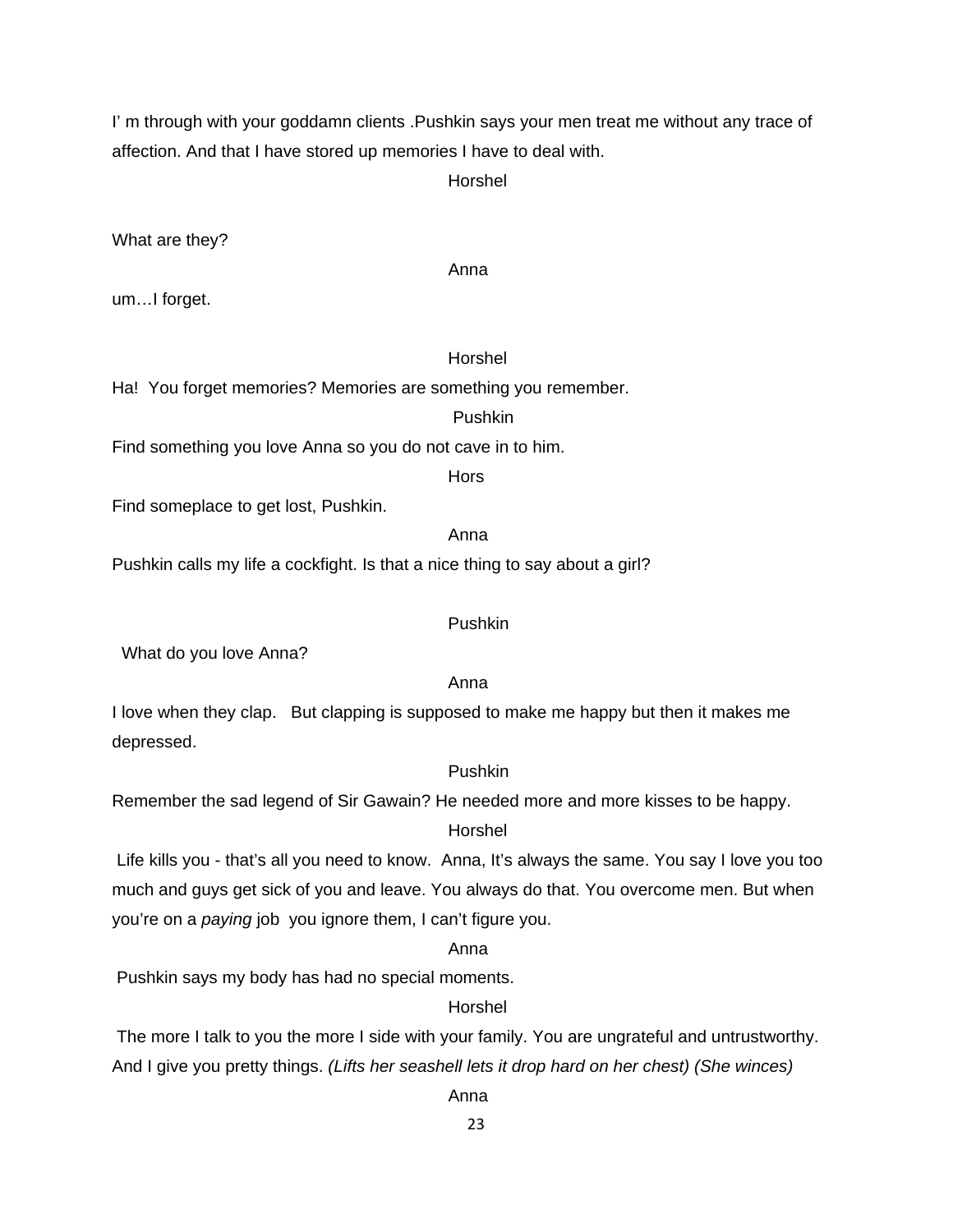I' m through with your goddamn clients .Pushkin says your men treat me without any trace of affection. And that I have stored up memories I have to deal with.

Horshel

What are they?

Anna

um…I forget.

# Horshel

Ha! You forget memories? Memories are something you remember.

#### Pushkin

Find something you love Anna so you do not cave in to him.

**Hors** 

Find someplace to get lost, Pushkin.

# Anna

Pushkin calls my life a cockfight. Is that a nice thing to say about a girl?

#### Pushkin

What do you love Anna?

#### Anna

I love when they clap. But clapping is supposed to make me happy but then it makes me depressed.

# Pushkin

Remember the sad legend of Sir Gawain? He needed more and more kisses to be happy.

#### Horshel

 Life kills you - that's all you need to know. Anna, It's always the same. You say I love you too much and guys get sick of you and leave. You always do that. You overcome men. But when you're on a *paying* job you ignore them, I can't figure you.

### Anna

Pushkin says my body has had no special moments.

# Horshel

 The more I talk to you the more I side with your family. You are ungrateful and untrustworthy. And I give you pretty things. *(Lifts her seashell lets it drop hard on her chest) (She winces)*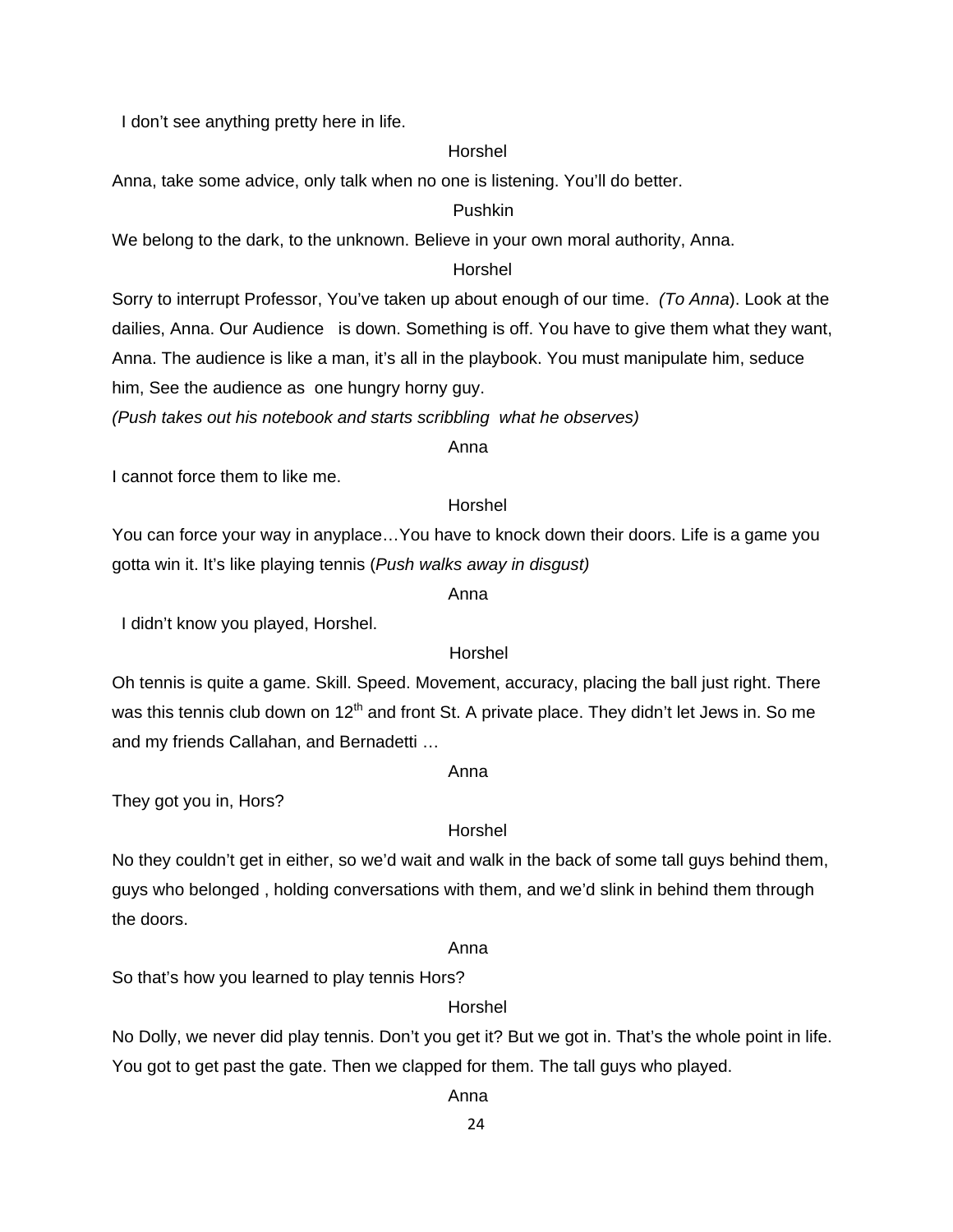I don't see anything pretty here in life.

#### Horshel

Anna, take some advice, only talk when no one is listening. You'll do better.

#### Pushkin

We belong to the dark, to the unknown. Believe in your own moral authority, Anna.

# Horshel

Sorry to interrupt Professor, You've taken up about enough of our time. *(To Anna*). Look at the dailies, Anna. Our Audience is down. Something is off. You have to give them what they want, Anna. The audience is like a man, it's all in the playbook. You must manipulate him, seduce him, See the audience as one hungry horny guy.

*(Push takes out his notebook and starts scribbling what he observes)* 

#### anns an t-anns an t-anns an t-anns an t-anns an t-anns an t-anns an t-anns an t-anns an t-anns an t-anns an t-

I cannot force them to like me.

# Horshel

You can force your way in anyplace…You have to knock down their doors. Life is a game you gotta win it. It's like playing tennis (*Push walks away in disgust)*

#### Anna

I didn't know you played, Horshel.

#### Horshel

Oh tennis is quite a game. Skill. Speed. Movement, accuracy, placing the ball just right. There was this tennis club down on 12<sup>th</sup> and front St. A private place. They didn't let Jews in. So me and my friends Callahan, and Bernadetti …

#### Anna

They got you in, Hors?

#### Horshel

No they couldn't get in either, so we'd wait and walk in the back of some tall guys behind them, guys who belonged , holding conversations with them, and we'd slink in behind them through the doors.

#### Anna

So that's how you learned to play tennis Hors?

#### Horshel

No Dolly, we never did play tennis. Don't you get it? But we got in. That's the whole point in life. You got to get past the gate. Then we clapped for them. The tall guys who played.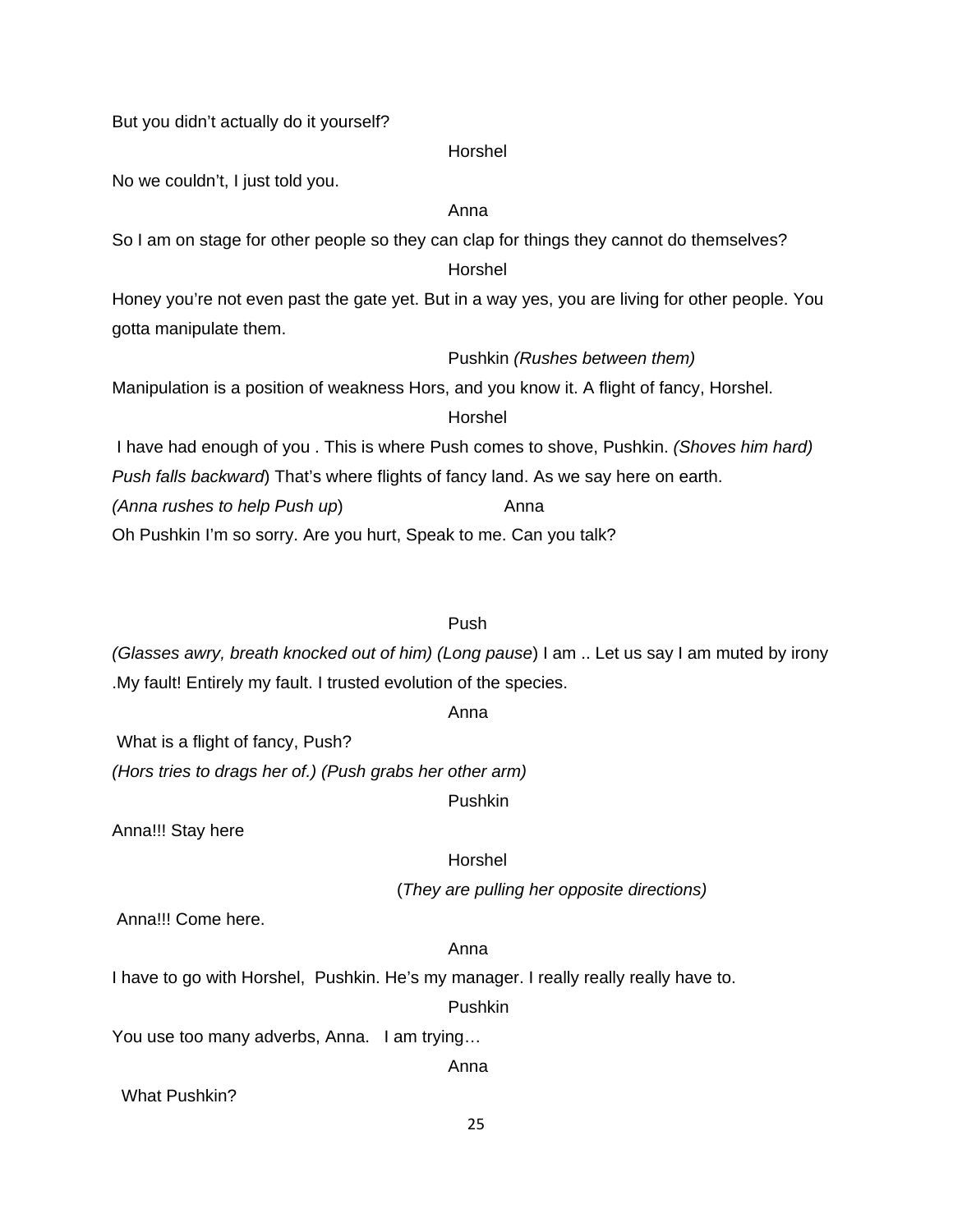But you didn't actually do it yourself?

#### Horshel

No we couldn't, I just told you.

# Anna

So I am on stage for other people so they can clap for things they cannot do themselves?

# Horshel

Honey you're not even past the gate yet. But in a way yes, you are living for other people. You gotta manipulate them.

#### Pushkin *(Rushes between them)*

Manipulation is a position of weakness Hors, and you know it. A flight of fancy, Horshel.

#### Horshel

 I have had enough of you . This is where Push comes to shove, Pushkin. *(Shoves him hard) Push falls backward*) That's where flights of fancy land. As we say here on earth. *(Anna rushes to help Push up)* Anna Oh Pushkin I'm so sorry. Are you hurt, Speak to me. Can you talk?

# Push

*(Glasses awry, breath knocked out of him) (Long pause*) I am .. Let us say I am muted by irony .My fault! Entirely my fault. I trusted evolution of the species.

#### Anna

What is a flight of fancy, Push?

*(Hors tries to drags her of.) (Push grabs her other arm)*

Pushkin

Anna!!! Stay here

#### Horshel

(*They are pulling her opposite directions)*

Anna!!! Come here.

# Anna

I have to go with Horshel, Pushkin. He's my manager. I really really really have to.

#### Pushkin

You use too many adverbs, Anna. I am trying…

Anna

What Pushkin?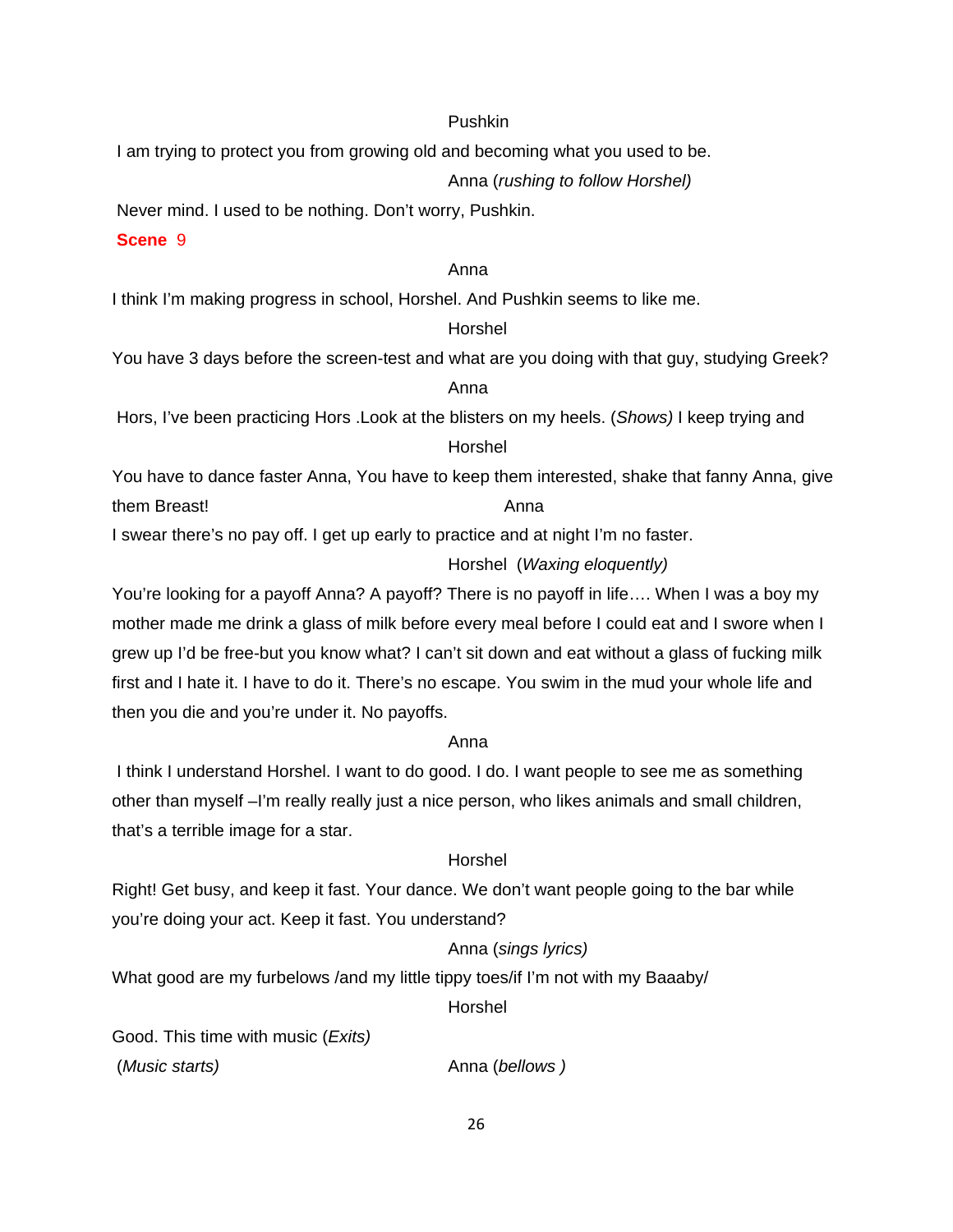#### Pushkin

I am trying to protect you from growing old and becoming what you used to be.

Anna (*rushing to follow Horshel)* 

Never mind. I used to be nothing. Don't worry, Pushkin.

#### **Scene** 9

#### Anna

I think I'm making progress in school, Horshel. And Pushkin seems to like me.

#### Horshel

You have 3 days before the screen-test and what are you doing with that guy, studying Greek?

# anns an t-anns an t-anns an t-anns an t-anns an t-anns an t-anns an t-anns an t-anns an t-anns an t-anns an t-

 Hors, I've been practicing Hors .Look at the blisters on my heels. (*Shows)* I keep trying and Horshel

You have to dance faster Anna, You have to keep them interested, shake that fanny Anna, give them Breast! Anna

I swear there's no pay off. I get up early to practice and at night I'm no faster.

# Horshel (*Waxing eloquently)*

You're looking for a payoff Anna? A payoff? There is no payoff in life…. When I was a boy my mother made me drink a glass of milk before every meal before I could eat and I swore when I grew up I'd be free-but you know what? I can't sit down and eat without a glass of fucking milk first and I hate it. I have to do it. There's no escape. You swim in the mud your whole life and then you die and you're under it. No payoffs.

#### Anna

 I think I understand Horshel. I want to do good. I do. I want people to see me as something other than myself –I'm really really just a nice person, who likes animals and small children, that's a terrible image for a star.

# Horshel

Right! Get busy, and keep it fast. Your dance. We don't want people going to the bar while you're doing your act. Keep it fast. You understand?

# Anna (*sings lyrics)*

What good are my furbelows /and my little tippy toes/if I'm not with my Baaaby/

Horshel

Good. This time with music (*Exits)* (*Music starts)* Anna (*bellows )*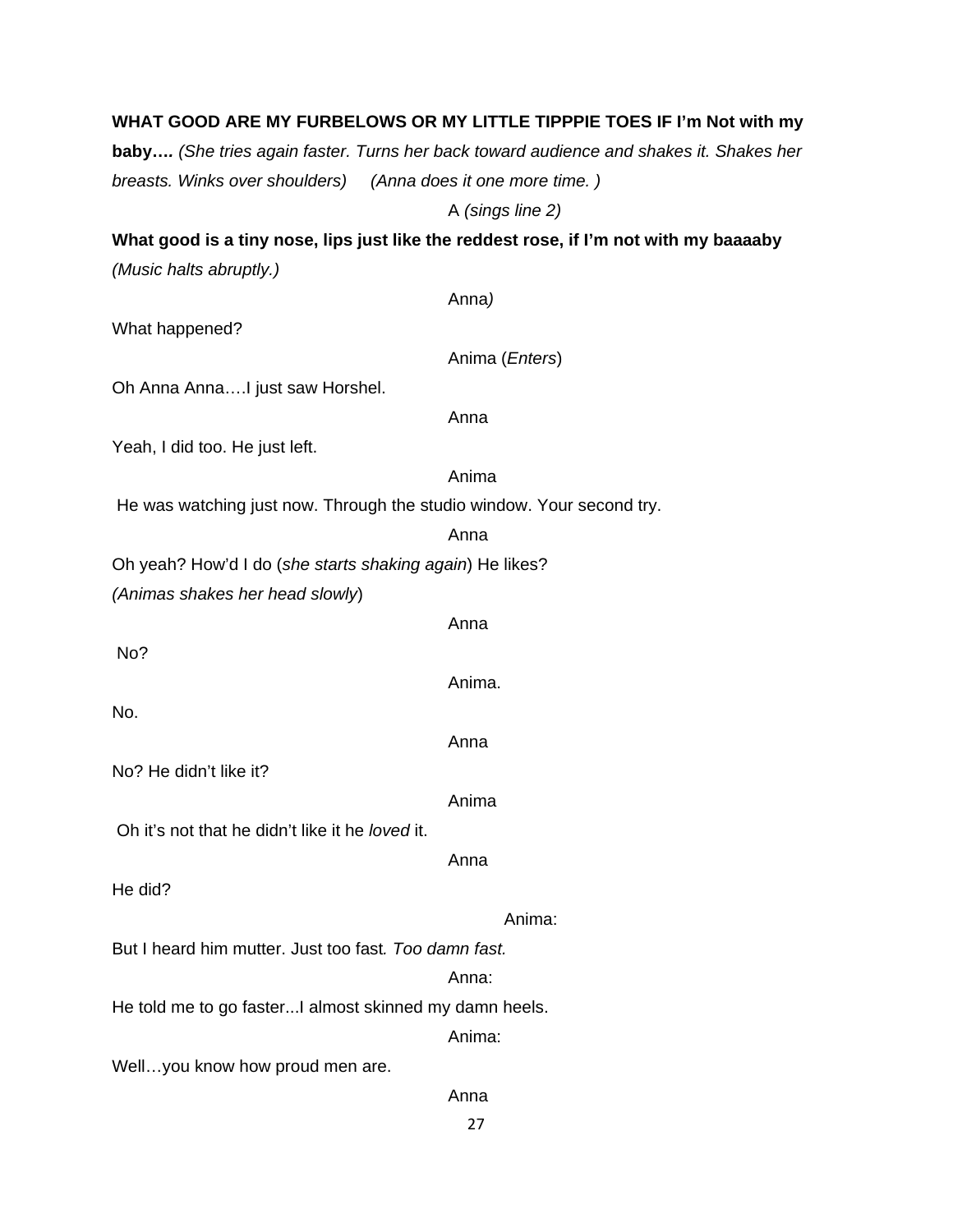|                                                          | baby (She tries again faster. Turns her back toward audience and shakes it. Shakes her |
|----------------------------------------------------------|----------------------------------------------------------------------------------------|
| breasts. Winks over shoulders)                           | (Anna does it one more time.)                                                          |
|                                                          | A (sings line 2)                                                                       |
|                                                          | What good is a tiny nose, lips just like the reddest rose, if I'm not with my baaaaby  |
| (Music halts abruptly.)                                  |                                                                                        |
|                                                          | Anna)                                                                                  |
| What happened?                                           |                                                                                        |
|                                                          | Anima ( <i>Enters</i> )                                                                |
| Oh Anna AnnaI just saw Horshel.                          |                                                                                        |
|                                                          | Anna                                                                                   |
| Yeah, I did too. He just left.                           |                                                                                        |
|                                                          | Anima                                                                                  |
|                                                          | He was watching just now. Through the studio window. Your second try.                  |
|                                                          | Anna                                                                                   |
| Oh yeah? How'd I do (she starts shaking again) He likes? |                                                                                        |
| (Animas shakes her head slowly)                          |                                                                                        |
|                                                          | Anna                                                                                   |
| No?                                                      |                                                                                        |
|                                                          | Anima.                                                                                 |
| No.                                                      |                                                                                        |
|                                                          | Anna                                                                                   |
| No? He didn't like it?                                   |                                                                                        |
|                                                          | Anima                                                                                  |
| Oh it's not that he didn't like it he loved it.          |                                                                                        |
|                                                          | Anna                                                                                   |
| He did?                                                  |                                                                                        |
|                                                          | Anima:                                                                                 |
| But I heard him mutter, Just too fast, Too damn fast.    |                                                                                        |
|                                                          | Anna:                                                                                  |
| He told me to go faster I almost skinned my damn heels.  |                                                                                        |
|                                                          | Anima:                                                                                 |
| Wellyou know how proud men are.                          |                                                                                        |
|                                                          | Anna                                                                                   |
|                                                          | 27                                                                                     |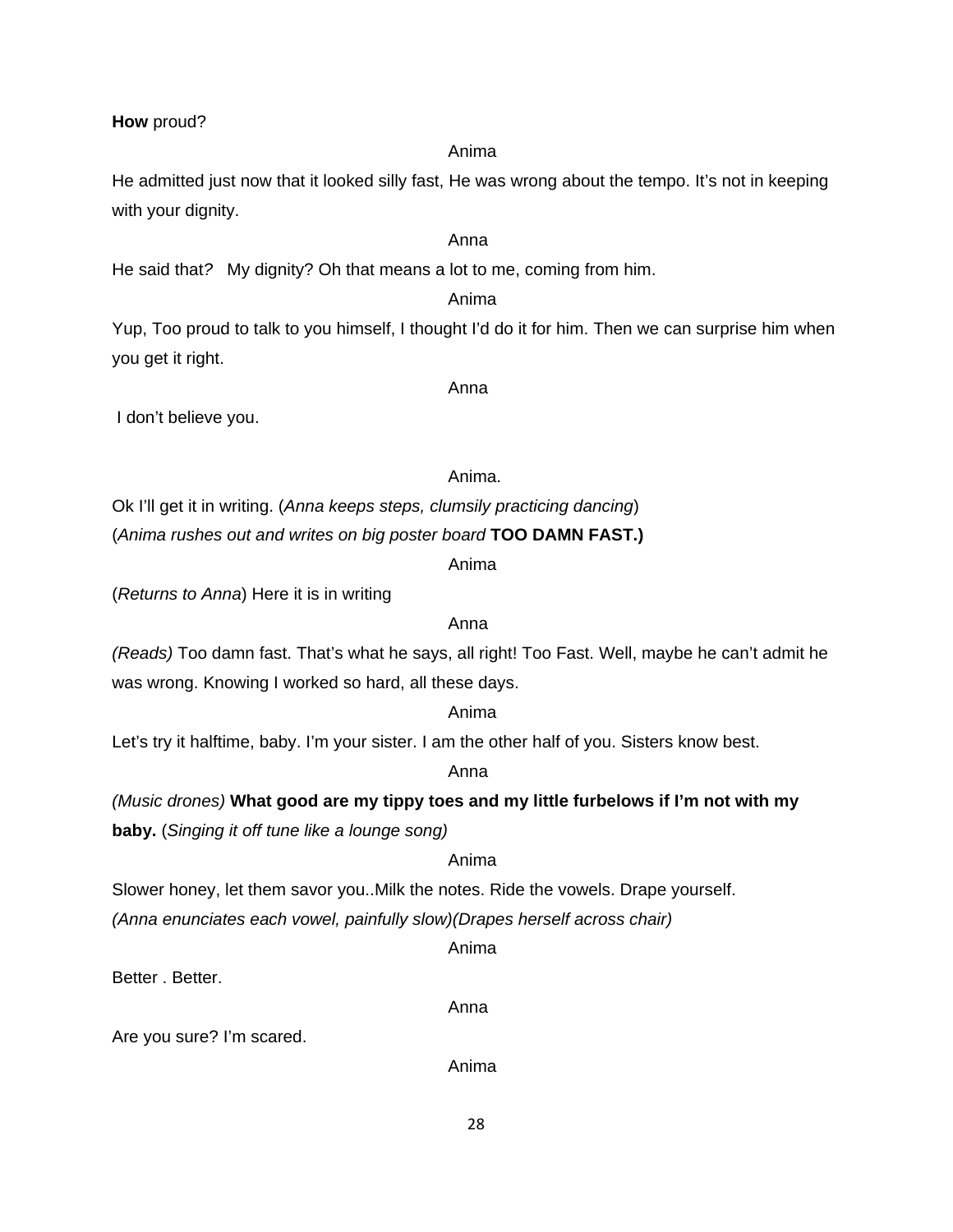#### **How** proud?

He admitted just now that it looked silly fast, He was wrong about the tempo. It's not in keeping with your dignity.

# Anna

He said that*?* My dignity? Oh that means a lot to me, coming from him.

# Anima

Yup, Too proud to talk to you himself, I thought I'd do it for him. Then we can surprise him when you get it right.

Anna

I don't believe you.

# Anima.

Ok I'll get it in writing. (*Anna keeps steps, clumsily practicing dancing*)

(*Anima rushes out and writes on big poster board* **TOO DAMN FAST.)**

Anima

(*Returns to Anna*) Here it is in writing

# Anna

*(Reads)* Too damn fast. That's what he says, all right! Too Fast. Well, maybe he can't admit he was wrong. Knowing I worked so hard, all these days.

#### Anima

Let's try it halftime, baby. I'm your sister. I am the other half of you. Sisters know best.

#### Anna

*(Music drones)* **What good are my tippy toes and my little furbelows if I'm not with my baby.** (*Singing it off tune like a lounge song)* 

#### Anima

Slower honey, let them savor you..Milk the notes. Ride the vowels. Drape yourself.

*(Anna enunciates each vowel, painfully slow)(Drapes herself across chair)* 

Anima

Better . Better.

Anna

Are you sure? I'm scared.

Anima

# Anima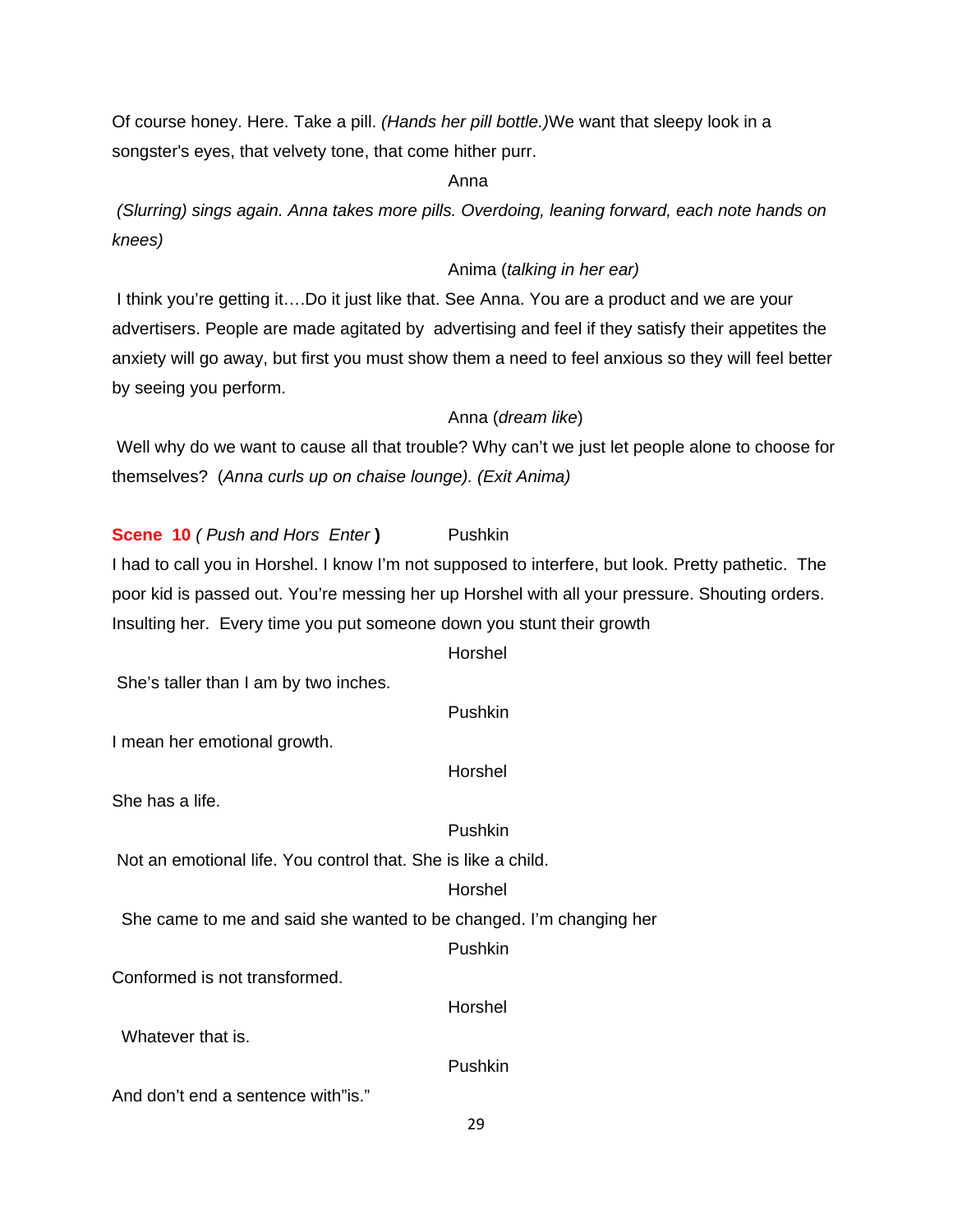Of course honey. Here. Take a pill. *(Hands her pill bottle.)*We want that sleepy look in a songster's eyes, that velvety tone, that come hither purr.

Anna

 *(Slurring) sings again. Anna takes more pills. Overdoing, leaning forward, each note hands on knees)* 

#### Anima (*talking in her ear)*

 I think you're getting it….Do it just like that. See Anna. You are a product and we are your advertisers. People are made agitated by advertising and feel if they satisfy their appetites the anxiety will go away, but first you must show them a need to feel anxious so they will feel better by seeing you perform.

#### Anna (*dream like*)

 Well why do we want to cause all that trouble? Why can't we just let people alone to choose for themselves? (*Anna curls up on chaise lounge). (Exit Anima)* 

**Scene 10** *( Push and Hors Enter* ) Pushkin I had to call you in Horshel. I know I'm not supposed to interfere, but look. Pretty pathetic. The poor kid is passed out. You're messing her up Horshel with all your pressure. Shouting orders. Insulting her. Every time you put someone down you stunt their growth

#### Horshel

She's taller than I am by two inches.

#### Pushkin

I mean her emotional growth.

Horshel

She has a life.

#### Pushkin

Not an emotional life. You control that. She is like a child.

#### Horshel

She came to me and said she wanted to be changed. I'm changing her

#### Pushkin

Horshel

Conformed is not transformed.

Whatever that is.

Pushkin

And don't end a sentence with"is."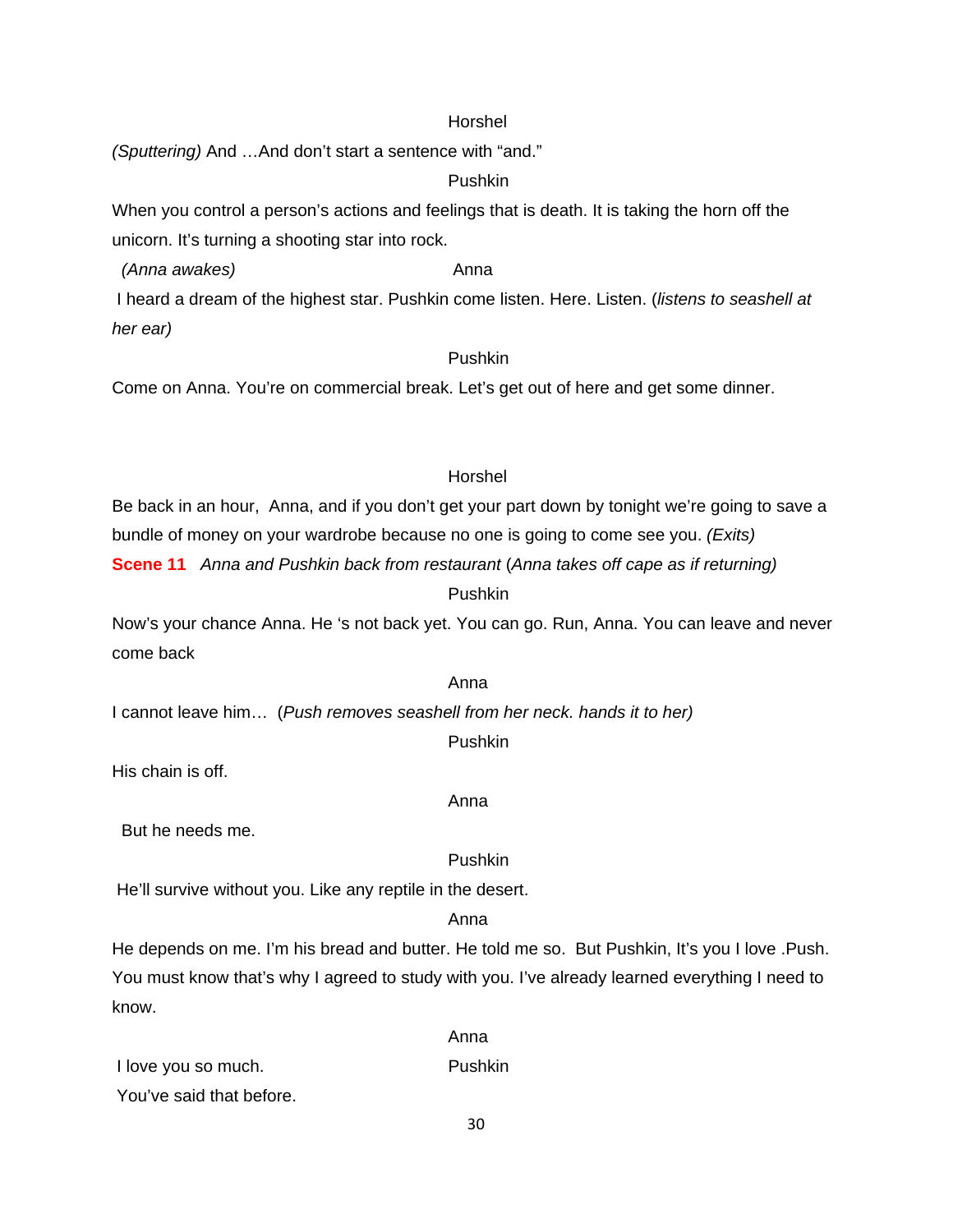#### Horshel

*(Sputtering)* And …And don't start a sentence with "and."

# Pushkin

When you control a person's actions and feelings that is death. It is taking the horn off the unicorn. It's turning a shooting star into rock.

*(Anna awakes)* and *Anna* 

 I heard a dream of the highest star. Pushkin come listen. Here. Listen. (*listens to seashell at her ear)*

# Pushkin

Come on Anna. You're on commercial break. Let's get out of here and get some dinner.

# Horshel

Be back in an hour, Anna, and if you don't get your part down by tonight we're going to save a bundle of money on your wardrobe because no one is going to come see you. *(Exits)*  **Scene 11** *Anna and Pushkin back from restaurant* (*Anna takes off cape as if returning)*

#### Pushkin

Now's your chance Anna. He 's not back yet. You can go. Run, Anna. You can leave and never come back

#### Anna

I cannot leave him… (*Push removes seashell from her neck. hands it to her)* 

# Pushkin

His chain is off.

But he needs me.

#### Pushkin

He'll survive without you. Like any reptile in the desert.

anns an t-anns an t-anns an t-anns an t-anns an t-anns an t-anns an t-anns an t-anns an t-anns an t-anns an t-

#### Anna

He depends on me. I'm his bread and butter. He told me so. But Pushkin, It's you I love .Push. You must know that's why I agreed to study with you. I've already learned everything I need to know.

|                          | Anna           |
|--------------------------|----------------|
| I love you so much.      | <b>Pushkin</b> |
| You've said that before. |                |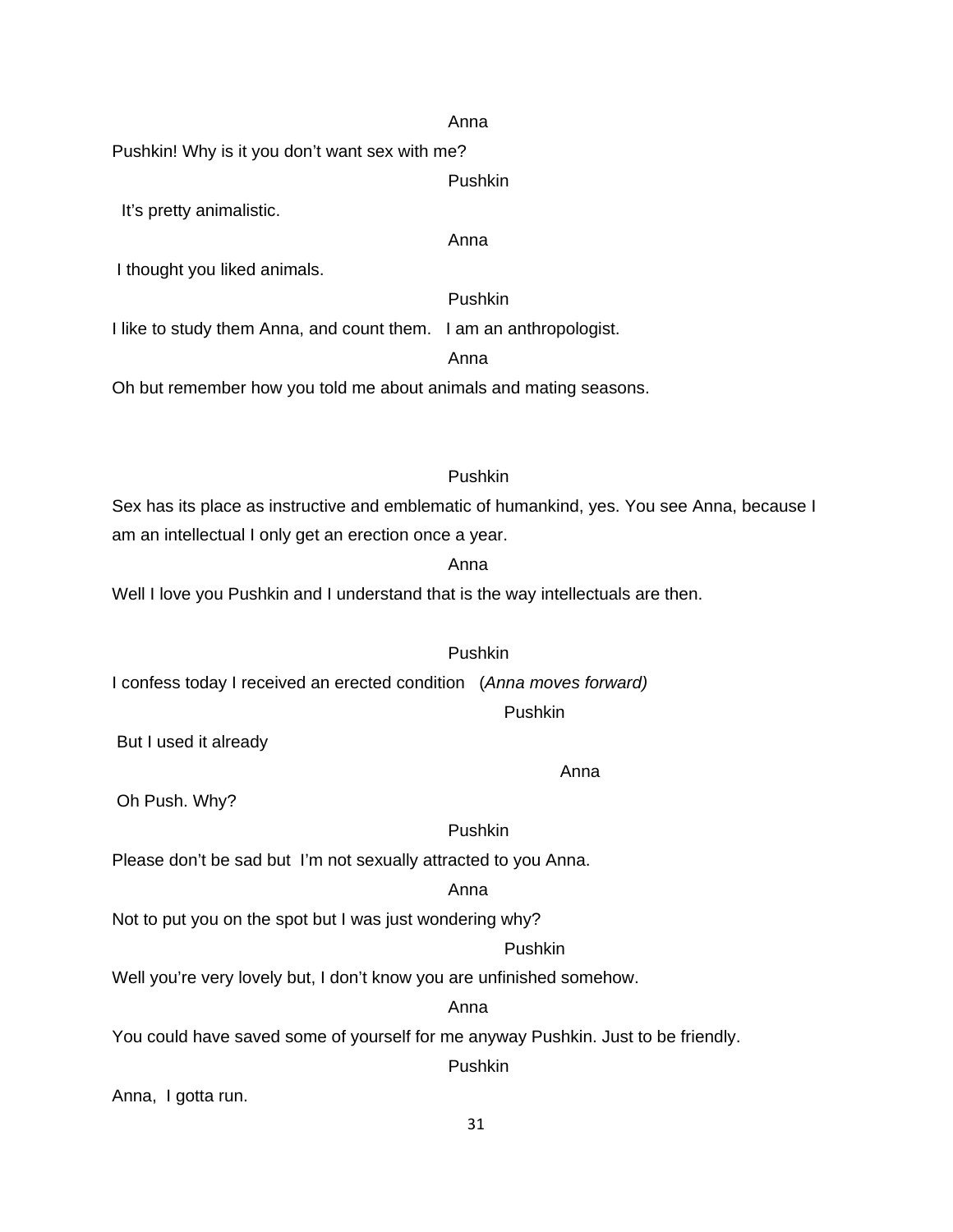#### Anna

Pushkin! Why is it you don't want sex with me?

Pushkin

It's pretty animalistic.

Anna

I thought you liked animals.

Pushkin

I like to study them Anna, and count them. I am an anthropologist.

Anna

Oh but remember how you told me about animals and mating seasons.

# Pushkin

Sex has its place as instructive and emblematic of humankind, yes. You see Anna, because I am an intellectual I only get an erection once a year.

#### anns an t-anns an t-anns an t-anns an t-anns an t-anns an t-anns an t-anns an t-anns an t-anns an t-anns an t-

Well I love you Pushkin and I understand that is the way intellectuals are then.

# Pushkin

I confess today I received an erected condition (*Anna moves forward)*

# Pushkin

But I used it already

Anna

Oh Push. Why?

# Pushkin

Please don't be sad but I'm not sexually attracted to you Anna.

#### Anna

Not to put you on the spot but I was just wondering why?

#### Pushkin

Well you're very lovely but, I don't know you are unfinished somehow.

#### Anna

You could have saved some of yourself for me anyway Pushkin. Just to be friendly.

Pushkin

Anna, I gotta run.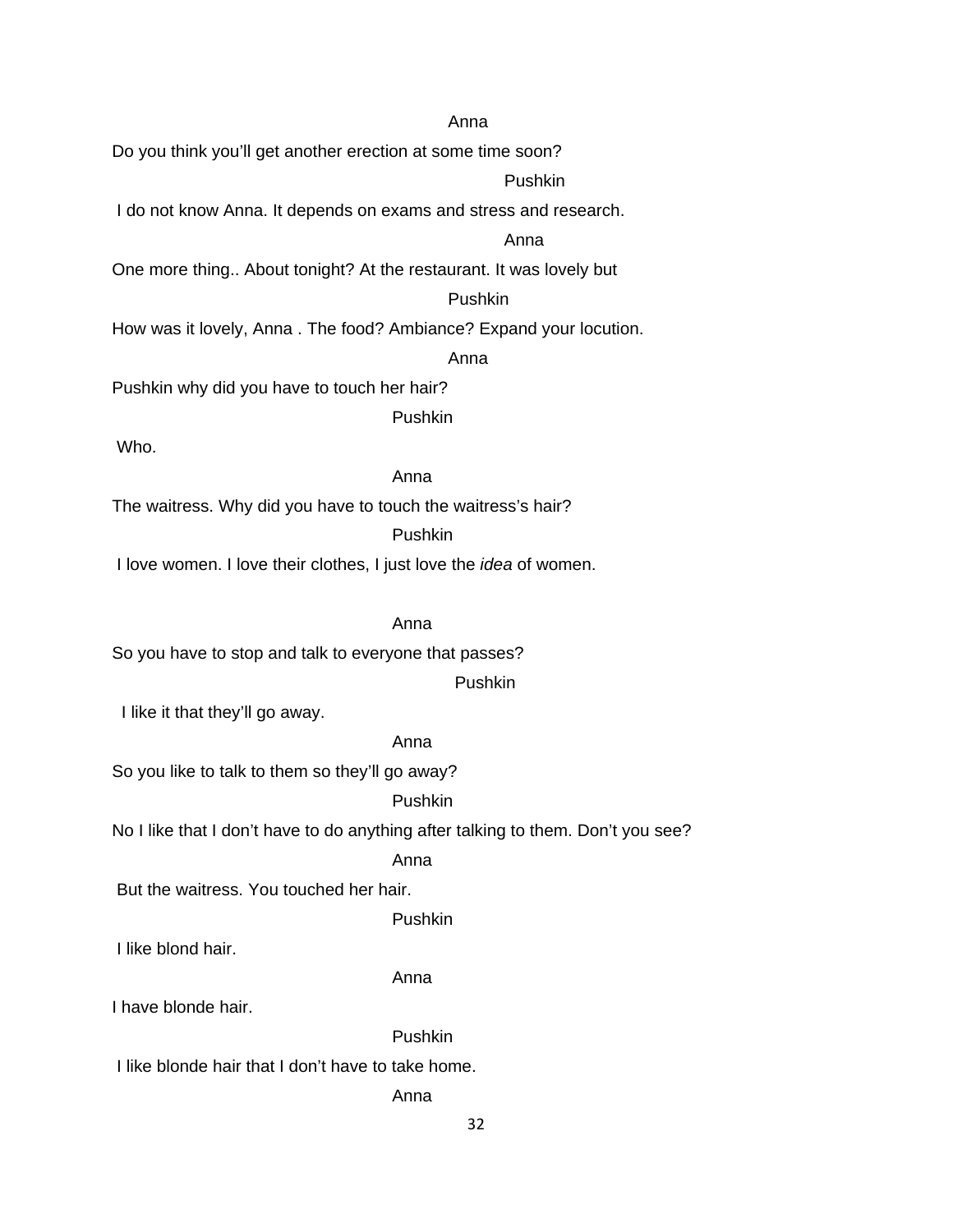#### Anna

Do you think you'll get another erection at some time soon?

# Pushkin

I do not know Anna. It depends on exams and stress and research.

#### Anna

One more thing.. About tonight? At the restaurant. It was lovely but

# Pushkin

How was it lovely, Anna . The food? Ambiance? Expand your locution.

#### Anna

Pushkin why did you have to touch her hair?

Pushkin

Who.

#### Anna

The waitress. Why did you have to touch the waitress's hair?

Pushkin

I love women. I love their clothes, I just love the *idea* of women.

# Anna

So you have to stop and talk to everyone that passes?

Pushkin

I like it that they'll go away.

#### Anna

So you like to talk to them so they'll go away?

#### Pushkin

No I like that I don't have to do anything after talking to them. Don't you see?

#### Anna

But the waitress. You touched her hair.

Pushkin

I like blond hair.

# Anna

I have blonde hair.

#### Pushkin

I like blonde hair that I don't have to take home.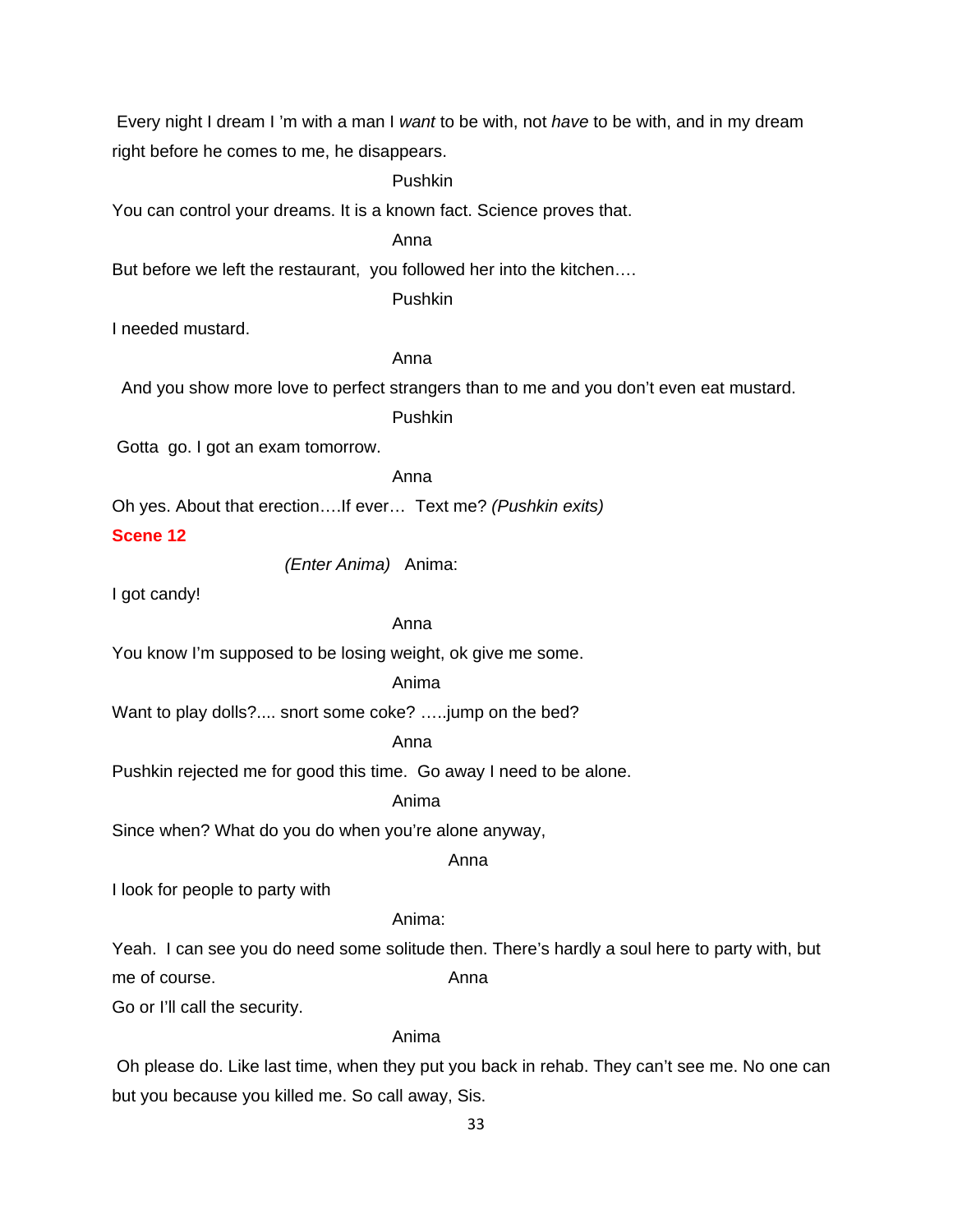Every night I dream I 'm with a man I *want* to be with, not *have* to be with, and in my dream right before he comes to me, he disappears.

Pushkin

You can control your dreams. It is a known fact. Science proves that.

Anna

But before we left the restaurant, you followed her into the kitchen….

Pushkin

I needed mustard.

Anna

And you show more love to perfect strangers than to me and you don't even eat mustard.

Pushkin

Gotta go. I got an exam tomorrow.

Anna

Oh yes. About that erection….If ever… Text me? *(Pushkin exits)*

# **Scene 12**

 *(Enter Anima)* Anima:

I got candy!

#### Anna

You know I'm supposed to be losing weight, ok give me some.

#### Anima

Want to play dolls?.... snort some coke? …..jump on the bed?

#### Anna

Pushkin rejected me for good this time. Go away I need to be alone.

#### Anima

Since when? What do you do when you're alone anyway,

anns an t-anns an t-anns an t-anns an t-anns an t-anns an t-anns an t-anns an t-anns an t-anns an t-anns an t-

I look for people to party with

#### Anima:

Yeah. I can see you do need some solitude then. There's hardly a soul here to party with, but me of course. Anna

Go or I'll call the security.

# Anima

 Oh please do. Like last time, when they put you back in rehab. They can't see me. No one can but you because you killed me. So call away, Sis.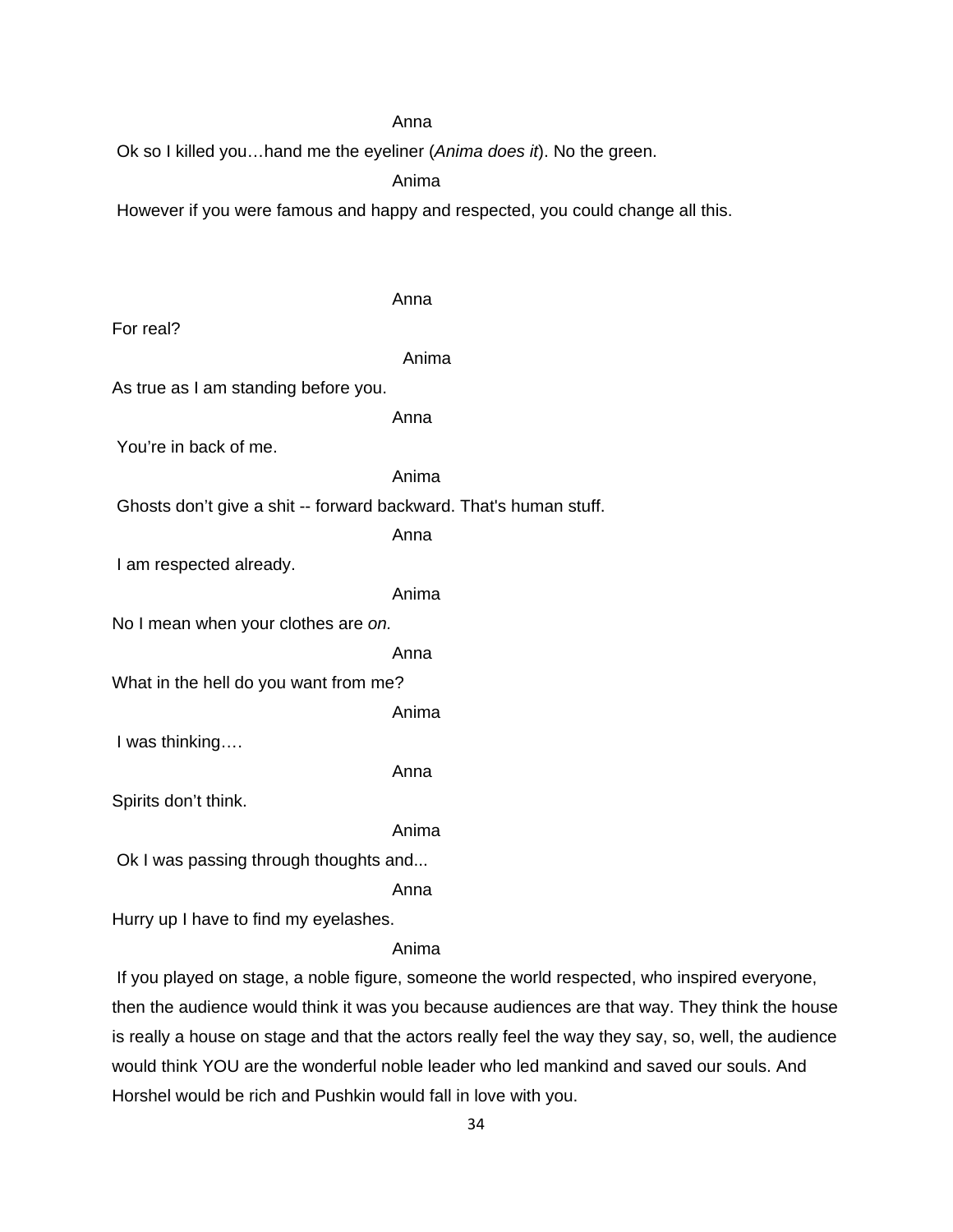# Anna

Ok so I killed you…hand me the eyeliner (*Anima does it*). No the green.

Anima

Anna

However if you were famous and happy and respected, you could change all this.

| For real?                                                         |       |
|-------------------------------------------------------------------|-------|
|                                                                   | Anima |
| As true as I am standing before you.                              |       |
|                                                                   | Anna  |
| You're in back of me.                                             |       |
|                                                                   | Anima |
| Ghosts don't give a shit -- forward backward. That's human stuff. |       |
|                                                                   | Anna  |
| I am respected already.                                           |       |
|                                                                   | Anima |
| No I mean when your clothes are on.                               |       |
|                                                                   | Anna  |
| What in the hell do you want from me?                             |       |
|                                                                   | Anima |
| I was thinking                                                    |       |
|                                                                   | Anna  |
| Spirits don't think.                                              |       |
|                                                                   | Anima |
| Ok I was passing through thoughts and                             |       |
|                                                                   | Anna  |
| Hurry up I have to find my eyelashes.                             |       |
|                                                                   |       |

#### Anima

 If you played on stage, a noble figure, someone the world respected, who inspired everyone, then the audience would think it was you because audiences are that way. They think the house is really a house on stage and that the actors really feel the way they say, so, well, the audience would think YOU are the wonderful noble leader who led mankind and saved our souls. And Horshel would be rich and Pushkin would fall in love with you.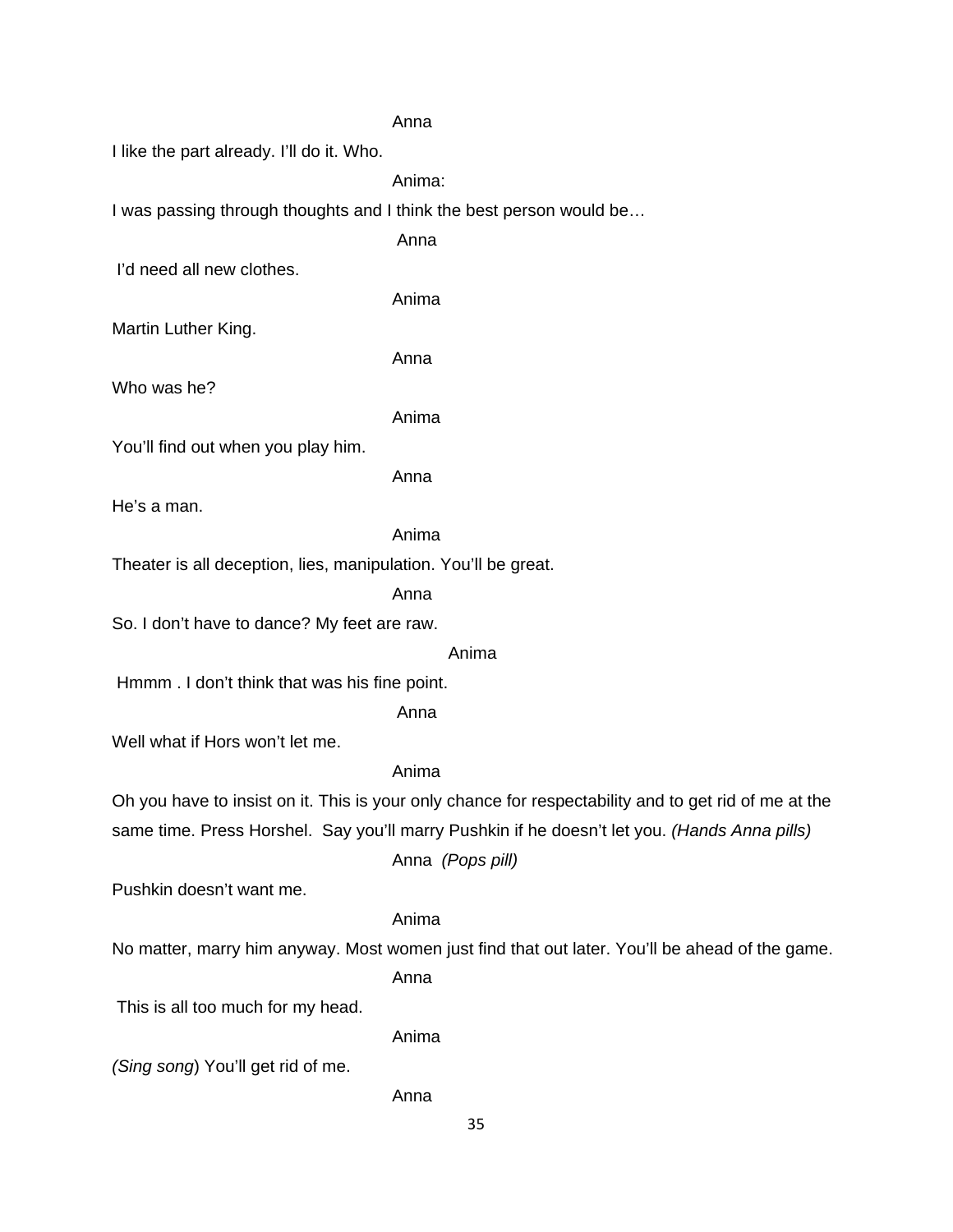#### Anna

I like the part already. I'll do it. Who.

Anima:

I was passing through thoughts and I think the best person would be…

Anna

I'd need all new clothes.

Anima

Martin Luther King.

Anna

Who was he?

Anima

You'll find out when you play him.

Anna

He's a man.

# Anima

Theater is all deception, lies, manipulation. You'll be great.

Anna

So. I don't have to dance? My feet are raw.

#### Anima

Hmmm . I don't think that was his fine point.

Anna

Well what if Hors won't let me.

# Anima

Oh you have to insist on it. This is your only chance for respectability and to get rid of me at the same time. Press Horshel. Say you'll marry Pushkin if he doesn't let you. *(Hands Anna pills)*

Anna *(Pops pill)*

Pushkin doesn't want me.

# Anima

No matter, marry him anyway. Most women just find that out later. You'll be ahead of the game.

Anna

This is all too much for my head.

Anima

Anna

*(Sing song*) You'll get rid of me.

35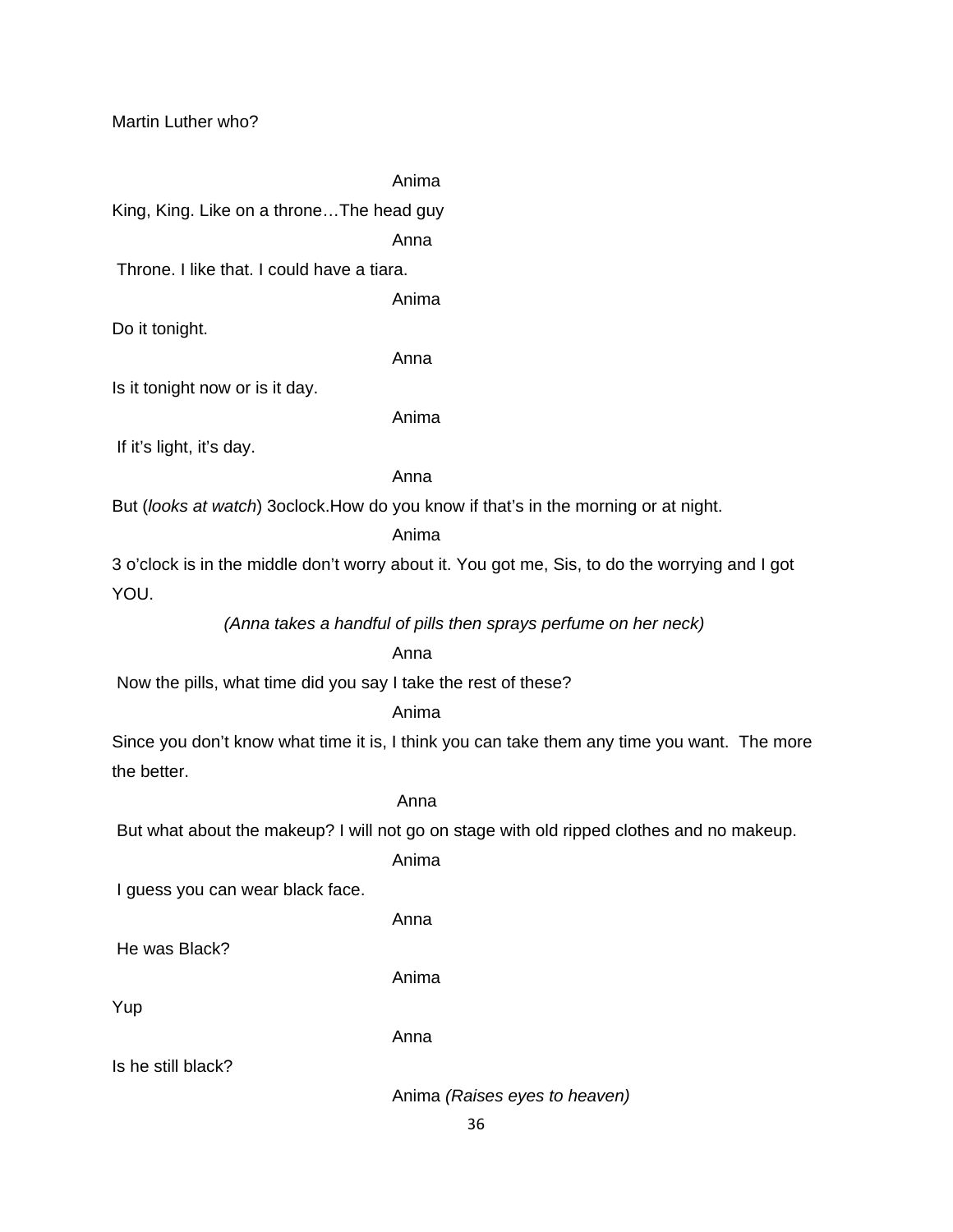Anima

King, King. Like on a throne…The head guy

Anna

Throne. I like that. I could have a tiara.

Anima

Do it tonight.

Anna

Is it tonight now or is it day.

Anima

If it's light, it's day.

Anna

But (*looks at watch*) 3oclock.How do you know if that's in the morning or at night.

# Anima

3 o'clock is in the middle don't worry about it. You got me, Sis, to do the worrying and I got YOU.

*(Anna takes a handful of pills then sprays perfume on her neck)*

# Anna

Now the pills, what time did you say I take the rest of these?

Anima

Since you don't know what time it is, I think you can take them any time you want. The more the better.

# Anna

But what about the makeup? I will not go on stage with old ripped clothes and no makeup.

Anima

I guess you can wear black face.

Anna

He was Black?

Anima

Yup

Anna

Is he still black?

Anima *(Raises eyes to heaven)*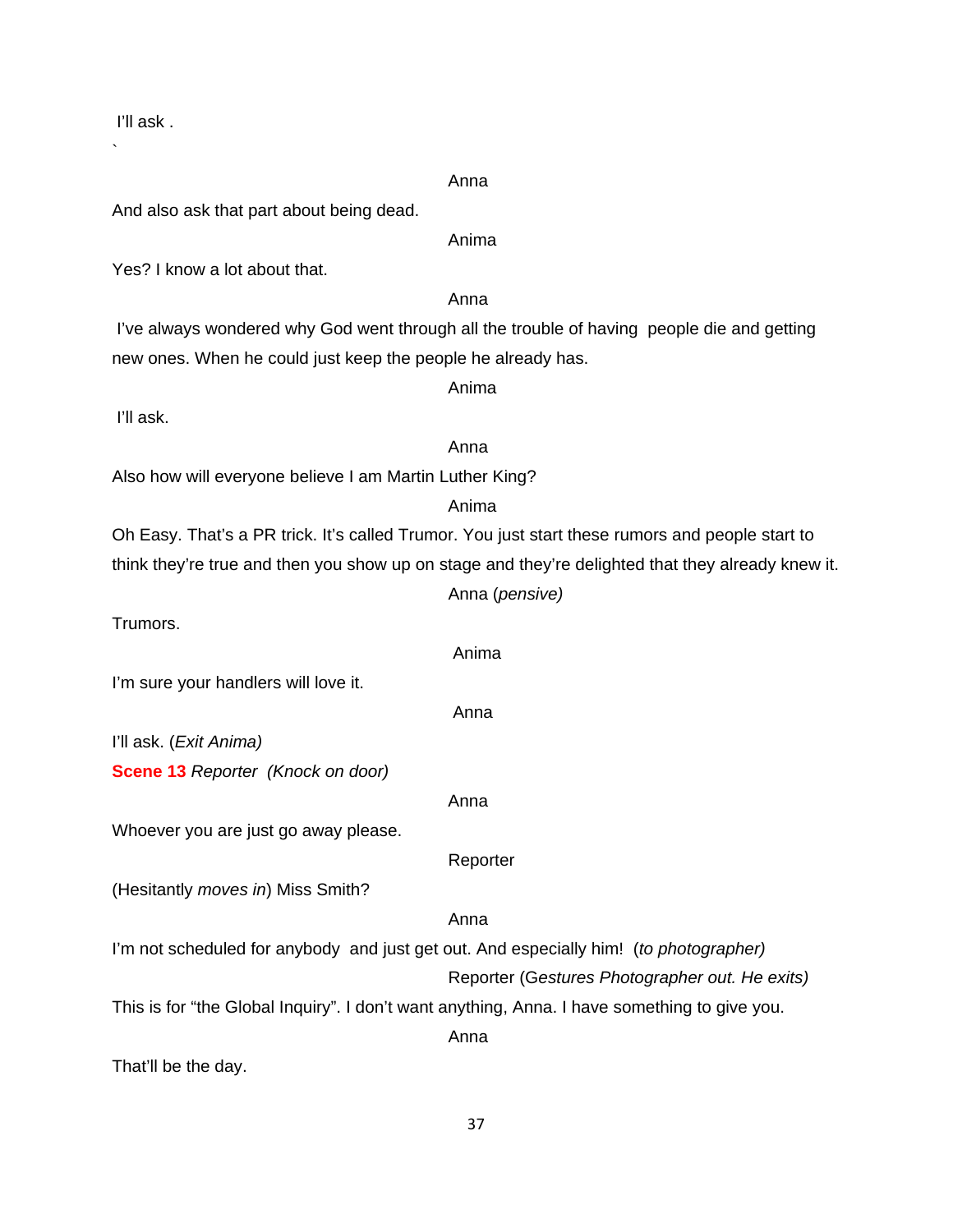Anna And also ask that part about being dead. Anima Yes? I know a lot about that. Anna I've always wondered why God went through all the trouble of having people die and getting new ones. When he could just keep the people he already has. Anima I'll ask. anns an t-anns an t-anns an t-anns an t-anns an t-anns an t-anns an t-anns an t-anns an t-anns an t-anns an t-Also how will everyone believe I am Martin Luther King? Anima Oh Easy. That's a PR trick. It's called Trumor. You just start these rumors and people start to think they're true and then you show up on stage and they're delighted that they already knew it. Anna (*pensive)* Trumors. Anima I'm sure your handlers will love it. anns an t-anns an t-anns an t-anns an t-anns an t-anns an t-anns an t-anns an t-anns an t-anns an t-anns an t-I'll ask. (*Exit Anima)* **Scene 13** *Reporter (Knock on door)* Anna Whoever you are just go away please. Reporter (Hesitantly *moves in*) Miss Smith? **Anna** Anna anns an t-Iomraid anns an t-Iomraid anns an t-Iomraid anns an t-Iomraid anns an t-Iomraid anns an t-I'm not scheduled for anybody and just get out. And especially him! (*to photographer)* Reporter (G*estures Photographer out. He exits)* This is for "the Global Inquiry". I don't want anything, Anna. I have something to give you. anns an t-anns an t-anns an t-anns an t-anns an t-anns an t-anns an t-anns an t-anns an t-anns an t-anns an t-That'll be the day.

I'll ask .

`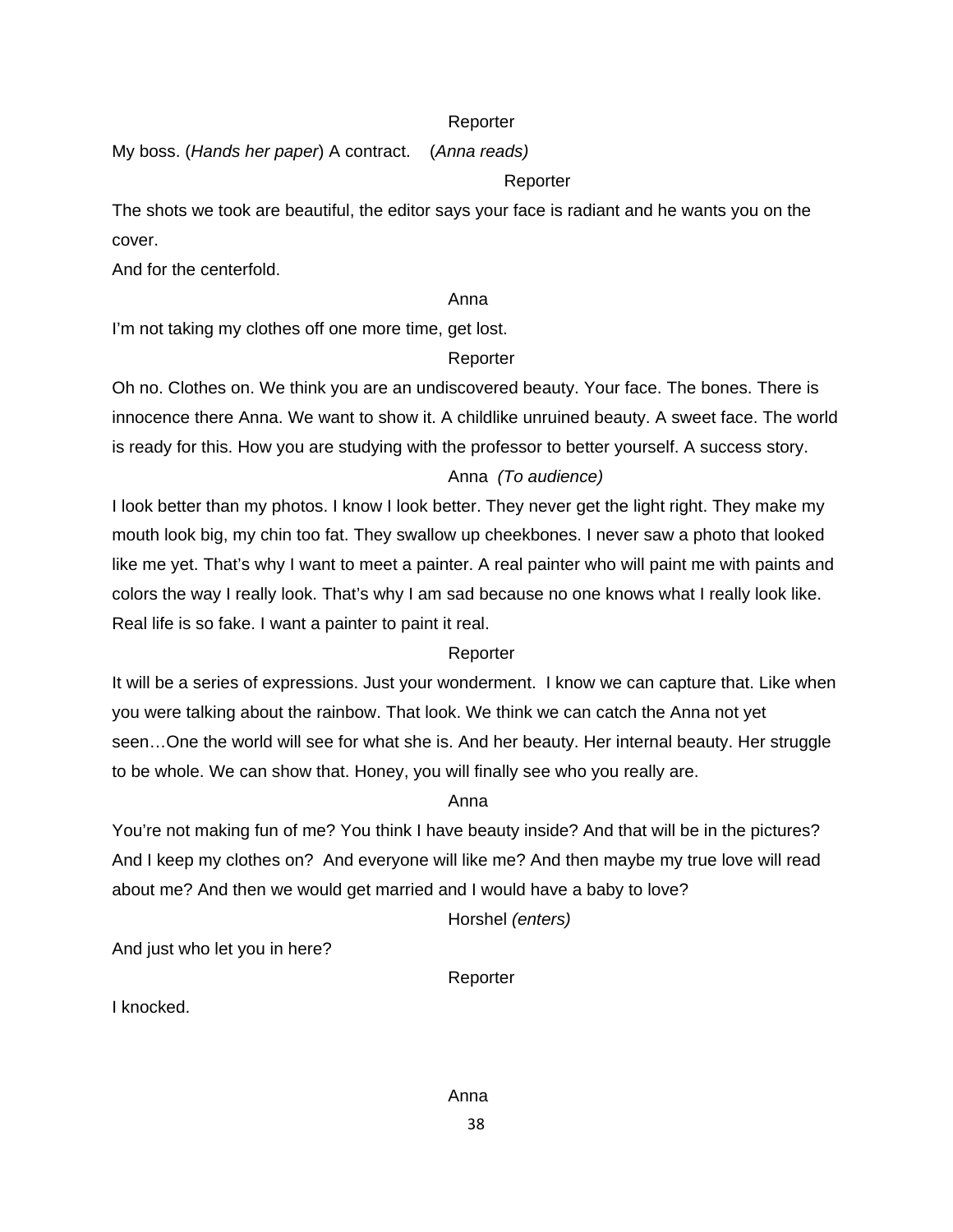# **Reporter**

My boss. (*Hands her paper*) A contract. (*Anna reads)*

# Reporter

The shots we took are beautiful, the editor says your face is radiant and he wants you on the cover.

And for the centerfold.

# anns an t-anns an t-anns an t-anns an t-anns an t-anns an t-anns an t-anns an t-anns an t-anns an t-anns an t-

I'm not taking my clothes off one more time, get lost.

# Reporter

Oh no. Clothes on. We think you are an undiscovered beauty. Your face. The bones. There is innocence there Anna. We want to show it. A childlike unruined beauty. A sweet face. The world is ready for this. How you are studying with the professor to better yourself. A success story.

# Anna *(To audience)*

I look better than my photos. I know I look better. They never get the light right. They make my mouth look big, my chin too fat. They swallow up cheekbones. I never saw a photo that looked like me yet. That's why I want to meet a painter. A real painter who will paint me with paints and colors the way I really look. That's why I am sad because no one knows what I really look like. Real life is so fake. I want a painter to paint it real.

# Reporter

It will be a series of expressions. Just your wonderment. I know we can capture that. Like when you were talking about the rainbow. That look. We think we can catch the Anna not yet seen…One the world will see for what she is. And her beauty. Her internal beauty. Her struggle to be whole. We can show that. Honey, you will finally see who you really are.

# anns an t-anns an t-anns an t-anns an t-anns an t-anns an t-anns an t-anns an t-anns an t-anns an t-anns an t-

You're not making fun of me? You think I have beauty inside? And that will be in the pictures? And I keep my clothes on? And everyone will like me? And then maybe my true love will read about me? And then we would get married and I would have a baby to love?

Horshel *(enters)*

And just who let you in here?

Reporter

I knocked.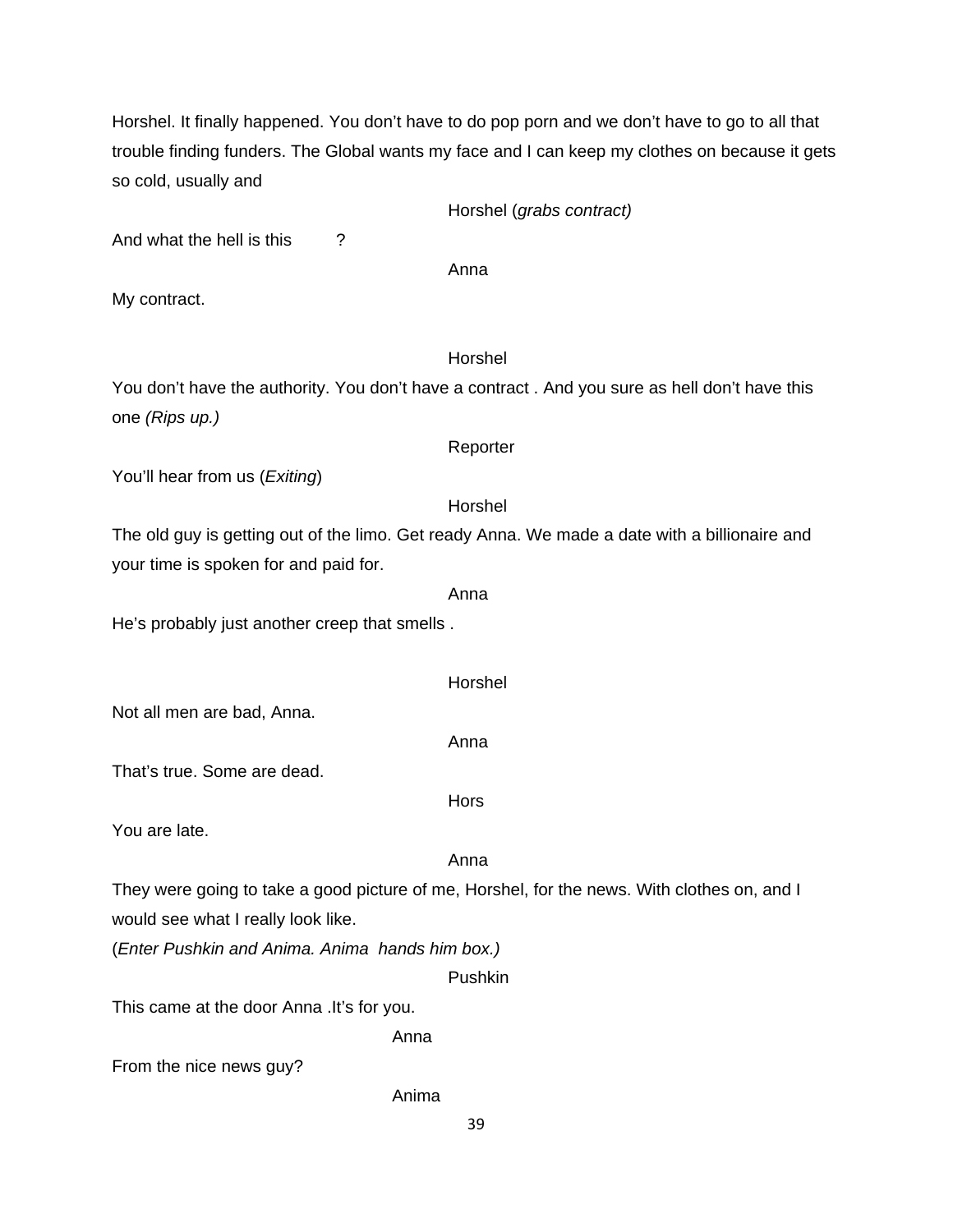Horshel. It finally happened. You don't have to do pop porn and we don't have to go to all that trouble finding funders. The Global wants my face and I can keep my clothes on because it gets so cold, usually and

|  | Horshel (grabs contract) |
|--|--------------------------|
|--|--------------------------|

And what the hell is this ?

anns an t-anns an t-anns an t-anns an t-anns an t-anns an t-anns an t-anns an t-anns an t-anns an t-anns an t-

My contract.

# Horshel

You don't have the authority. You don't have a contract . And you sure as hell don't have this one *(Rips up.)* 

# Reporter

You'll hear from us (*Exiting*)

#### Horshel

The old guy is getting out of the limo. Get ready Anna. We made a date with a billionaire and your time is spoken for and paid for.

#### anns an t-anns an t-anns an t-anns an t-anns an t-anns an t-anns an t-anns an t-anns an t-anns an t-anns an t-

He's probably just another creep that smells .

From the nice news guy?

39

Anima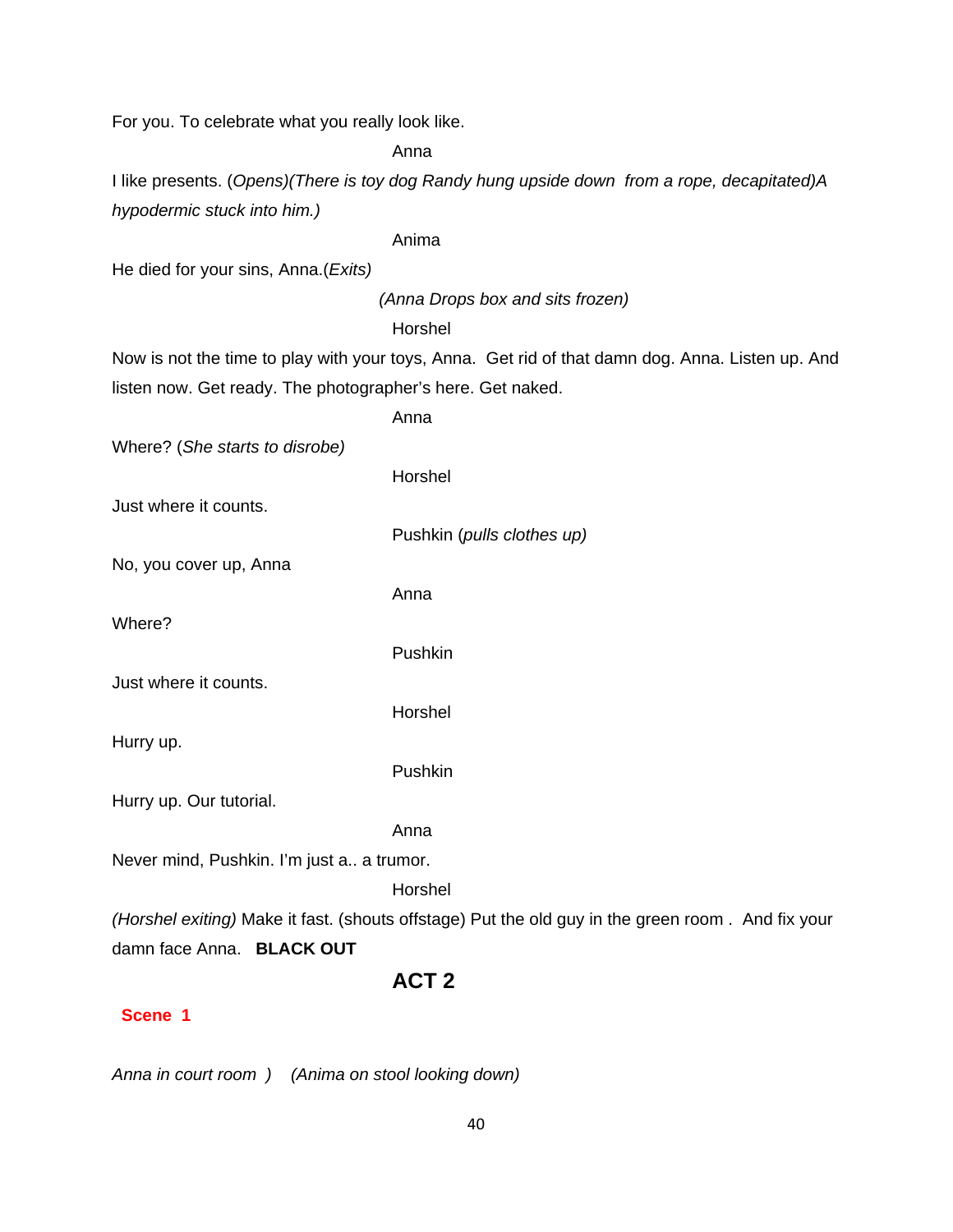For you. To celebrate what you really look like.

Anna

I like presents. (*Opens)(There is toy dog Randy hung upside down from a rope, decapitated)A hypodermic stuck into him.)*

Anima

He died for your sins, Anna.(*Exits)* 

 *(Anna Drops box and sits frozen)* 

Horshel

Now is not the time to play with your toys, Anna. Get rid of that damn dog. Anna. Listen up. And listen now. Get ready. The photographer's here. Get naked.

|                                           | Anna                                                                                              |
|-------------------------------------------|---------------------------------------------------------------------------------------------------|
| Where? (She starts to disrobe)            |                                                                                                   |
|                                           | Horshel                                                                                           |
| Just where it counts.                     |                                                                                                   |
|                                           | Pushkin (pulls clothes up)                                                                        |
| No, you cover up, Anna                    |                                                                                                   |
|                                           | Anna                                                                                              |
| Where?                                    |                                                                                                   |
|                                           | Pushkin                                                                                           |
| Just where it counts.                     |                                                                                                   |
|                                           | Horshel                                                                                           |
| Hurry up.                                 |                                                                                                   |
|                                           | Pushkin                                                                                           |
| Hurry up. Our tutorial.                   |                                                                                                   |
|                                           | Anna                                                                                              |
| Never mind, Pushkin. I'm just a a trumor. |                                                                                                   |
|                                           | Horshel                                                                                           |
|                                           | (Horshel exiting) Make it fast. (shouts offstage) Put the old guy in the green room. And fix your |
|                                           |                                                                                                   |

damn face Anna. **BLACK OUT**

# **ACT 2**

# **Scene 1**

*Anna in court room ) (Anima on stool looking down)*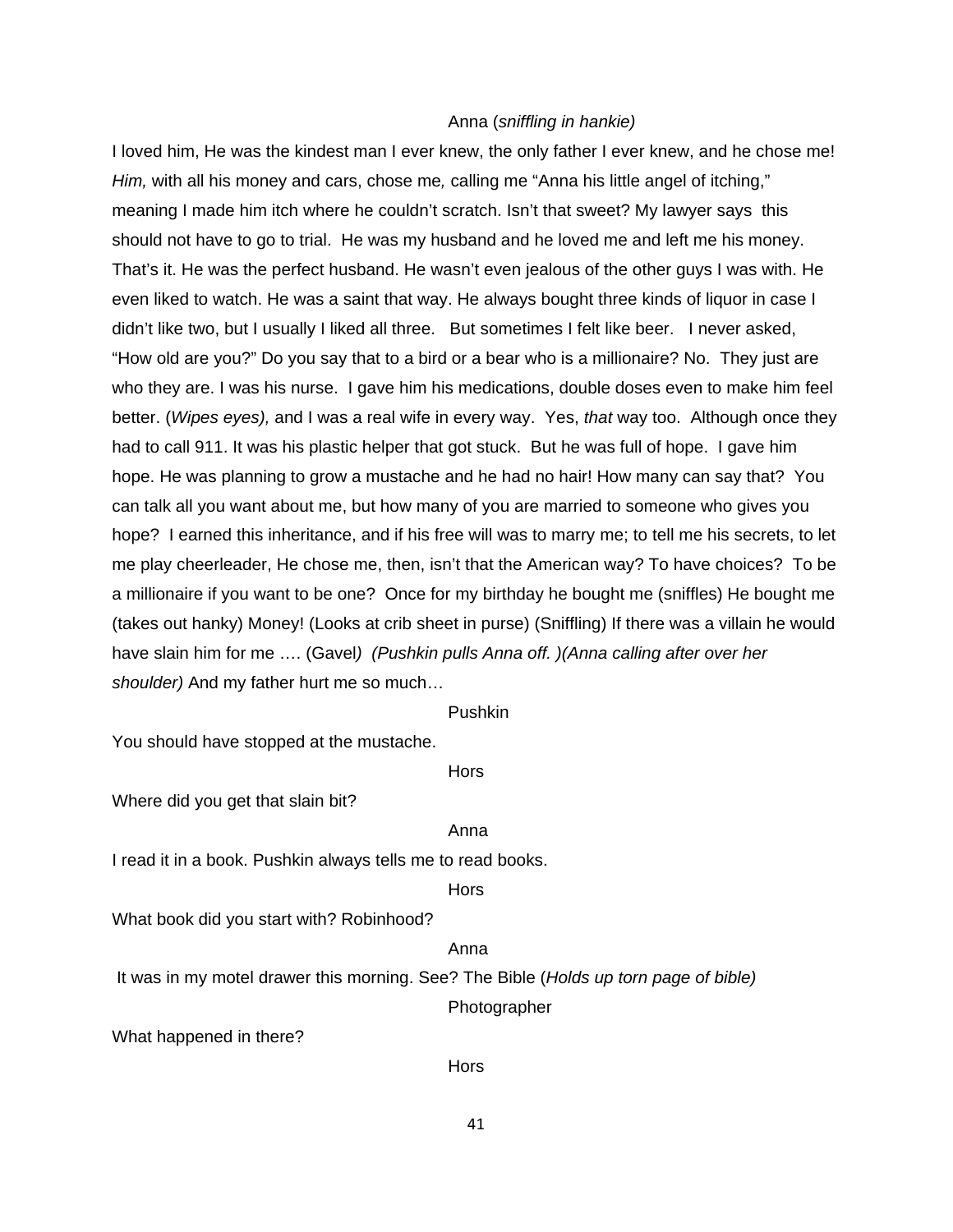#### Anna (*sniffling in hankie)*

I loved him, He was the kindest man I ever knew, the only father I ever knew, and he chose me! *Him,* with all his money and cars, chose me*,* calling me "Anna his little angel of itching," meaning I made him itch where he couldn't scratch. Isn't that sweet? My lawyer says this should not have to go to trial. He was my husband and he loved me and left me his money. That's it. He was the perfect husband. He wasn't even jealous of the other guys I was with. He even liked to watch. He was a saint that way. He always bought three kinds of liquor in case I didn't like two, but I usually I liked all three. But sometimes I felt like beer. I never asked, "How old are you?" Do you say that to a bird or a bear who is a millionaire? No. They just are who they are. I was his nurse. I gave him his medications, double doses even to make him feel better. (*Wipes eyes),* and I was a real wife in every way. Yes, *that* way too. Although once they had to call 911. It was his plastic helper that got stuck. But he was full of hope. I gave him hope. He was planning to grow a mustache and he had no hair! How many can say that? You can talk all you want about me, but how many of you are married to someone who gives you hope? I earned this inheritance, and if his free will was to marry me; to tell me his secrets, to let me play cheerleader, He chose me, then, isn't that the American way? To have choices? To be a millionaire if you want to be one? Once for my birthday he bought me (sniffles) He bought me (takes out hanky) Money! (Looks at crib sheet in purse) (Sniffling) If there was a villain he would have slain him for me …. (Gavel*) (Pushkin pulls Anna off. )(Anna calling after over her shoulder)* And my father hurt me so much…

#### Pushkin

You should have stopped at the mustache.

**Horse Horse Hors** 

Where did you get that slain bit?

#### **Anna** Anna anns an t-Iomraid anns an t-Iomraid anns an t-Iomraid anns an t-Iomraid anns an t-Iomraid anns an t-

I read it in a book. Pushkin always tells me to read books.

**Horse Horse Hors** 

What book did you start with? Robinhood?

#### anns an t-anns an t-anns an t-anns an t-anns an t-anns an t-anns an t-anns an t-anns an t-anns an t-anns an t-

It was in my motel drawer this morning. See? The Bible (*Holds up torn page of bible)*

Photographer

What happened in there?

**Hors**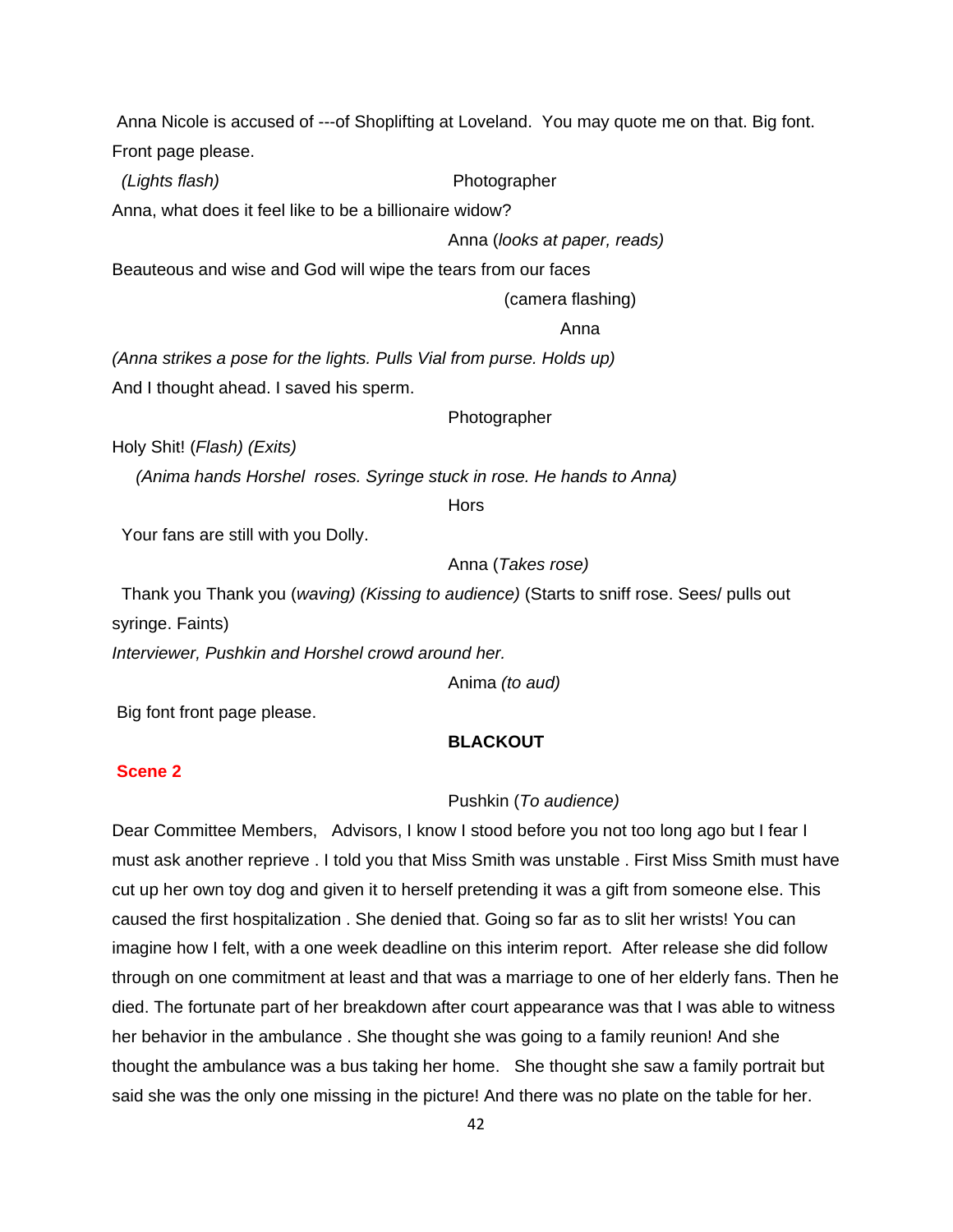Anna Nicole is accused of ---of Shoplifting at Loveland. You may quote me on that. Big font. Front page please.

 *(Lights flash)* Photographer

Anna, what does it feel like to be a billionaire widow?

Anna (*looks at paper, reads)*

Beauteous and wise and God will wipe the tears from our faces

(camera flashing)

anns an t-anns an t-anns an t-anns an t-anns an t-anns an t-anns an t-anns an t-anns an t-anns an t-anns an t-

*(Anna strikes a pose for the lights. Pulls Vial from purse. Holds up)*  And I thought ahead. I saved his sperm.

Photographer

Holy Shit! (*Flash) (Exits)*

 *(Anima hands Horshel roses. Syringe stuck in rose. He hands to Anna)* 

**Hors** 

Your fans are still with you Dolly.

Anna (*Takes rose)*

 Thank you Thank you (*waving) (Kissing to audience)* (Starts to sniff rose. Sees/ pulls out syringe. Faints)

*Interviewer, Pushkin and Horshel crowd around her.* 

Anima *(to aud)* 

Big font front page please.

# **BLACKOUT**

# **Scene 2**

# Pushkin (*To audience)*

Dear Committee Members, Advisors, I know I stood before you not too long ago but I fear I must ask another reprieve . I told you that Miss Smith was unstable . First Miss Smith must have cut up her own toy dog and given it to herself pretending it was a gift from someone else. This caused the first hospitalization . She denied that. Going so far as to slit her wrists! You can imagine how I felt, with a one week deadline on this interim report. After release she did follow through on one commitment at least and that was a marriage to one of her elderly fans. Then he died. The fortunate part of her breakdown after court appearance was that I was able to witness her behavior in the ambulance . She thought she was going to a family reunion! And she thought the ambulance was a bus taking her home. She thought she saw a family portrait but said she was the only one missing in the picture! And there was no plate on the table for her.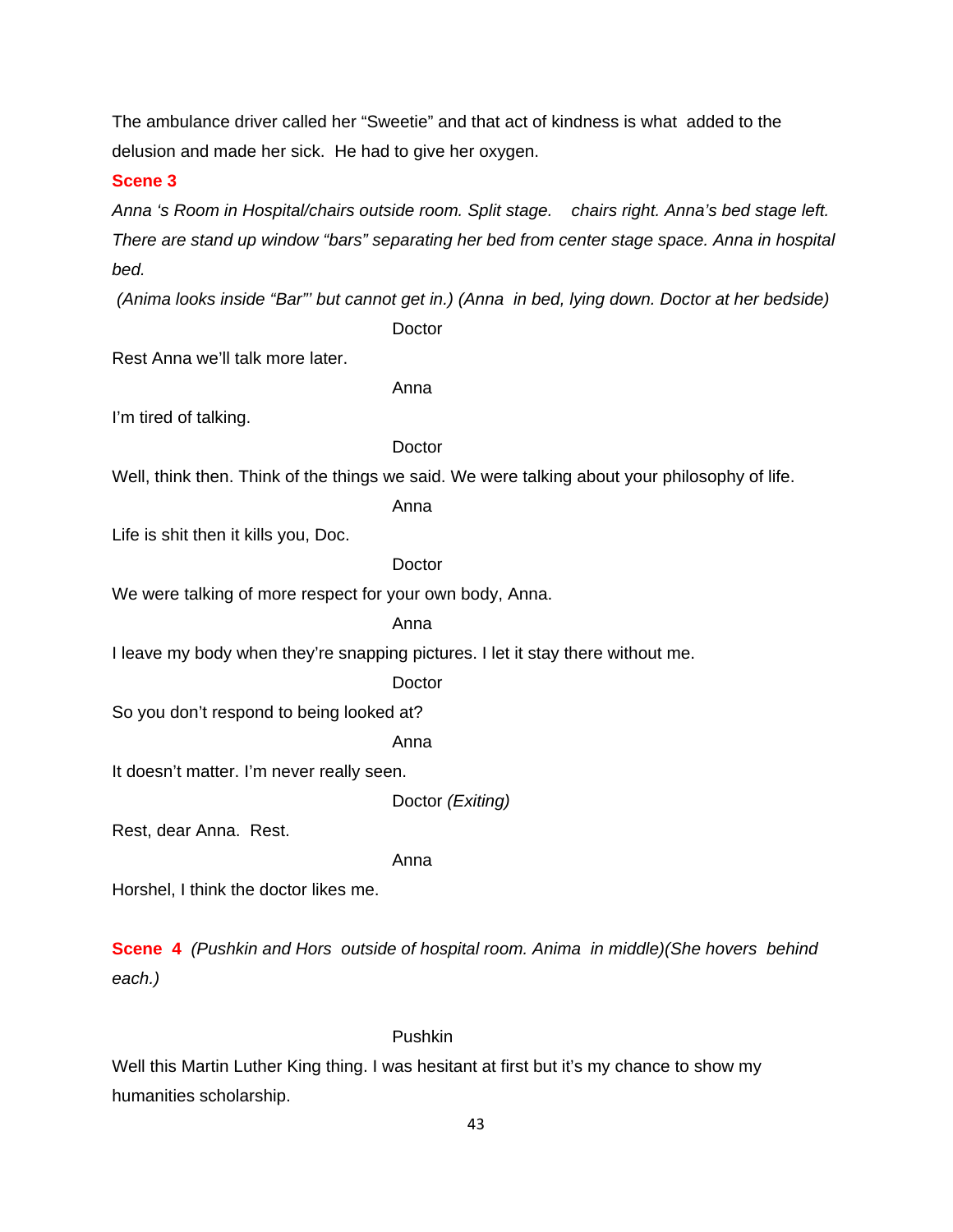The ambulance driver called her "Sweetie" and that act of kindness is what added to the delusion and made her sick. He had to give her oxygen.

#### **Scene 3**

*Anna 's Room in Hospital/chairs outside room. Split stage. chairs right. Anna's bed stage left. There are stand up window "bars" separating her bed from center stage space. Anna in hospital bed.* 

*(Anima looks inside "Bar"' but cannot get in.) (Anna in bed, lying down. Doctor at her bedside)* 

**Doctor** 

Rest Anna we'll talk more later.

Anna

I'm tired of talking.

#### Doctor

Well, think then. Think of the things we said. We were talking about your philosophy of life.

Anna

Life is shit then it kills you, Doc.

**Doctor** 

We were talking of more respect for your own body, Anna.

Anna

I leave my body when they're snapping pictures. I let it stay there without me.

**Doctor** 

So you don't respond to being looked at?

Anna

It doesn't matter. I'm never really seen.

Doctor *(Exiting)* 

Rest, dear Anna. Rest.

Anna

Horshel, I think the doctor likes me.

**Scene****4** *(Pushkin and Hors outside of hospital room. Anima in middle)(She hovers behind each.)* 

#### Pushkin

Well this Martin Luther King thing. I was hesitant at first but it's my chance to show my humanities scholarship.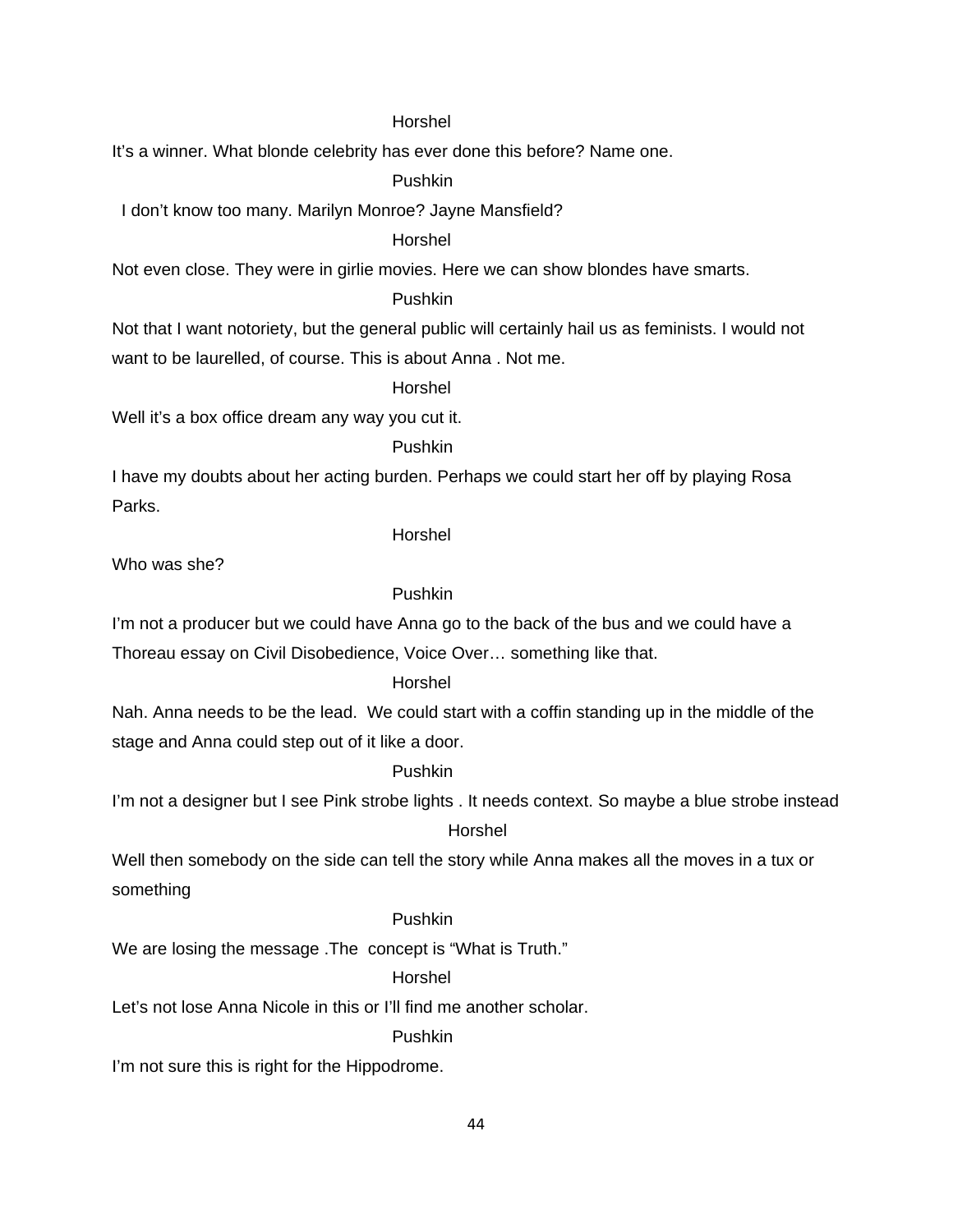#### Horshel

It's a winner. What blonde celebrity has ever done this before? Name one.

Pushkin

I don't know too many. Marilyn Monroe? Jayne Mansfield?

Horshel

Not even close. They were in girlie movies. Here we can show blondes have smarts.

# Pushkin

Not that I want notoriety, but the general public will certainly hail us as feminists. I would not want to be laurelled, of course. This is about Anna . Not me.

Horshel

Well it's a box office dream any way you cut it.

Pushkin

I have my doubts about her acting burden. Perhaps we could start her off by playing Rosa Parks.

Horshel

Who was she?

# Pushkin

I'm not a producer but we could have Anna go to the back of the bus and we could have a Thoreau essay on Civil Disobedience, Voice Over… something like that.

#### Horshel

Nah. Anna needs to be the lead. We could start with a coffin standing up in the middle of the stage and Anna could step out of it like a door.

# Pushkin

I'm not a designer but I see Pink strobe lights . It needs context. So maybe a blue strobe instead

# Horshel

Well then somebody on the side can tell the story while Anna makes all the moves in a tux or something

#### Pushkin

We are losing the message .The concept is "What is Truth."

# Horshel

Let's not lose Anna Nicole in this or I'll find me another scholar.

#### Pushkin

I'm not sure this is right for the Hippodrome.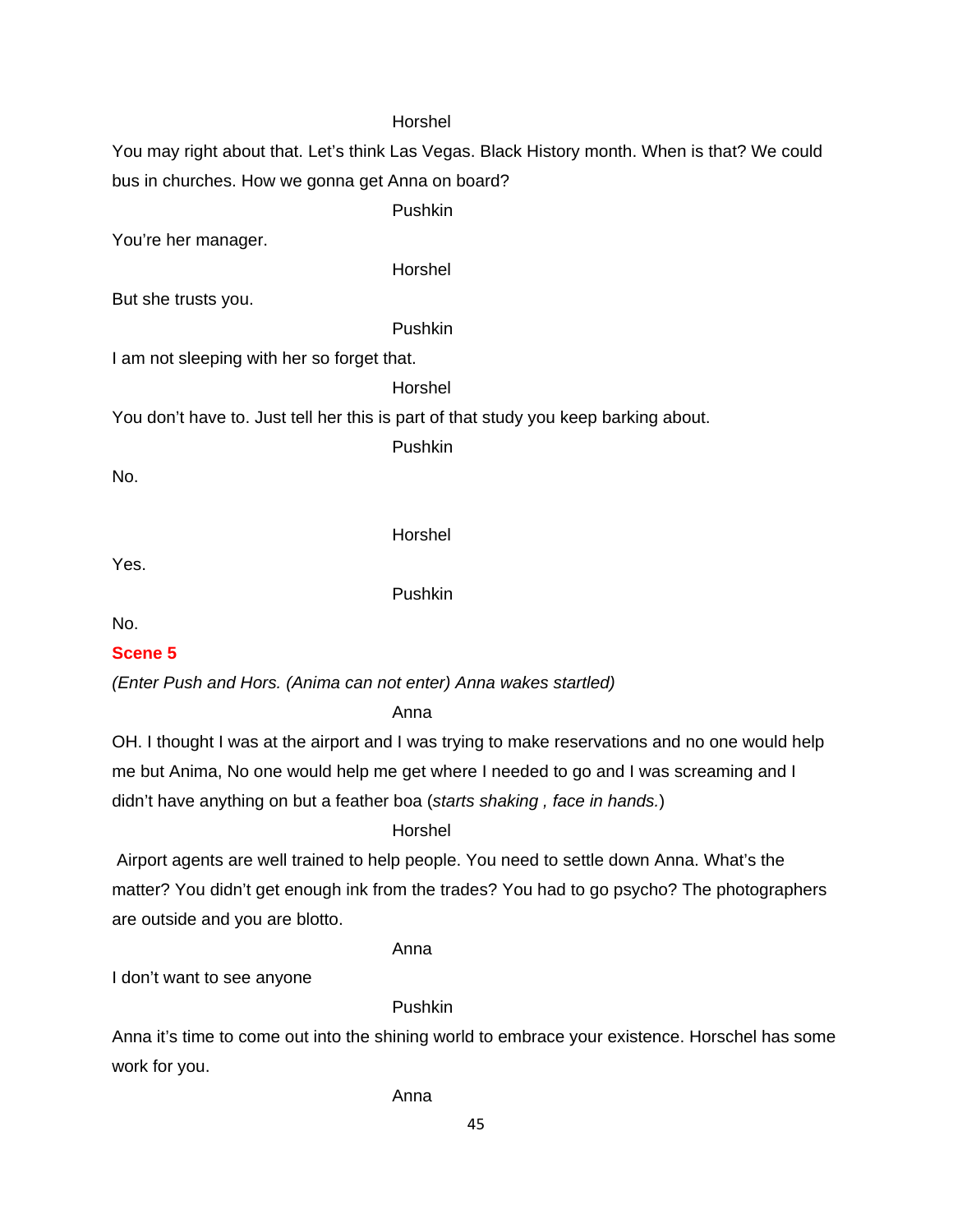# Horshel

You may right about that. Let's think Las Vegas. Black History month. When is that? We could bus in churches. How we gonna get Anna on board?

Pushkin

You're her manager.

Horshel

But she trusts you.

Pushkin

I am not sleeping with her so forget that.

Horshel

You don't have to. Just tell her this is part of that study you keep barking about.

Pushkin

No.

Horshel

Yes.

Pushkin

No.

# **Scene 5**

*(Enter Push and Hors. (Anima can not enter) Anna wakes startled)* 

Anna

OH. I thought I was at the airport and I was trying to make reservations and no one would help me but Anima, No one would help me get where I needed to go and I was screaming and I didn't have anything on but a feather boa (*starts shaking , face in hands.*)

# Horshel

 Airport agents are well trained to help people. You need to settle down Anna. What's the matter? You didn't get enough ink from the trades? You had to go psycho? The photographers are outside and you are blotto.

Anna

I don't want to see anyone

# Pushkin

Anna it's time to come out into the shining world to embrace your existence. Horschel has some work for you.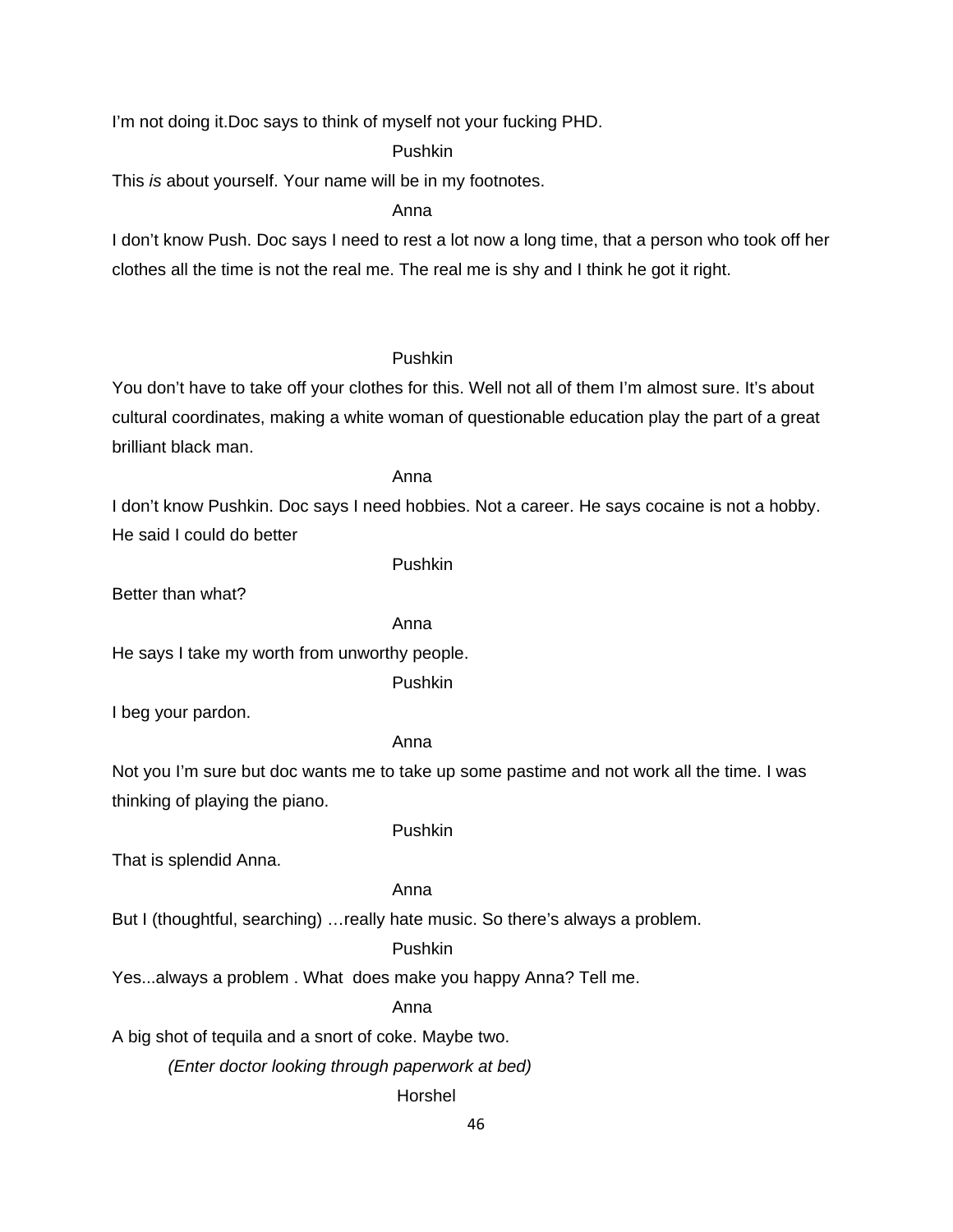I'm not doing it.Doc says to think of myself not your fucking PHD.

Pushkin

This *is* about yourself. Your name will be in my footnotes.

Anna

I don't know Push. Doc says I need to rest a lot now a long time, that a person who took off her clothes all the time is not the real me. The real me is shy and I think he got it right.

#### Pushkin

You don't have to take off your clothes for this. Well not all of them I'm almost sure. It's about cultural coordinates, making a white woman of questionable education play the part of a great brilliant black man.

#### Anna

I don't know Pushkin. Doc says I need hobbies. Not a career. He says cocaine is not a hobby. He said I could do better

Pushkin

Better than what?

# Anna

He says I take my worth from unworthy people.

Pushkin

I beg your pardon.

#### Anna

Not you I'm sure but doc wants me to take up some pastime and not work all the time. I was thinking of playing the piano.

#### Pushkin

That is splendid Anna.

#### Anna

But I (thoughtful, searching) …really hate music. So there's always a problem.

#### Pushkin

Yes...always a problem . What does make you happy Anna? Tell me.

Anna

A big shot of tequila and a snort of coke. Maybe two.

*(Enter doctor looking through paperwork at bed)*

# Horshel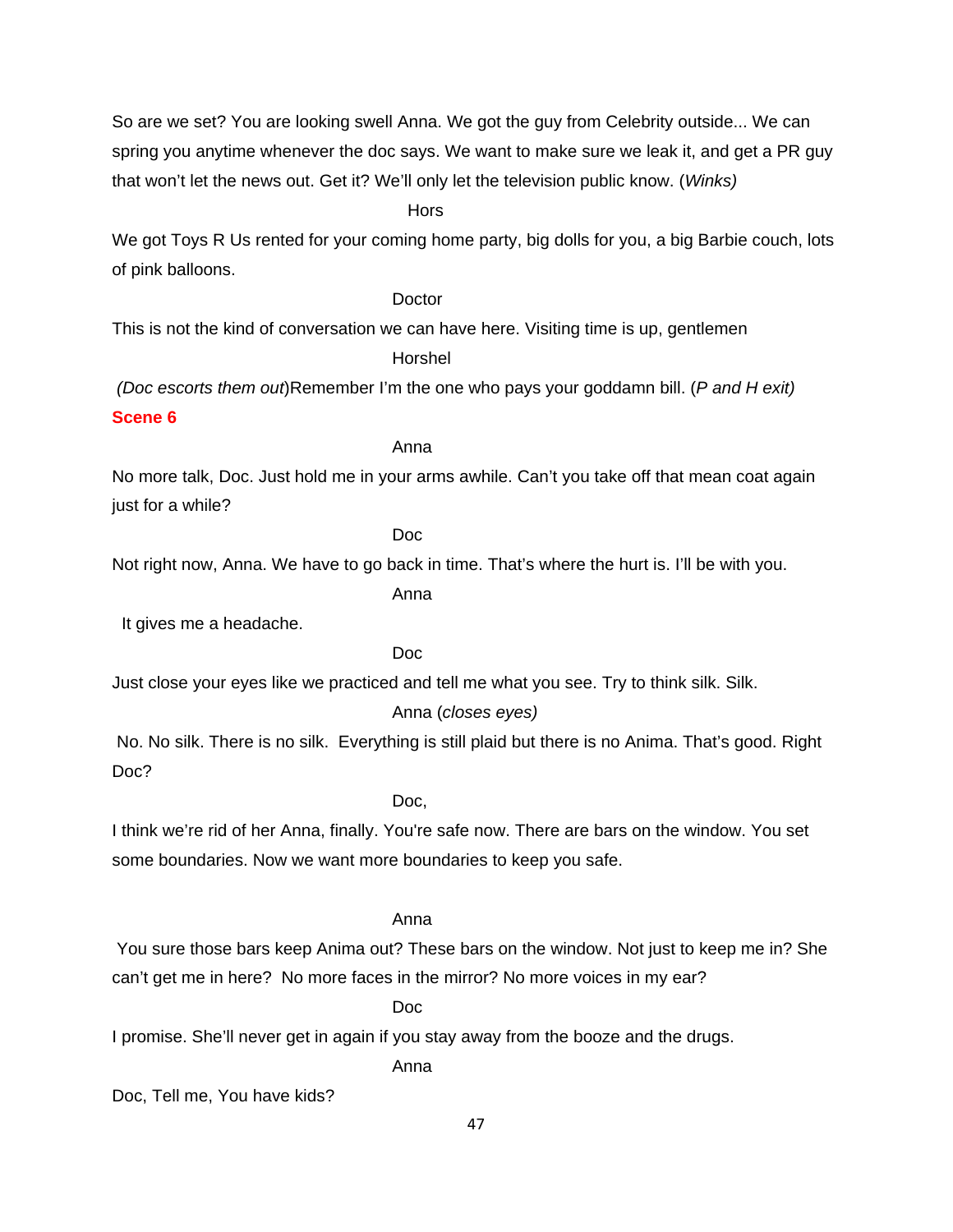So are we set? You are looking swell Anna. We got the guy from Celebrity outside... We can spring you anytime whenever the doc says. We want to make sure we leak it, and get a PR guy that won't let the news out. Get it? We'll only let the television public know. (*Winks)*

#### *<u> Horse States (2001)</u>*

We got Toys R Us rented for your coming home party, big dolls for you, a big Barbie couch, lots of pink balloons.

#### **Doctor**

This is not the kind of conversation we can have here. Visiting time is up, gentlemen

Horshel

*(Doc escorts them out*)Remember I'm the one who pays your goddamn bill. (*P and H exit*)

#### **Scene 6**

#### Anna

No more talk, Doc. Just hold me in your arms awhile. Can't you take off that mean coat again just for a while?

# Doc

Not right now, Anna. We have to go back in time. That's where the hurt is. I'll be with you.

Anna

It gives me a headache.

#### Doc

Just close your eyes like we practiced and tell me what you see. Try to think silk. Silk.

# Anna (*closes eyes)*

 No. No silk. There is no silk. Everything is still plaid but there is no Anima. That's good. Right Doc?

#### Doc,

I think we're rid of her Anna, finally. You're safe now. There are bars on the window. You set some boundaries. Now we want more boundaries to keep you safe.

#### Anna

 You sure those bars keep Anima out? These bars on the window. Not just to keep me in? She can't get me in here? No more faces in the mirror? No more voices in my ear?

#### **Document of the Contract of the Document of the Contract of the Contract of the Contract of the Contract of the Contract of the Contract of the Contract of the Contract of the Contract of the Contract of the Contract of t**

I promise. She'll never get in again if you stay away from the booze and the drugs.

Anna

Doc, Tell me, You have kids?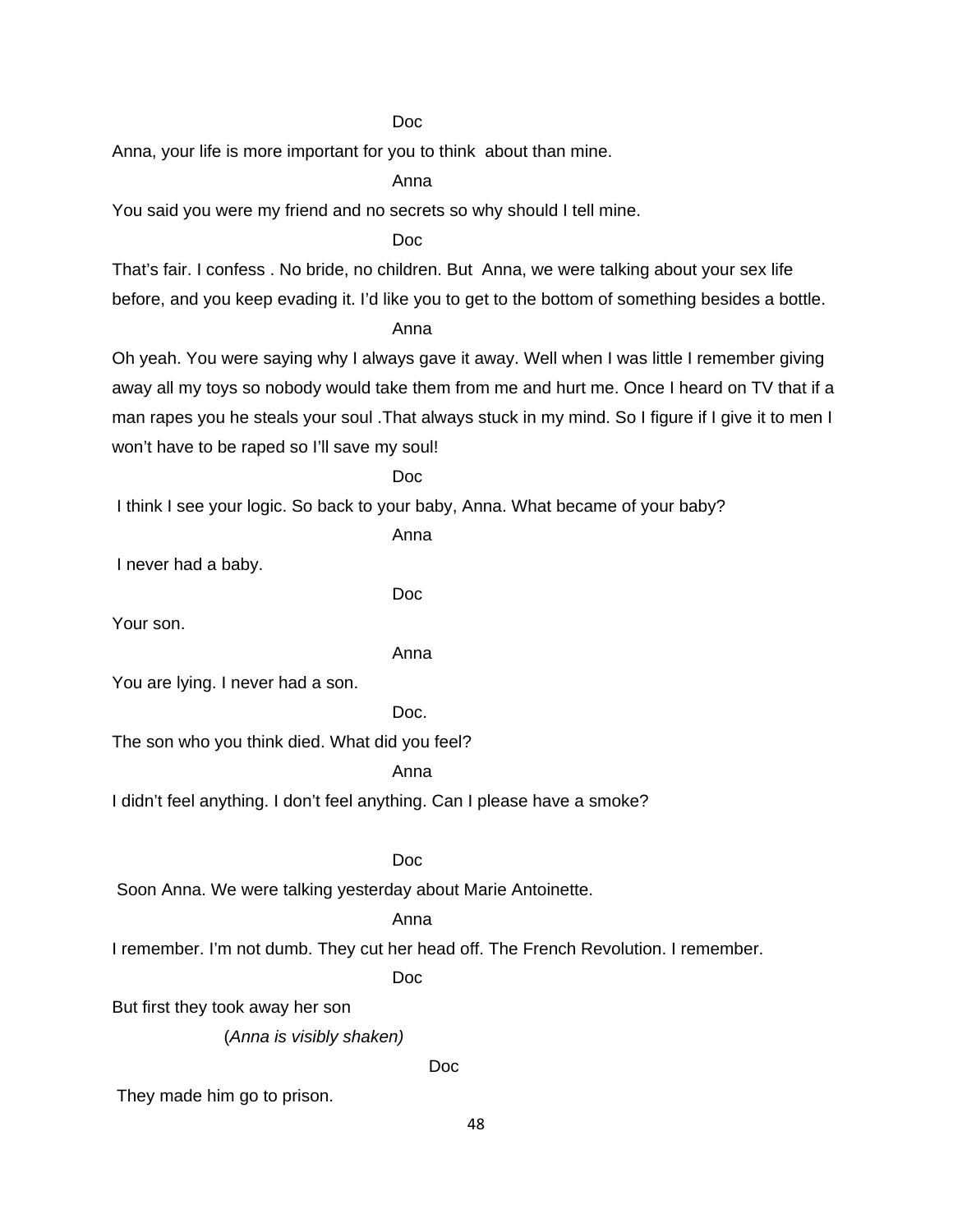**Document of the Contract of the Document of the Contract of the Contract of the Contract of the Contract of the Contract of the Contract of the Contract of the Contract of the Contract of the Contract of the Contract of t** 

Anna, your life is more important for you to think about than mine.

Anna

You said you were my friend and no secrets so why should I tell mine.

**Document of the Contract of the Document of the Contract of the Contract of the Contract of the Contract of the Contract of the Contract of the Contract of the Contract of the Contract of the Contract of the Contract of t** 

That's fair. I confess . No bride, no children. But Anna, we were talking about your sex life before, and you keep evading it. I'd like you to get to the bottom of something besides a bottle.

Anna

Oh yeah. You were saying why I always gave it away. Well when I was little I remember giving away all my toys so nobody would take them from me and hurt me. Once I heard on TV that if a man rapes you he steals your soul .That always stuck in my mind. So I figure if I give it to men I won't have to be raped so I'll save my soul!

Doc

I think I see your logic. So back to your baby, Anna. What became of your baby?

Anna

I never had a baby.

Doc

Your son.

Anna

You are lying. I never had a son.

Doc.

The son who you think died. What did you feel?

Anna

I didn't feel anything. I don't feel anything. Can I please have a smoke?

# Doc

Soon Anna. We were talking yesterday about Marie Antoinette.

# Anna

I remember. I'm not dumb. They cut her head off. The French Revolution. I remember.

Doc

But first they took away her son

(*Anna is visibly shaken)*

Doc

They made him go to prison.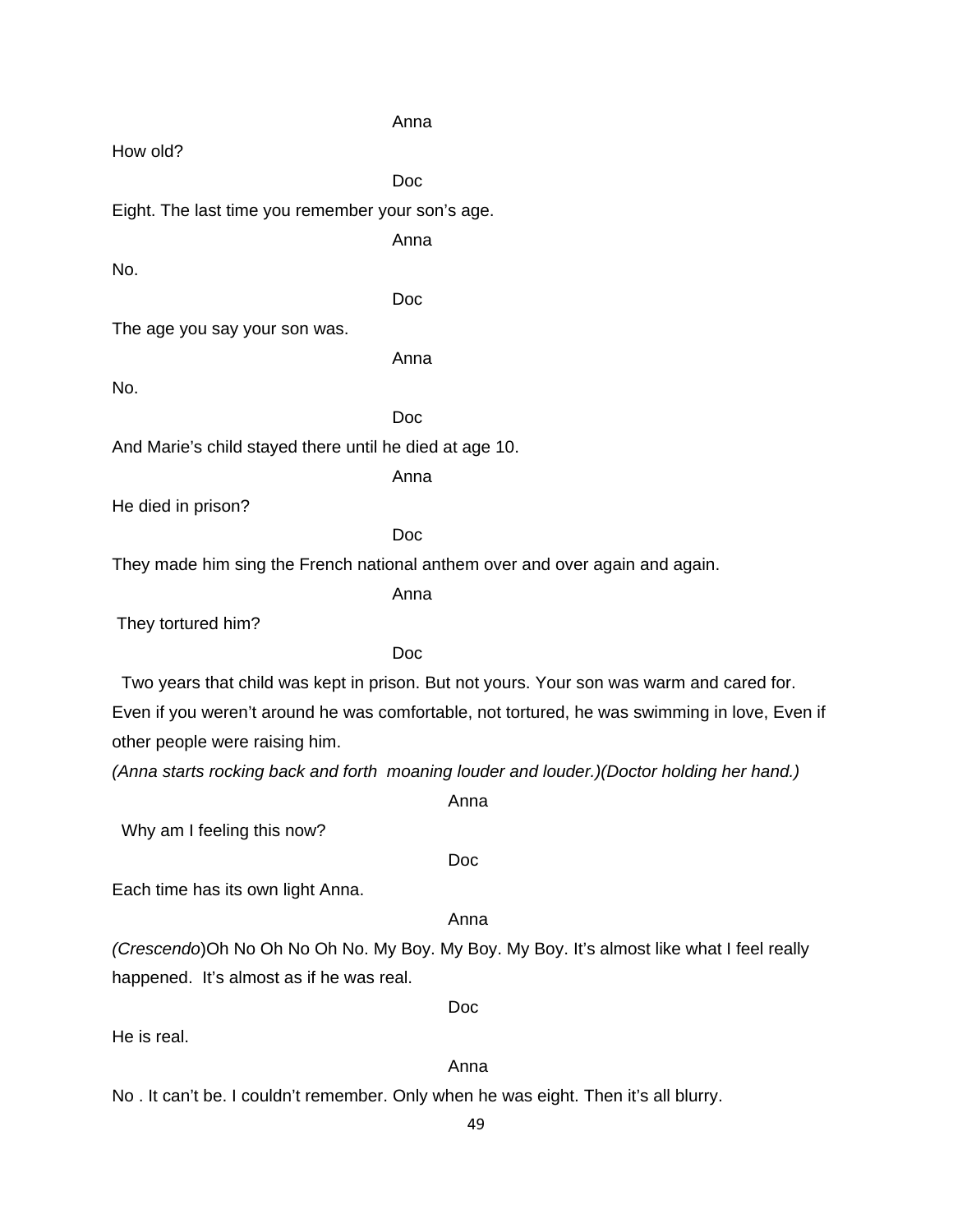Anna How old? **Document of the State of the Document of the State of the Document of the State of the State of the State of the State of the State of the State of the State of the State of the State of the State of the State of the Stat** Eight. The last time you remember your son's age. Anna No. **Document of the Contract of the Document of the Contract of the Contract of the Contract of the Contract of the Contract of the Contract of the Contract of the Contract of the Contract of the Contract of the Contract of t** The age you say your son was. Anna No. Doc And Marie's child stayed there until he died at age 10. Anna He died in prison? **Document of the Contract of the Document of the Contract of the Contract of the Contract of the Contract of the Contract of the Contract of the Contract of the Contract of the Contract of the Contract of the Contract of t** They made him sing the French national anthem over and over again and again. Anna They tortured him? Doc Two years that child was kept in prison. But not yours. Your son was warm and cared for. Even if you weren't around he was comfortable, not tortured, he was swimming in love, Even if other people were raising him. *(Anna starts rocking back and forth moaning louder and louder.)(Doctor holding her hand.)*  Anna Why am I feeling this now? Doc Each time has its own light Anna. Anna *(Crescendo*)Oh No Oh No Oh No. My Boy. My Boy. My Boy. It's almost like what I feel really happened. It's almost as if he was real. Doc He is real. Anna No . It can't be. I couldn't remember. Only when he was eight. Then it's all blurry.

49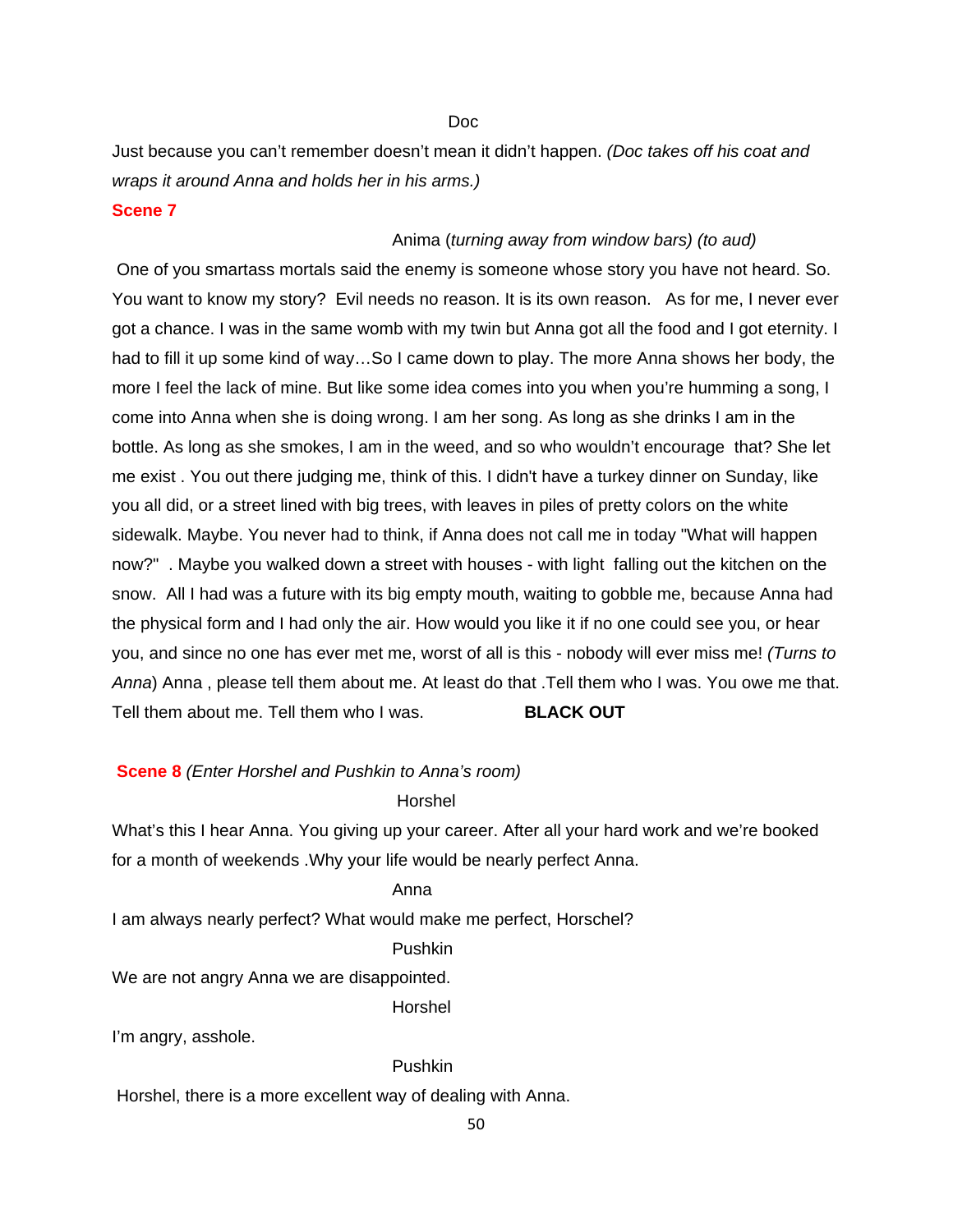<u>Doctor and the Doctor and Doctor and Doctor and Doctor and Doctor and Doctor and Doctor and Doctor and Doctor and Doctor and Doctor and Doctor and Doctor and Doctor and Doctor and Doctor and Doctor and Doctor and Doctor a</u>

Just because you can't remember doesn't mean it didn't happen. *(Doc takes off his coat and wraps it around Anna and holds her in his arms.)*

#### **Scene 7**

#### Anima (*turning away from window bars) (to aud)*

 One of you smartass mortals said the enemy is someone whose story you have not heard. So. You want to know my story? Evil needs no reason. It is its own reason. As for me, I never ever got a chance. I was in the same womb with my twin but Anna got all the food and I got eternity. I had to fill it up some kind of way…So I came down to play. The more Anna shows her body, the more I feel the lack of mine. But like some idea comes into you when you're humming a song, I come into Anna when she is doing wrong. I am her song. As long as she drinks I am in the bottle. As long as she smokes, I am in the weed, and so who wouldn't encourage that? She let me exist . You out there judging me, think of this. I didn't have a turkey dinner on Sunday, like you all did, or a street lined with big trees, with leaves in piles of pretty colors on the white sidewalk. Maybe. You never had to think, if Anna does not call me in today "What will happen now?" . Maybe you walked down a street with houses - with light falling out the kitchen on the snow. All I had was a future with its big empty mouth, waiting to gobble me, because Anna had the physical form and I had only the air. How would you like it if no one could see you, or hear you, and since no one has ever met me, worst of all is this - nobody will ever miss me! *(Turns to Anna*) Anna , please tell them about me. At least do that .Tell them who I was. You owe me that. Tell them about me. Tell them who I was. **BLACK OUT** 

#### **Scene 8** *(Enter Horshel and Pushkin to Anna's room)*

#### Horshel

What's this I hear Anna. You giving up your career. After all your hard work and we're booked for a month of weekends .Why your life would be nearly perfect Anna.

# Anna

I am always nearly perfect? What would make me perfect, Horschel?

#### Pushkin

We are not angry Anna we are disappointed.

Horshel

I'm angry, asshole.

#### Pushkin

Horshel, there is a more excellent way of dealing with Anna.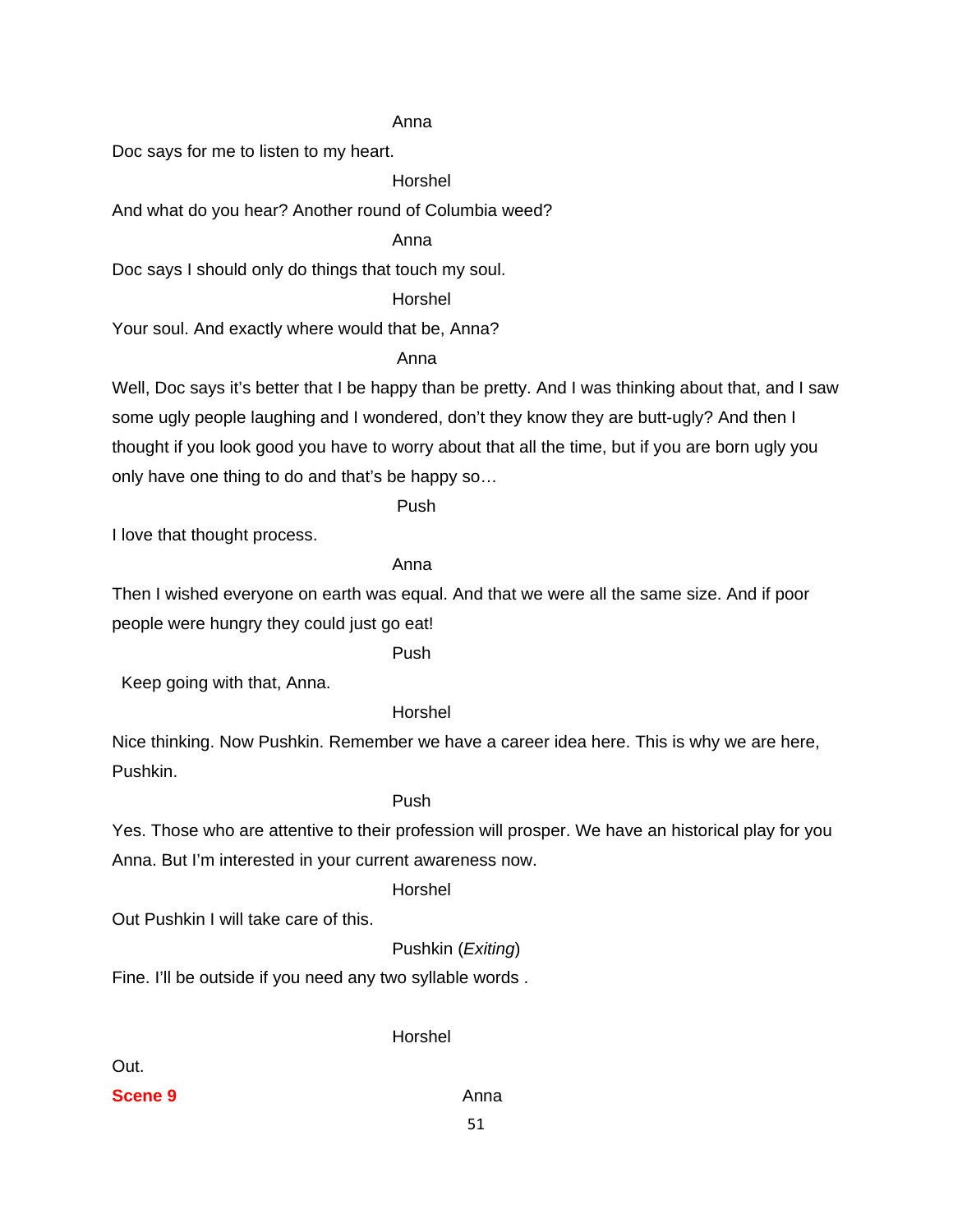#### Anna

Doc says for me to listen to my heart.

Horshel

And what do you hear? Another round of Columbia weed?

Anna

Doc says I should only do things that touch my soul.

Horshel

Your soul. And exactly where would that be, Anna?

#### *Anna Anna*

Well, Doc says it's better that I be happy than be pretty. And I was thinking about that, and I saw some ugly people laughing and I wondered, don't they know they are butt-ugly? And then I thought if you look good you have to worry about that all the time, but if you are born ugly you only have one thing to do and that's be happy so…

Push

I love that thought process.

# Anna

Then I wished everyone on earth was equal. And that we were all the same size. And if poor people were hungry they could just go eat!

Push

Keep going with that, Anna.

# Horshel

Nice thinking. Now Pushkin. Remember we have a career idea here. This is why we are here, Pushkin.

#### Push

Yes. Those who are attentive to their profession will prosper. We have an historical play for you Anna. But I'm interested in your current awareness now.

#### Horshel

Out Pushkin I will take care of this.

Pushkin (*Exiting*)

Fine. I'll be outside if you need any two syllable words .

Out.

Horshel

**Scene 9** Anna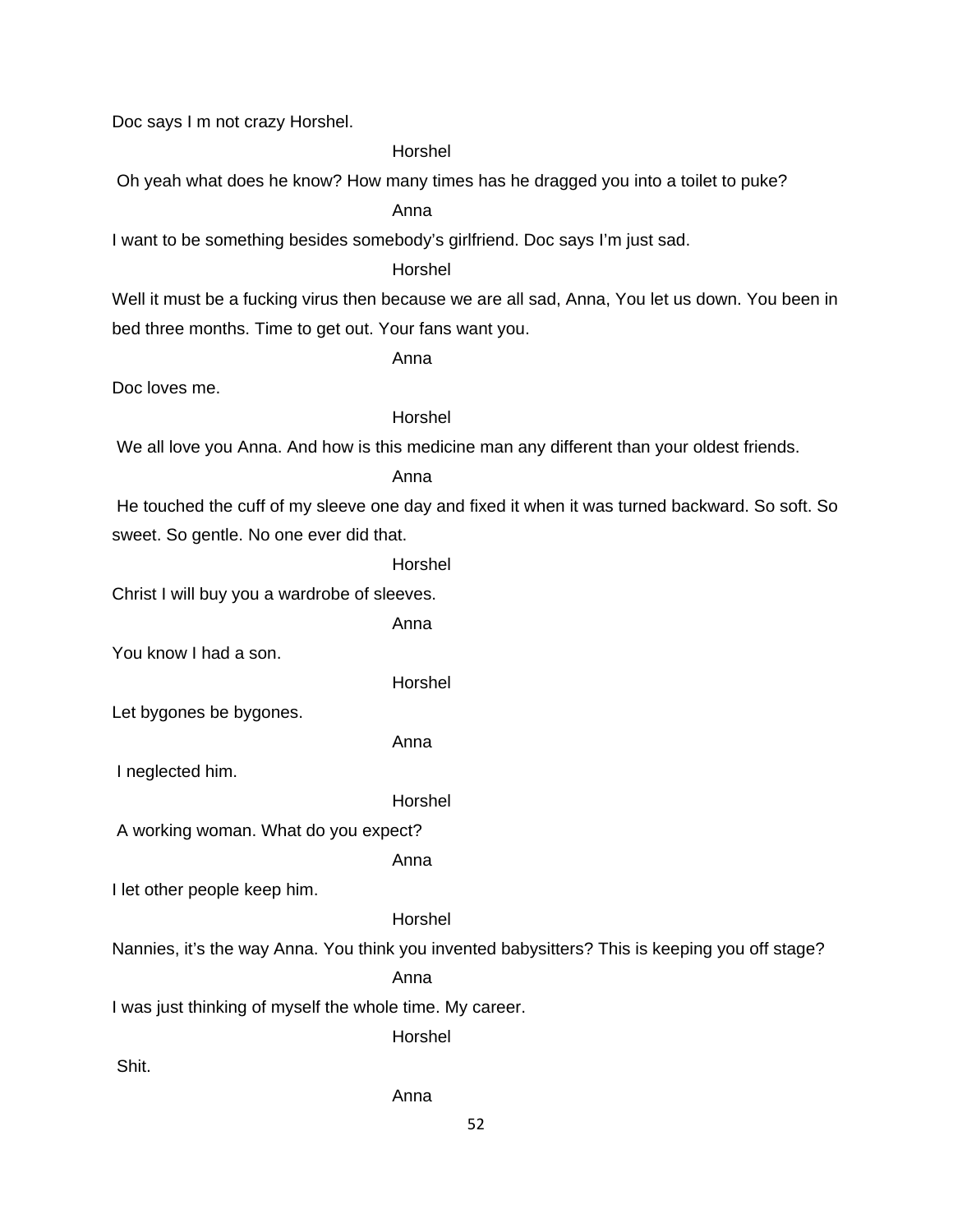Doc says I m not crazy Horshel.

Horshel

Oh yeah what does he know? How many times has he dragged you into a toilet to puke?

Anna

I want to be something besides somebody's girlfriend. Doc says I'm just sad.

Horshel

Well it must be a fucking virus then because we are all sad, Anna, You let us down. You been in bed three months. Time to get out. Your fans want you.

Anna

Doc loves me.

# Horshel

We all love you Anna. And how is this medicine man any different than your oldest friends.

Anna

 He touched the cuff of my sleeve one day and fixed it when it was turned backward. So soft. So sweet. So gentle. No one ever did that.

Horshel

Christ I will buy you a wardrobe of sleeves.

Anna

You know I had a son.

Horshel

Let bygones be bygones.

Anna

I neglected him.

Horshel

A working woman. What do you expect?

Anna

I let other people keep him.

Horshel

Nannies, it's the way Anna. You think you invented babysitters? This is keeping you off stage?

Anna

I was just thinking of myself the whole time. My career.

Horshel

Shit.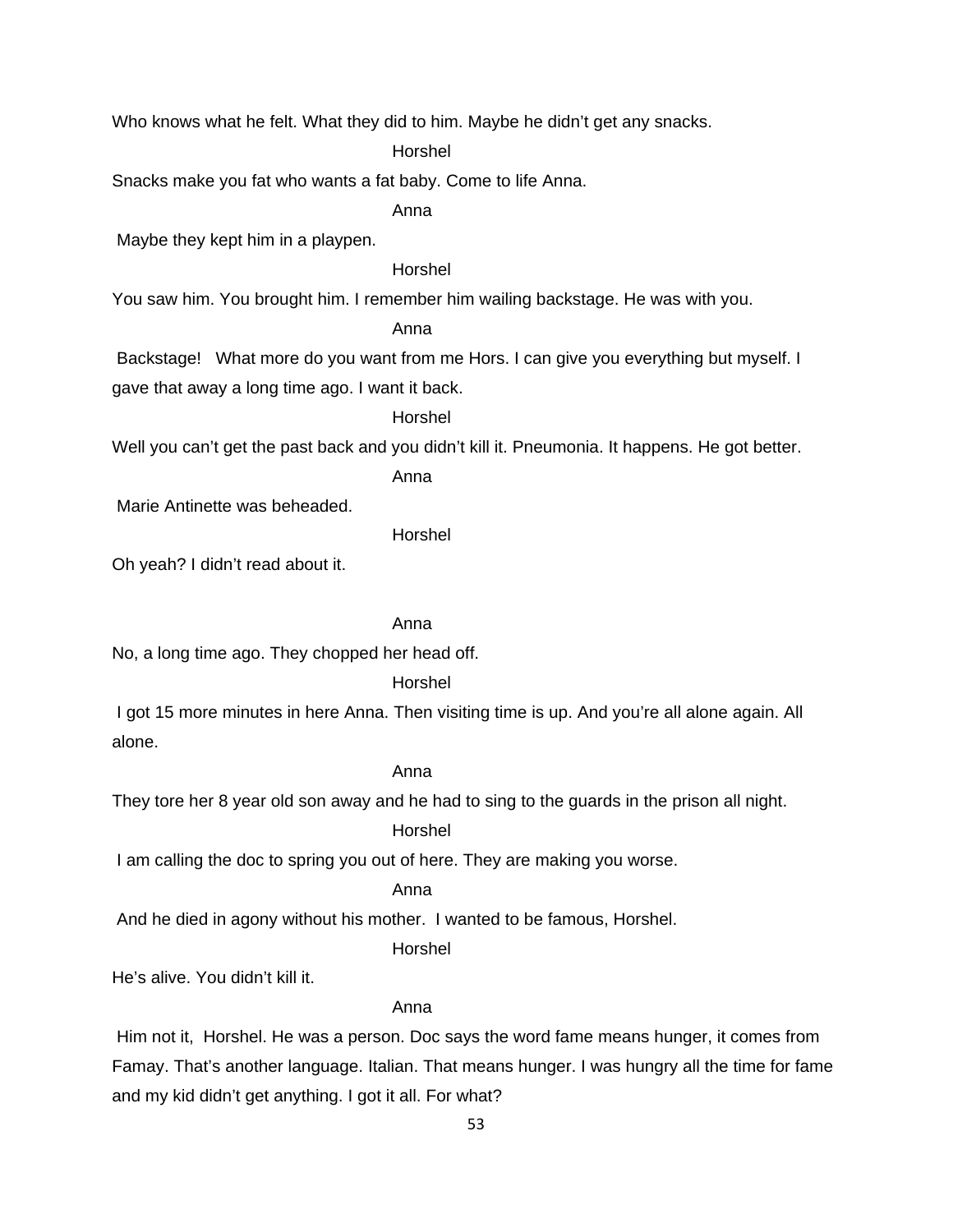Who knows what he felt. What they did to him. Maybe he didn't get any snacks.

Horshel

Snacks make you fat who wants a fat baby. Come to life Anna.

Anna

Maybe they kept him in a playpen.

# Horshel

You saw him. You brought him. I remember him wailing backstage. He was with you.

#### Anna

 Backstage! What more do you want from me Hors. I can give you everything but myself. I gave that away a long time ago. I want it back.

#### Horshel

Well you can't get the past back and you didn't kill it. Pneumonia. It happens. He got better.

Anna

Marie Antinette was beheaded.

Horshel

Oh yeah? I didn't read about it.

# Anna

No, a long time ago. They chopped her head off.

#### Horshel

 I got 15 more minutes in here Anna. Then visiting time is up. And you're all alone again. All alone.

# Anna

They tore her 8 year old son away and he had to sing to the guards in the prison all night.

# Horshel

I am calling the doc to spring you out of here. They are making you worse.

# Anna

And he died in agony without his mother. I wanted to be famous, Horshel.

#### Horshel

He's alive. You didn't kill it.

#### Anna

 Him not it, Horshel. He was a person. Doc says the word fame means hunger, it comes from Famay. That's another language. Italian. That means hunger. I was hungry all the time for fame and my kid didn't get anything. I got it all. For what?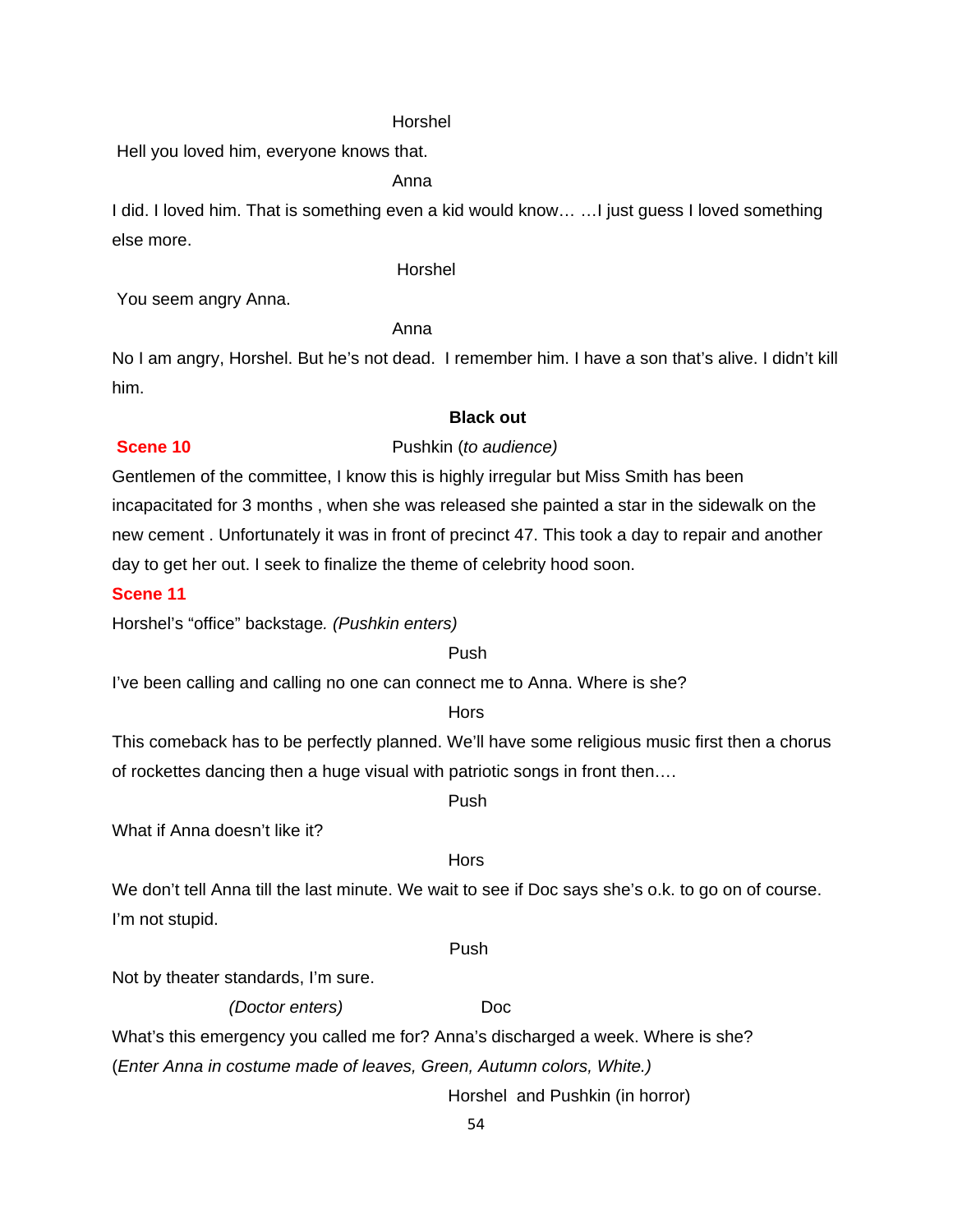#### Horshel

Hell you loved him, everyone knows that.

Anna

I did. I loved him. That is something even a kid would know… …I just guess I loved something else more.

#### Horshel

You seem angry Anna.

Anna

No I am angry, Horshel. But he's not dead. I remember him. I have a son that's alive. I didn't kill him.

#### **Black out**

#### **Scene 10 Pushkin (***to audience***)**

Gentlemen of the committee, I know this is highly irregular but Miss Smith has been incapacitated for 3 months , when she was released she painted a star in the sidewalk on the new cement . Unfortunately it was in front of precinct 47. This took a day to repair and another

day to get her out. I seek to finalize the theme of celebrity hood soon.

#### **Scene 11**

Horshel's "office" backstage*. (Pushkin enters)*

#### **Push Push Push Push Push**

I've been calling and calling no one can connect me to Anna. Where is she?

# **Horse Horse Hors**

This comeback has to be perfectly planned. We'll have some religious music first then a chorus of rockettes dancing then a huge visual with patriotic songs in front then….

#### **Push Push Push Push Push**

What if Anna doesn't like it?

#### **Horse Horse Hors**

We don't tell Anna till the last minute. We wait to see if Doc says she's o.k. to go on of course. I'm not stupid.

#### **Push Push Push Push Push**

Not by theater standards, I'm sure.

#### *(Doctor enters)* Doc

What's this emergency you called me for? Anna's discharged a week. Where is she?

(*Enter Anna in costume made of leaves, Green, Autumn colors, White.)*

Horshel and Pushkin (in horror)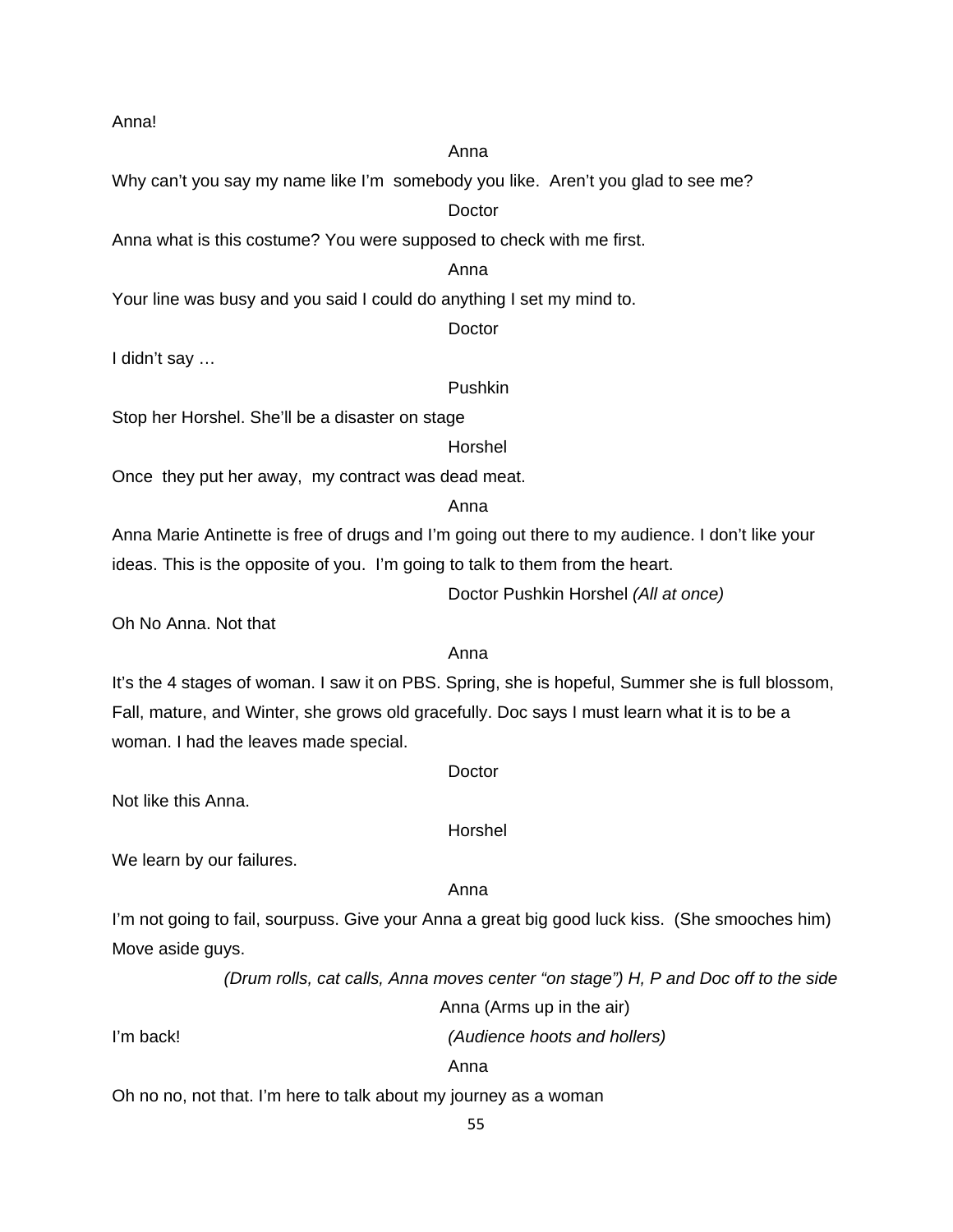Anna!

#### anns an t-anns an t-anns an t-anns an t-anns an t-anns an t-anns an t-anns an t-anns an t-anns an t-anns an t-

Why can't you say my name like I'm somebody you like. Aren't you glad to see me?

# **Doctor**

Anna what is this costume? You were supposed to check with me first.

# anns an t-anns an t-anns an t-anns an t-anns an t-anns an t-anns an t-anns an t-anns an t-anns an t-anns an t-

Your line was busy and you said I could do anything I set my mind to.

**Doctor** 

I didn't say …

# Pushkin

Stop her Horshel. She'll be a disaster on stage

Horshel

Once they put her away, my contract was dead meat.

anns an t-anns an t-anns an t-anns an t-anns an t-anns an t-anns an t-anns an t-anns an t-anns an t-anns an t-

# anns an t-anns an t-anns an t-anns an t-anns an t-anns an t-anns an t-anns an t-anns an t-anns an t-anns an t-

Anna Marie Antinette is free of drugs and I'm going out there to my audience. I don't like your ideas. This is the opposite of you. I'm going to talk to them from the heart.

Doctor Pushkin Horshel *(All at once)*

Oh No Anna. Not that

# It's the 4 stages of woman. I saw it on PBS. Spring, she is hopeful, Summer she is full blossom, Fall, mature, and Winter, she grows old gracefully. Doc says I must learn what it is to be a woman. I had the leaves made special.

**Doctor** 

Horshel

Not like this Anna.

We learn by our failures.

#### anns an t-anns an t-anns an t-anns an t-anns an t-anns an t-anns an t-anns an t-anns an t-anns an t-anns an t-

I'm not going to fail, sourpuss. Give your Anna a great big good luck kiss. (She smooches him) Move aside guys.

 *(Drum rolls, cat calls, Anna moves center "on stage") H, P and Doc off to the side* 

Anna (Arms up in the air)

I'm back! *(Audience hoots and hollers)* 

**Anna** Anna anns an t-Iomraid anns an t-Iomraid anns an t-Iomraid anns an t-Iomraid anns an t-Iomraid anns an t-

Oh no no, not that. I'm here to talk about my journey as a woman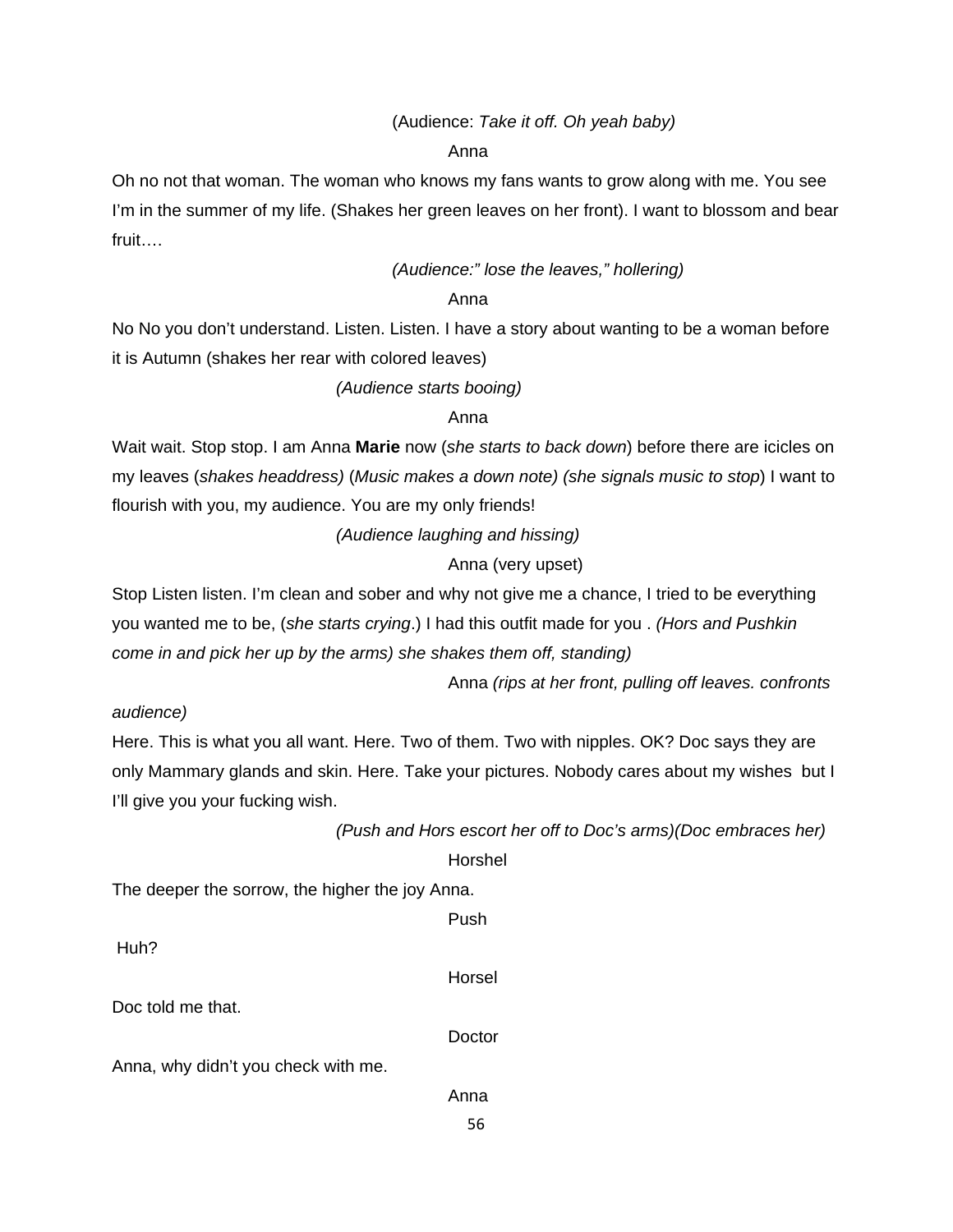# (Audience: *Take it off. Oh yeah baby)*

anns an t-anns an t-anns an t-anns an t-anns an t-anns an t-anns an t-anns an t-anns an t-anns an t-anns an t-

Oh no not that woman. The woman who knows my fans wants to grow along with me. You see I'm in the summer of my life. (Shakes her green leaves on her front). I want to blossom and bear fruit….

# *(Audience:" lose the leaves," hollering)*

#### anns an t-anns an t-anns an t-anns an t-anns an t-anns an t-anns an t-anns an t-anns an t-anns an t-anns an t-

No No you don't understand. Listen. Listen. I have a story about wanting to be a woman before it is Autumn (shakes her rear with colored leaves)

# *(Audience starts booing)*

# anns an t-anns an t-anns an t-anns an t-anns an t-anns an t-anns an t-anns an t-anns an t-anns an t-anns an t-

Wait wait. Stop stop. I am Anna **Marie** now (*she starts to back down*) before there are icicles on my leaves (*shakes headdress)* (*Music makes a down note) (she signals music to stop*) I want to flourish with you, my audience. You are my only friends!

 *(Audience laughing and hissing)* 

# Anna (very upset)

Stop Listen listen. I'm clean and sober and why not give me a chance, I tried to be everything you wanted me to be, (*she starts crying*.) I had this outfit made for you . *(Hors and Pushkin come in and pick her up by the arms) she shakes them off, standing)* 

Anna *(rips at her front, pulling off leaves. confronts* 

# *audience)*

Here. This is what you all want. Here. Two of them. Two with nipples. OK? Doc says they are only Mammary glands and skin. Here. Take your pictures. Nobody cares about my wishes but I I'll give you your fucking wish.

*(Push and Hors escort her off to Doc's arms)(Doc embraces her)* 

Horshel

56

The deeper the sorrow, the higher the joy Anna.

|                                     | Push   |
|-------------------------------------|--------|
| Huh?                                | Horsel |
| Doc told me that.                   |        |
|                                     | Doctor |
| Anna, why didn't you check with me. |        |
|                                     | Anna   |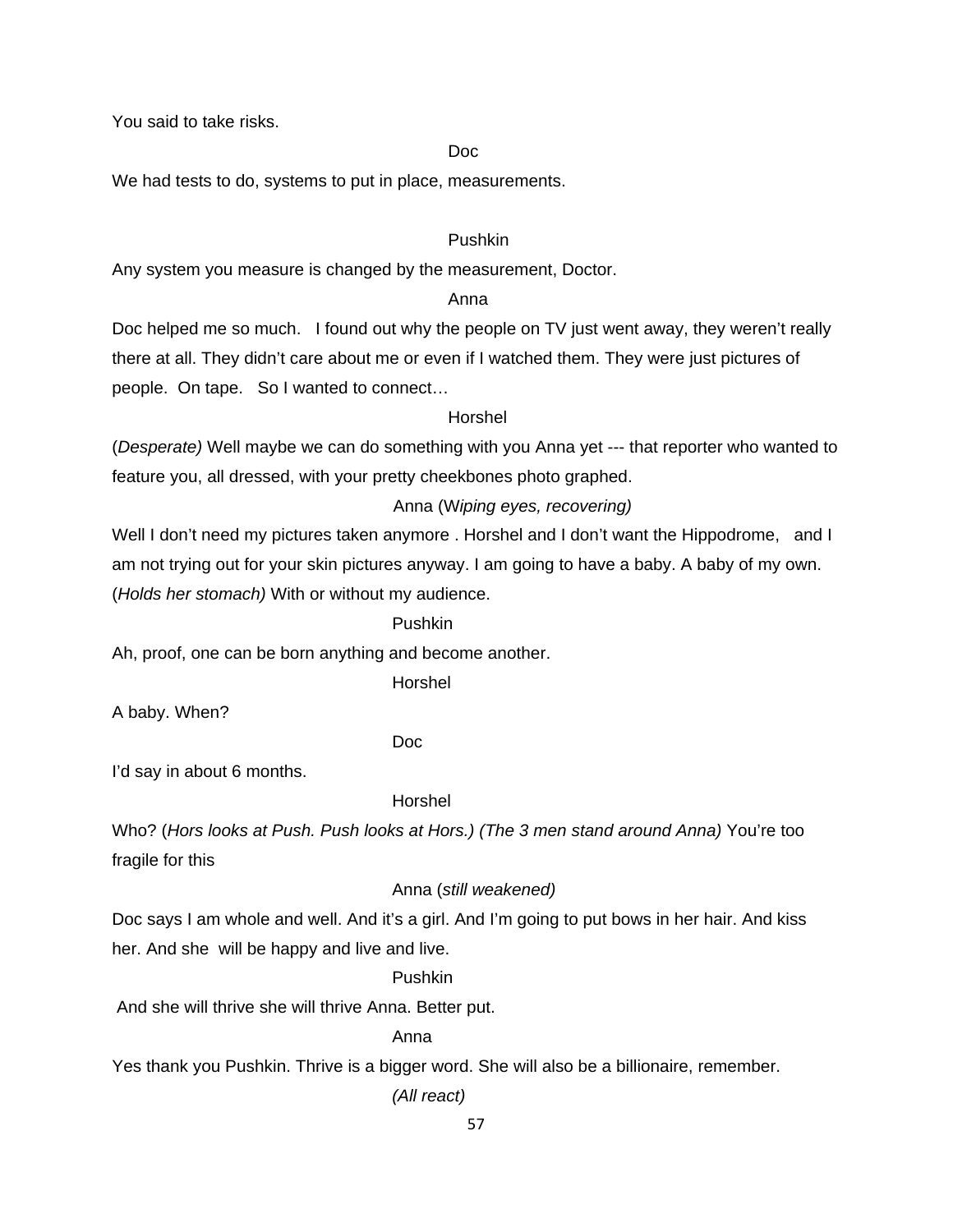You said to take risks.

# <u>Doctor and the Doctor and Doctor and Doctor and Doctor and Doctor and Doctor and Doctor and Doctor and Doctor and Doctor and Doctor and Doctor and Doctor and Doctor and Doctor and Doctor and Doctor and Doctor and Doctor a</u>

We had tests to do, systems to put in place, measurements.

# Pushkin

Any system you measure is changed by the measurement, Doctor.

#### anns an t-anns an t-anns an t-anns an t-anns an t-anns an t-anns an t-anns an t-anns an t-anns an t-anns an t-

Doc helped me so much. I found out why the people on TV just went away, they weren't really there at all. They didn't care about me or even if I watched them. They were just pictures of people. On tape. So I wanted to connect…

#### Horshel

(*Desperate)* Well maybe we can do something with you Anna yet --- that reporter who wanted to feature you, all dressed, with your pretty cheekbones photo graphed.

# Anna (W*iping eyes, recovering)*

Well I don't need my pictures taken anymore . Horshel and I don't want the Hippodrome, and I am not trying out for your skin pictures anyway. I am going to have a baby. A baby of my own. (*Holds her stomach)* With or without my audience.

# Pushkin

Ah, proof, one can be born anything and become another.

Horshel

A baby. When?

# **Document of the Contract of the Document of the Contract of the Contract of the Contract of the Contract of the Contract of the Contract of the Contract of the Contract of the Contract of the Contract of the Contract of t**

I'd say in about 6 months.

# Horshel

Who? (*Hors looks at Push. Push looks at Hors.) (The 3 men stand around Anna)* You're too fragile for this

# Anna (*still weakened)*

Doc says I am whole and well. And it's a girl. And I'm going to put bows in her hair. And kiss her. And she will be happy and live and live.

#### Pushkin

And she will thrive she will thrive Anna. Better put.

#### Anna

Yes thank you Pushkin. Thrive is a bigger word. She will also be a billionaire, remember.